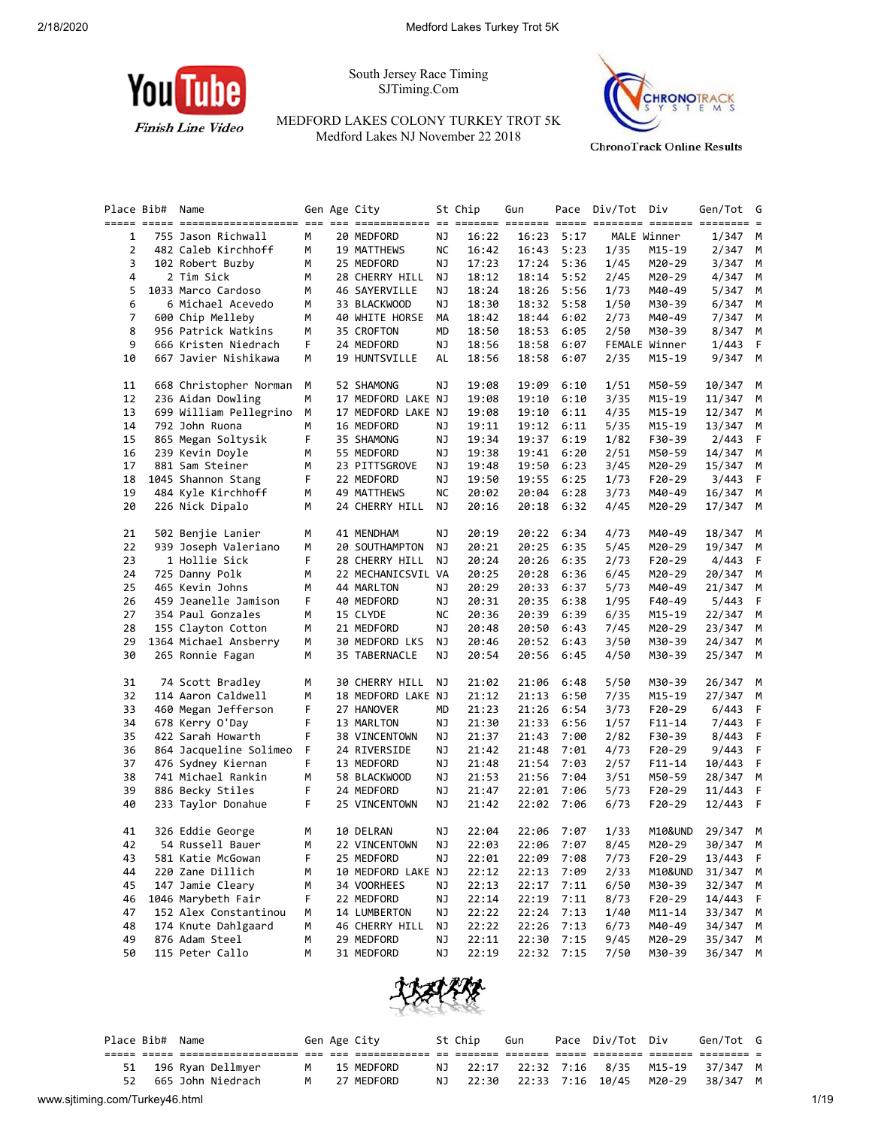

South Jersey Race Timing SJTiming.Com

MEDFORD LAKES COLONY TURKEY TROT 5K Medford Lakes NJ November 22 2018



**ChronoTrack Online Results** 

|    | Place Bib# Name |                        |   | Gen Age City       |    | St Chip | Gun   |      | Pace Div/Tot Div |               | Gen/Tot            | G  |
|----|-----------------|------------------------|---|--------------------|----|---------|-------|------|------------------|---------------|--------------------|----|
|    |                 |                        |   |                    |    |         |       |      |                  |               |                    |    |
| 1  |                 | 755 Jason Richwall     | М | 20 MEDFORD         | ΝJ | 16:22   | 16:23 | 5:17 |                  | MALE Winner   | 1/347 M            |    |
| 2  |                 | 482 Caleb Kirchhoff    | м | 19 MATTHEWS        | ΝC | 16:42   | 16:43 | 5:23 | 1/35             | M15-19        | 2/347              | М  |
| 3  |                 | 102 Robert Buzby       | м | 25 MEDFORD         | ΝJ | 17:23   | 17:24 | 5:36 | 1/45             | M20-29        | 3/347              | M  |
| 4  |                 | 2 Tim Sick             | м | 28 CHERRY HILL     | ΝJ | 18:12   | 18:14 | 5:52 | 2/45             | M20-29        | 4/347              | М  |
| 5  |                 | 1033 Marco Cardoso     | м | 46 SAYERVILLE      | ΝJ | 18:24   | 18:26 | 5:56 | 1/73             | M40-49        | 5/347              | M  |
| 6  |                 | 6 Michael Acevedo      | м | 33 BLACKWOOD       | ΝJ | 18:30   | 18:32 | 5:58 | 1/50             | M30-39        | 6/347              | M  |
| 7  |                 | 600 Chip Melleby       | М | 40 WHITE HORSE     | МA | 18:42   | 18:44 | 6:02 | 2/73             | M40-49        | 7/347              | М  |
| 8  |                 | 956 Patrick Watkins    | м | 35 CROFTON         | MD | 18:50   | 18:53 | 6:05 | 2/50             | M30-39        | 8/347              | М  |
| 9  |                 | 666 Kristen Niedrach   | F | 24 MEDFORD         | ΝJ | 18:56   | 18:58 | 6:07 |                  | FEMALE Winner | 1/443              | F  |
| 10 |                 | 667 Javier Nishikawa   | М | 19 HUNTSVILLE      | AL | 18:56   | 18:58 | 6:07 | 2/35             | M15-19        | 9/347 M            |    |
| 11 |                 | 668 Christopher Norman | М | 52 SHAMONG         | ΝJ | 19:08   | 19:09 | 6:10 | 1/51             | M50-59        | 10/347             | M  |
| 12 |                 | 236 Aidan Dowling      | м | 17 MEDFORD LAKE NJ |    | 19:08   | 19:10 | 6:10 | 3/35             | M15-19        | 11/347             | M  |
| 13 |                 | 699 William Pellegrino | М | 17 MEDFORD LAKE NJ |    | 19:08   | 19:10 | 6:11 | 4/35             | M15-19        | 12/347             | M  |
| 14 |                 | 792 John Ruona         | М | 16 MEDFORD         | ΝJ | 19:11   | 19:12 | 6:11 | 5/35             | M15-19        | 13/347             | М  |
| 15 |                 | 865 Megan Soltysik     | F | 35 SHAMONG         | ΝJ | 19:34   | 19:37 | 6:19 | 1/82             | F30-39        | 2/443              | F  |
|    |                 |                        |   |                    |    |         |       |      |                  |               |                    |    |
| 16 |                 | 239 Kevin Doyle        | м | 55 MEDFORD         | ΝJ | 19:38   | 19:41 | 6:20 | 2/51             | M50-59        | 14/347             | M  |
| 17 |                 | 881 Sam Steiner        | м | 23 PITTSGROVE      | ΝJ | 19:48   | 19:50 | 6:23 | 3/45             | M20-29        | 15/347             | M  |
| 18 |                 | 1045 Shannon Stang     | F | 22 MEDFORD         | ΝJ | 19:50   | 19:55 | 6:25 | 1/73             | F20-29        | 3/443              | F  |
| 19 |                 | 484 Kyle Kirchhoff     | м | 49 MATTHEWS        | ΝC | 20:02   | 20:04 | 6:28 | 3/73             | M40-49        | 16/347             | M  |
| 20 |                 | 226 Nick Dipalo        | м | 24 CHERRY HILL     | ΝJ | 20:16   | 20:18 | 6:32 | 4/45             | M20-29        | 17/347             | M  |
| 21 |                 | 502 Benjie Lanier      | м | 41 MENDHAM         | ΝJ | 20:19   | 20:22 | 6:34 | 4/73             | M40-49        | 18/347             | M  |
| 22 |                 | 939 Joseph Valeriano   | м | 20 SOUTHAMPTON     | ΝJ | 20:21   | 20:25 | 6:35 | 5/45             | M20-29        | 19/347             | M  |
| 23 |                 | 1 Hollie Sick          | F | 28 CHERRY HILL     | ΝJ | 20:24   | 20:26 | 6:35 | 2/73             | F20-29        | 4/443              | F  |
| 24 |                 | 725 Danny Polk         | м | 22 MECHANICSVIL VA |    | 20:25   | 20:28 | 6:36 | 6/45             | M20-29        | 20/347             | М  |
| 25 |                 | 465 Kevin Johns        | м | 44 MARLTON         | ΝJ | 20:29   | 20:33 | 6:37 | 5/73             | M40-49        | 21/347             | М  |
| 26 |                 | 459 Jeanelle Jamison   | F | 40 MEDFORD         | ΝJ | 20:31   | 20:35 | 6:38 | 1/95             | F40-49        | 5/443              | F  |
| 27 |                 | 354 Paul Gonzales      | м | 15 CLYDE           | ΝC | 20:36   | 20:39 | 6:39 | 6/35             | M15-19        | 22/347             | M  |
| 28 |                 | 155 Clayton Cotton     | м | 21 MEDFORD         | ΝJ | 20:48   | 20:50 | 6:43 | 7/45             | M20-29        | 23/347             | M  |
| 29 |                 | 1364 Michael Ansberry  | м | 30 MEDFORD LKS     | ΝJ | 20:46   | 20:52 | 6:43 | 3/50             | M30-39        | 24/347             | M  |
| 30 |                 | 265 Ronnie Fagan       | м | 35 TABERNACLE      | ΝJ | 20:54   | 20:56 | 6:45 | 4/50             | M30-39        | 25/347 M           |    |
|    |                 |                        |   |                    |    |         |       |      |                  |               |                    |    |
| 31 |                 | 74 Scott Bradley       | М | 30 CHERRY HILL     | ΝJ | 21:02   | 21:06 | 6:48 | 5/50             | M30-39        | 26/347             | M  |
| 32 |                 | 114 Aaron Caldwell     | м | 18 MEDFORD LAKE NJ |    | 21:12   | 21:13 | 6:50 | 7/35             | M15-19        | 27/347             | M  |
| 33 |                 | 460 Megan Jefferson    | F | 27 HANOVER         | MD | 21:23   | 21:26 | 6:54 | 3/73             | F20-29        | 6/443              | F  |
| 34 |                 | 678 Kerry O'Day        | F | 13 MARLTON         | ΝJ | 21:30   | 21:33 | 6:56 | 1/57             | $F11 - 14$    | 7/443              | F  |
| 35 |                 | 422 Sarah Howarth      | F | 38 VINCENTOWN      | ΝJ | 21:37   | 21:43 | 7:00 | 2/82             | F30-39        | 8/443              | F  |
| 36 |                 | 864 Jacqueline Solimeo | F | 24 RIVERSIDE       | ΝJ | 21:42   | 21:48 | 7:01 | 4/73             | F20-29        | 9/443              | F  |
| 37 |                 | 476 Sydney Kiernan     | F | 13 MEDFORD         | ΝJ | 21:48   | 21:54 | 7:03 | 2/57             | F11-14        | 10/443             | F  |
| 38 |                 | 741 Michael Rankin     | м | 58 BLACKWOOD       | ΝJ | 21:53   | 21:56 | 7:04 | 3/51             | M50-59        | 28/347             | M  |
| 39 |                 | 886 Becky Stiles       | F | 24 MEDFORD         | ΝJ | 21:47   | 22:01 | 7:06 | 5/73             | $F20-29$      | 11/443             | F  |
| 40 |                 | 233 Taylor Donahue     | F | 25 VINCENTOWN      | ΝJ | 21:42   | 22:02 | 7:06 | 6/73             | F20-29        | 12/443             | -F |
| 41 |                 | 326 Eddie George       | М | 10 DELRAN          | ΝJ | 22:04   | 22:06 | 7:07 | 1/33             | M10&UND       | 29/347             | M  |
| 42 |                 | 54 Russell Bauer       | М | 22 VINCENTOWN      | NJ | 22:03   | 22:06 | 7:07 | 8/45             | M20-29        | 30/347             | M  |
| 43 |                 | 581 Katie McGowan      | F | 25 MEDFORD         | ΝJ | 22:01   | 22:09 | 7:08 | 7/73             | F20-29        | 13/443             | F  |
| 44 |                 | 220 Zane Dillich       | м | 10 MEDFORD LAKE NJ |    | 22:12   | 22:13 | 7:09 | 2/33             | M10&UND       | 31/347             | M  |
| 45 |                 | 147 Jamie Cleary       | м | 34 VOORHEES        | ΝJ | 22:13   | 22:17 | 7:11 | 6/50             | M30-39        | 32/347             | M  |
| 46 |                 | 1046 Marybeth Fair     | F | 22 MEDFORD         | ΝJ | 22:14   | 22:19 | 7:11 | 8/73             | F20-29        | 14/443             | F  |
| 47 |                 | 152 Alex Constantinou  | м | 14 LUMBERTON       | ΝJ | 22:22   | 22:24 | 7:13 | 1/40             | $M11 - 14$    | 33/347             | M  |
| 48 |                 | 174 Knute Dahlgaard    | М | 46 CHERRY HILL     | ΝJ | 22:22   | 22:26 | 7:13 | 6/73             | M40-49        | 34/347             | M  |
| 49 |                 | 876 Adam Steel         | м | 29 MEDFORD         | ΝJ | 22:11   | 22:30 | 7:15 | 9/45             | M20-29        |                    |    |
| 50 |                 | 115 Peter Callo        | М | 31 MEDFORD         | ΝJ | 22:19   | 22:32 | 7:15 | 7/50             | M30-39        | 35/347<br>36/347 M | M  |
|    |                 |                        |   |                    |    |         |       |      |                  |               |                    |    |



| Place Bib# Name |                      |   | Gen Age City | St Chip  | Gun | Pace Div/Tot Div                         | Gen/Tot G |  |
|-----------------|----------------------|---|--------------|----------|-----|------------------------------------------|-----------|--|
|                 |                      |   |              |          |     |                                          |           |  |
|                 | 51 196 Ryan Dellmyer | M | 15 MEDFORD   |          |     | NJ 22:17 22:32 7:16 8/35 M15-19 37/347 M |           |  |
|                 | 52 665 John Niedrach |   | M 27 MEDFORD | NJ 22:30 |     |                                          | 38/347 M  |  |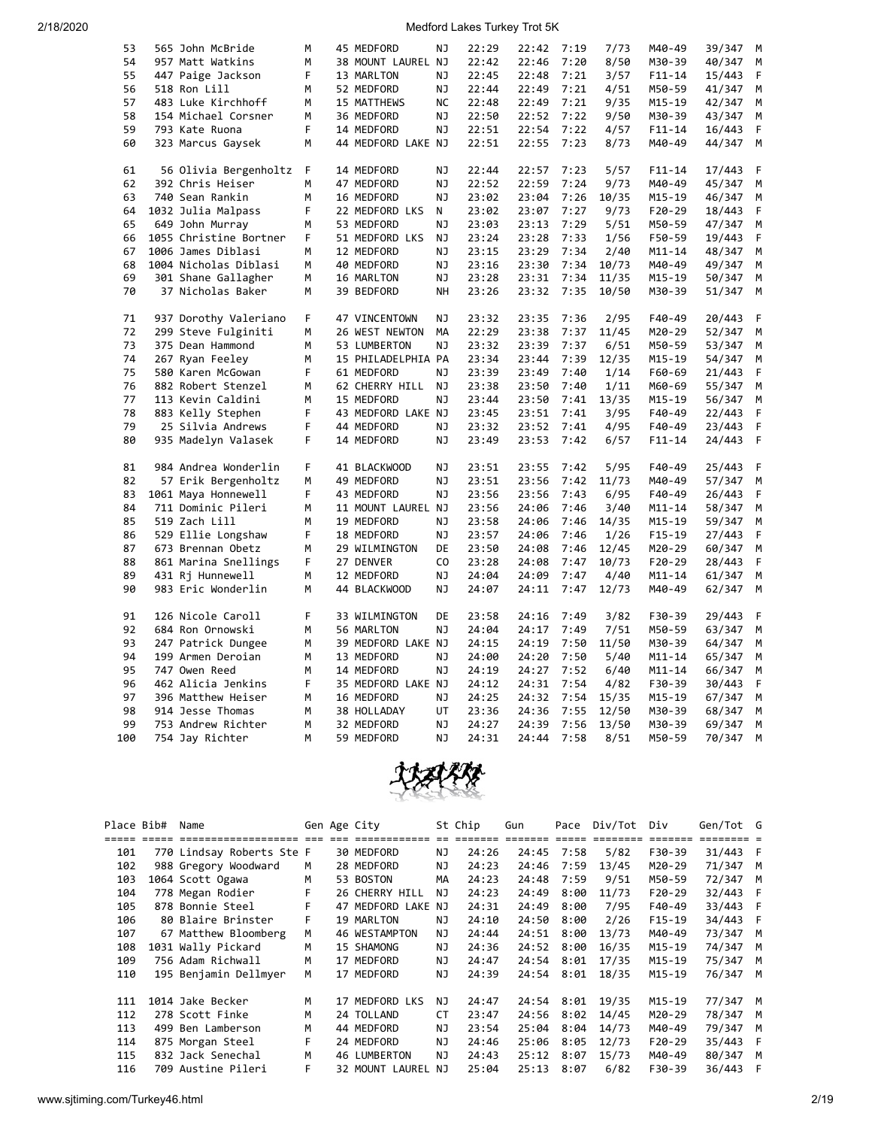| 53  | 565 John McBride       | M | 45 MEDFORD         | NJ        | 22:29 | 22:42 | 7:19 | 7/73  | M40-49     | 39/347 | M |
|-----|------------------------|---|--------------------|-----------|-------|-------|------|-------|------------|--------|---|
| 54  | 957 Matt Watkins       | M | 38 MOUNT LAUREL NJ |           | 22:42 | 22:46 | 7:20 | 8/50  | M30-39     | 40/347 | M |
| 55  | 447 Paige Jackson      | F | 13 MARLTON         | ΝJ        | 22:45 | 22:48 | 7:21 | 3/57  | F11-14     | 15/443 | F |
| 56  | 518 Ron Lill           | м | 52 MEDFORD         | NJ        | 22:44 | 22:49 | 7:21 | 4/51  | M50-59     | 41/347 | М |
| 57  | 483 Luke Kirchhoff     | M | 15 MATTHEWS        | <b>NC</b> | 22:48 | 22:49 | 7:21 | 9/35  | M15-19     | 42/347 | M |
| 58  | 154 Michael Corsner    | м | 36 MEDFORD         | ΝJ        | 22:50 | 22:52 | 7:22 | 9/50  | M30-39     | 43/347 | М |
| 59  | 793 Kate Ruona         | F | 14 MEDFORD         | NJ        | 22:51 | 22:54 | 7:22 | 4/57  | $F11 - 14$ | 16/443 | F |
| 60  | 323 Marcus Gaysek      | M | 44 MEDFORD LAKE NJ |           | 22:51 | 22:55 | 7:23 | 8/73  | M40-49     | 44/347 | M |
| 61  | 56 Olivia Bergenholtz  | F | 14 MEDFORD         | NJ        | 22:44 | 22:57 | 7:23 | 5/57  | $F11 - 14$ | 17/443 | F |
| 62  | 392 Chris Heiser       | M | 47 MEDFORD         | NJ        | 22:52 | 22:59 | 7:24 | 9/73  | M40-49     | 45/347 | M |
| 63  | 740 Sean Rankin        | M | 16 MEDFORD         | <b>NJ</b> | 23:02 | 23:04 | 7:26 | 10/35 | M15-19     | 46/347 | М |
| 64  | 1032 Julia Malpass     | F | 22 MEDFORD LKS     | Ν         | 23:02 | 23:07 | 7:27 | 9/73  | F20-29     | 18/443 | F |
| 65  | 649 John Murray        | M | 53 MEDFORD         | NJ        | 23:03 | 23:13 | 7:29 | 5/51  | M50-59     | 47/347 | M |
| 66  | 1055 Christine Bortner | F | 51 MEDFORD LKS     | ΝJ        | 23:24 | 23:28 | 7:33 | 1/56  | F50-59     | 19/443 | F |
| 67  | 1006 James Diblasi     | М | 12 MEDFORD         | ΝJ        | 23:15 | 23:29 | 7:34 | 2/40  | $M11 - 14$ | 48/347 | М |
| 68  | 1004 Nicholas Diblasi  | М | 40 MEDFORD         | NJ        | 23:16 | 23:30 | 7:34 | 10/73 | M40-49     | 49/347 | M |
| 69  | 301 Shane Gallagher    | M | 16 MARLTON         | NJ        | 23:28 | 23:31 | 7:34 | 11/35 | $M15 - 19$ | 50/347 | M |
| 70  | 37 Nicholas Baker      | M | 39 BEDFORD         | NH        | 23:26 | 23:32 | 7:35 | 10/50 | M30-39     | 51/347 | M |
| 71  | 937 Dorothy Valeriano  | F | 47 VINCENTOWN      | ΝJ        | 23:32 | 23:35 | 7:36 | 2/95  | F40-49     | 20/443 | F |
| 72  | 299 Steve Fulginiti    | м | 26 WEST NEWTON     | MA        | 22:29 | 23:38 | 7:37 | 11/45 | M20-29     | 52/347 | M |
| 73  | 375 Dean Hammond       | М | 53 LUMBERTON       | NJ        | 23:32 | 23:39 | 7:37 | 6/51  | M50-59     | 53/347 | М |
| 74  | 267 Ryan Feeley        | M | 15 PHILADELPHIA PA |           | 23:34 | 23:44 | 7:39 | 12/35 | M15-19     | 54/347 | M |
| 75  | 580 Karen McGowan      | F | 61 MEDFORD         | ΝJ        | 23:39 | 23:49 | 7:40 | 1/14  | F60-69     | 21/443 | F |
| 76  | 882 Robert Stenzel     | М | 62 CHERRY HILL     | ΝJ        | 23:38 | 23:50 | 7:40 | 1/11  | M60-69     | 55/347 | М |
| 77  | 113 Kevin Caldini      | м | 15 MEDFORD         | NJ        | 23:44 | 23:50 | 7:41 | 13/35 | M15-19     | 56/347 | М |
| 78  | 883 Kelly Stephen      | F | 43 MEDFORD LAKE NJ |           | 23:45 | 23:51 | 7:41 | 3/95  | F40-49     | 22/443 | F |
| 79  | 25 Silvia Andrews      | F | 44 MEDFORD         | ΝJ        | 23:32 | 23:52 | 7:41 | 4/95  | F40-49     | 23/443 | F |
| 80  | 935 Madelyn Valasek    | F | 14 MEDFORD         | ΝJ        | 23:49 | 23:53 | 7:42 | 6/57  | F11-14     | 24/443 | F |
| 81  | 984 Andrea Wonderlin   | F | 41 BLACKWOOD       | ΝJ        | 23:51 | 23:55 | 7:42 | 5/95  | F40-49     | 25/443 | F |
| 82  | 57 Erik Bergenholtz    | М | 49 MEDFORD         | ΝJ        | 23:51 | 23:56 | 7:42 | 11/73 | M40-49     | 57/347 | М |
| 83  | 1061 Maya Honnewell    | F | 43 MEDFORD         | NJ        | 23:56 | 23:56 | 7:43 | 6/95  | F40-49     | 26/443 | F |
| 84  | 711 Dominic Pileri     | M | 11 MOUNT LAUREL NJ |           | 23:56 | 24:06 | 7:46 | 3/40  | $M11 - 14$ | 58/347 | М |
| 85  | 519 Zach Lill          | M | 19 MEDFORD         | ΝJ        | 23:58 | 24:06 | 7:46 | 14/35 | M15-19     | 59/347 | M |
| 86  | 529 Ellie Longshaw     | F | 18 MEDFORD         | NJ        | 23:57 | 24:06 | 7:46 | 1/26  | $F15 - 19$ | 27/443 | F |
| 87  | 673 Brennan Obetz      | M | 29 WILMINGTON      | DE        | 23:50 | 24:08 | 7:46 | 12/45 | M20-29     | 60/347 | M |
| 88  | 861 Marina Snellings   | F | 27 DENVER          | CO        | 23:28 | 24:08 | 7:47 | 10/73 | F20-29     | 28/443 | F |
| 89  | 431 Rj Hunnewell       | м | 12 MEDFORD         | ΝJ        | 24:04 | 24:09 | 7:47 | 4/40  | M11-14     | 61/347 | М |
| 90  | 983 Eric Wonderlin     | М | 44 BLACKWOOD       | ΝJ        | 24:07 | 24:11 | 7:47 | 12/73 | M40-49     | 62/347 | М |
| 91  | 126 Nicole Caroll      | F | 33 WILMINGTON      | DE        | 23:58 | 24:16 | 7:49 | 3/82  | F30-39     | 29/443 | F |
| 92  | 684 Ron Ornowski       | M | 56 MARLTON         | NJ        | 24:04 | 24:17 | 7:49 | 7/51  | M50-59     | 63/347 | M |
| 93  | 247 Patrick Dungee     | M | 39 MEDFORD LAKE NJ |           | 24:15 | 24:19 | 7:50 | 11/50 | M30-39     | 64/347 | М |
| 94  | 199 Armen Deroian      | М | 13 MEDFORD         | ΝJ        | 24:00 | 24:20 | 7:50 | 5/40  | M11-14     | 65/347 | М |
| 95  | 747 Owen Reed          | м | 14 MEDFORD         | ΝJ        | 24:19 | 24:27 | 7:52 | 6/40  | $M11 - 14$ | 66/347 | М |
| 96  | 462 Alicia Jenkins     | F | 35 MEDFORD LAKE NJ |           | 24:12 | 24:31 | 7:54 | 4/82  | F30-39     | 30/443 | F |
| 97  | 396 Matthew Heiser     | М | 16 MEDFORD         | ΝJ        | 24:25 | 24:32 | 7:54 | 15/35 | M15-19     | 67/347 | М |
| 98  | 914 Jesse Thomas       | M | 38 HOLLADAY        | UT        | 23:36 | 24:36 | 7:55 | 12/50 | M30-39     | 68/347 | M |
| 99  | 753 Andrew Richter     | M | 32 MEDFORD         | NJ        | 24:27 | 24:39 | 7:56 | 13/50 | M30-39     | 69/347 | M |
| 100 | 754 Jay Richter        | M | 59 MEDFORD         | ΝJ        | 24:31 | 24:44 | 7:58 | 8/51  | M50-59     | 70/347 | M |



| Place Bib# |             | Name                      |   | Gen Age City       |     | St Chip    | Gun   | Pace  | Div/Tot  | Div      | Gen/Tot G |   |
|------------|-------------|---------------------------|---|--------------------|-----|------------|-------|-------|----------|----------|-----------|---|
|            | ===== ===== |                           |   |                    |     | es sessess |       | ===== | ======== | =======  |           |   |
| 101        |             | 770 Lindsay Roberts Ste F |   | 30 MEDFORD         | NJ  | 24:26      | 24:45 | 7:58  | 5/82     | F30-39   | 31/443    | F |
| 102        |             | 988 Gregory Woodward      | M | 28 MEDFORD         | ΝJ  | 24:23      | 24:46 | 7:59  | 13/45    | M20-29   | 71/347    | M |
| 103        |             | 1064 Scott Ogawa          | M | 53 BOSTON          | MA  | 24:23      | 24:48 | 7:59  | 9/51     | M50-59   | 72/347    | M |
| 104        |             | 778 Megan Rodier          | F | 26 CHERRY HILL     | NJ. | 24:23      | 24:49 | 8:00  | 11/73    | $F20-29$ | 32/443 F  |   |
| 105        |             | 878 Bonnie Steel          | F | 47 MEDFORD LAKE NJ |     | 24:31      | 24:49 | 8:00  | 7/95     | F40-49   | 33/443 F  |   |
| 106        |             | 80 Blaire Brinster        | F | 19 MARLTON         | ΝJ  | 24:10      | 24:50 | 8:00  | 2/26     | $F15-19$ | 34/443 F  |   |
| 107        |             | 67 Matthew Bloomberg      | М | 46 WESTAMPTON      | ΝJ  | 24:44      | 24:51 | 8:00  | 13/73    | M40-49   | 73/347    | M |
| 108        |             | 1031 Wally Pickard        | м | 15 SHAMONG         | ΝJ  | 24:36      | 24:52 | 8:00  | 16/35    | M15-19   | 74/347    | M |
| 109        |             | 756 Adam Richwall         | м | 17 MEDFORD         | ΝJ  | 24:47      | 24:54 | 8:01  | 17/35    | M15-19   | 75/347    | M |
| 110        |             | 195 Benjamin Dellmyer     | M | 17 MEDFORD         | ΝJ  | 24:39      | 24:54 | 8:01  | 18/35    | M15-19   | 76/347    | M |
|            |             |                           |   |                    |     |            |       |       |          |          |           |   |
| 111        |             | 1014 Jake Becker          | м | 17 MEDFORD LKS     | NJ. | 24:47      | 24:54 | 8:01  | 19/35    | M15-19   | 77/347    | M |
| 112        |             | 278 Scott Finke           | м | 24 TOLLAND         | CT  | 23:47      | 24:56 | 8:02  | 14/45    | M20-29   | 78/347    | М |
| 113        |             | 499 Ben Lamberson         | м | 44 MEDFORD         | ΝJ  | 23:54      | 25:04 | 8:04  | 14/73    | M40-49   | 79/347    | M |
| 114        |             | 875 Morgan Steel          | F | 24 MEDFORD         | NJ. | 24:46      | 25:06 | 8:05  | 12/73    | $F20-29$ | 35/443    | F |
| 115        |             | 832 Jack Senechal         | M | 46 LUMBERTON       | NJ. | 24:43      | 25:12 | 8:07  | 15/73    | M40-49   | 80/347    | M |
| 116        |             | 709 Austine Pileri        | F | 32 MOUNT LAUREL NJ |     | 25:04      | 25:13 | 8:07  | 6/82     | F30-39   | 36/443    | F |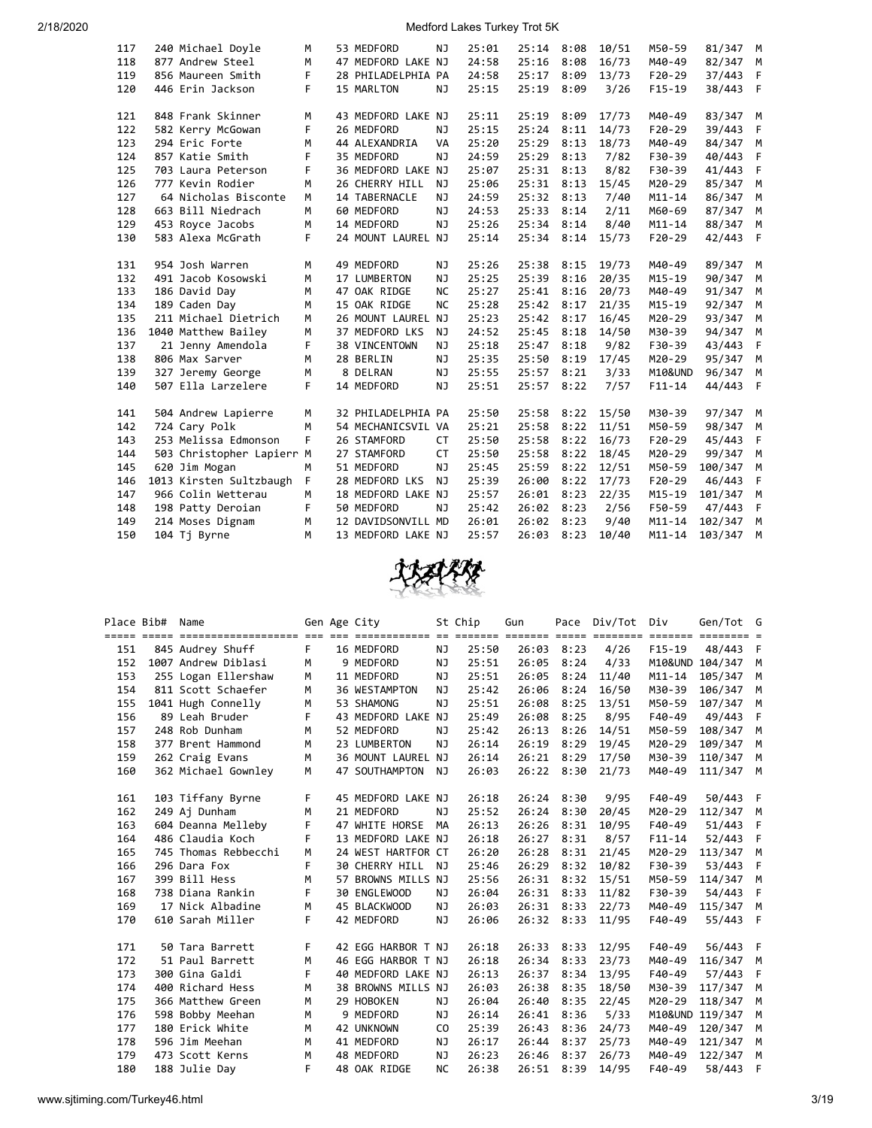| 117 | 240 Michael Doyle         | M           | 53 MEDFORD         | NJ        | 25:01 | 25:14 8:08 |      | 10/51 | M50-59     | 81/347 M |   |
|-----|---------------------------|-------------|--------------------|-----------|-------|------------|------|-------|------------|----------|---|
| 118 | 877 Andrew Steel          | M           | 47 MEDFORD LAKE NJ |           | 24:58 | 25:16      | 8:08 | 16/73 | M40-49     | 82/347   | М |
| 119 | 856 Maureen Smith         | F           | 28 PHILADELPHIA PA |           | 24:58 | 25:17      | 8:09 | 13/73 | $F20-29$   | 37/443   | F |
| 120 | 446 Erin Jackson          | F.          | 15 MARLTON         | NJ        | 25:15 | 25:19      | 8:09 | 3/26  | $F15-19$   | 38/443   | F |
|     |                           |             |                    |           |       |            |      |       |            |          |   |
| 121 | 848 Frank Skinner         | M           | 43 MEDFORD LAKE NJ |           | 25:11 | 25:19      | 8:09 | 17/73 | M40-49     | 83/347 M |   |
| 122 | 582 Kerry McGowan         | F           | 26 MEDFORD         | NJ        | 25:15 | 25:24      | 8:11 | 14/73 | $F20-29$   | 39/443   | F |
| 123 | 294 Eric Forte            | м           | 44 ALEXANDRIA      | VA        | 25:20 | 25:29      | 8:13 | 18/73 | M40-49     | 84/347   | M |
| 124 | 857 Katie Smith           | F           | 35 MEDFORD         | NJ        | 24:59 | 25:29      | 8:13 | 7/82  | F30-39     | 40/443   | F |
| 125 | 703 Laura Peterson        | F           | 36 MEDFORD LAKE NJ |           | 25:07 | 25:31      | 8:13 | 8/82  | F30-39     | 41/443   | F |
| 126 | 777 Kevin Rodier          | M           | 26 CHERRY HILL     | <b>NJ</b> | 25:06 | 25:31      | 8:13 | 15/45 | M20-29     | 85/347   | M |
| 127 | 64 Nicholas Bisconte      | M           | 14 TABERNACLE      | NJ        | 24:59 | 25:32      | 8:13 | 7/40  | $M11 - 14$ | 86/347   | M |
| 128 | 663 Bill Niedrach         | M           | 60 MEDFORD         | NJ        | 24:53 | 25:33      | 8:14 | 2/11  | M60-69     | 87/347   | M |
| 129 | 453 Royce Jacobs          | M           | 14 MEDFORD         | <b>NJ</b> | 25:26 | 25:34      | 8:14 | 8/40  | $M11 - 14$ | 88/347   | M |
| 130 | 583 Alexa McGrath         | F           | 24 MOUNT LAUREL NJ |           | 25:14 | 25:34      | 8:14 | 15/73 | $F20-29$   | 42/443   | F |
|     |                           |             |                    |           |       |            |      |       |            |          |   |
| 131 | 954 Josh Warren           | M           | 49 MEDFORD         | NJ        | 25:26 | 25:38      | 8:15 | 19/73 | M40-49     | 89/347   | M |
| 132 | 491 Jacob Kosowski        | M           | 17 LUMBERTON       | NJ        | 25:25 | 25:39      | 8:16 | 20/35 | $M15 - 19$ | 90/347   | M |
| 133 | 186 David Day             | M           | 47 OAK RIDGE       | <b>NC</b> | 25:27 | 25:41      | 8:16 | 20/73 | M40-49     | 91/347   | M |
| 134 | 189 Caden Day             | M           | 15 OAK RIDGE       | <b>NC</b> | 25:28 | 25:42      | 8:17 | 21/35 | $M15 - 19$ | 92/347   | M |
| 135 | 211 Michael Dietrich      | M           | 26 MOUNT LAUREL NJ |           | 25:23 | 25:42      | 8:17 | 16/45 | M20-29     | 93/347   | M |
| 136 | 1040 Matthew Bailey       | M           | 37 MEDFORD LKS     | <b>NJ</b> | 24:52 | 25:45      | 8:18 | 14/50 | M30-39     | 94/347   | M |
| 137 | 21 Jenny Amendola         | F           | 38 VINCENTOWN      | NJ        | 25:18 | 25:47      | 8:18 | 9/82  | F30-39     | 43/443   | F |
| 138 | 806 Max Sarver            | M           | 28 BERLIN          | <b>NJ</b> | 25:35 | 25:50      | 8:19 | 17/45 | M20-29     | 95/347   | M |
| 139 | 327 Jeremy George         | M           | 8 DELRAN           | NJ        | 25:55 | 25:57      | 8:21 | 3/33  | M10&UND    | 96/347   | M |
| 140 | 507 Ella Larzelere        | F           | 14 MEDFORD         | NJ        | 25:51 | 25:57      | 8:22 | 7/57  | $F11 - 14$ | 44/443   | F |
|     |                           |             |                    |           |       |            |      |       |            |          |   |
| 141 | 504 Andrew Lapierre       | M           | 32 PHILADELPHIA PA |           | 25:50 | 25:58      | 8:22 | 15/50 | M30-39     | 97/347   | M |
| 142 | 724 Cary Polk             | M           | 54 MECHANICSVIL VA |           | 25:21 | 25:58      | 8:22 | 11/51 | M50-59     | 98/347   | M |
| 143 | 253 Melissa Edmonson      | F           | 26 STAMFORD        | <b>CT</b> | 25:50 | 25:58      | 8:22 | 16/73 | $F20-29$   | 45/443   | F |
| 144 | 503 Christopher Lapierr M |             | 27 STAMFORD        | <b>CT</b> | 25:50 | 25:58      | 8:22 | 18/45 | M20-29     | 99/347   | M |
| 145 | 620 Jim Mogan             | М           | 51 MEDFORD         | <b>NJ</b> | 25:45 | 25:59      | 8:22 | 12/51 | M50-59     | 100/347  | M |
| 146 | 1013 Kirsten Sultzbaugh   | $\mathsf F$ | 28 MEDFORD LKS     | NJ        | 25:39 | 26:00      | 8:22 | 17/73 | $F20-29$   | 46/443   | F |
| 147 | 966 Colin Wetterau        | M           | 18 MEDFORD LAKE NJ |           | 25:57 | 26:01      | 8:23 | 22/35 | $M15 - 19$ | 101/347  | M |
| 148 | 198 Patty Deroian         | F           | 50 MEDFORD         | NJ        | 25:42 | 26:02      | 8:23 | 2/56  | F50-59     | 47/443   | F |
| 149 | 214 Moses Dignam          | M           | 12 DAVIDSONVILL MD |           | 26:01 | 26:02      | 8:23 | 9/40  | $M11 - 14$ | 102/347  | M |
| 150 | 104 Tj Byrne              | M           | 13 MEDFORD LAKE NJ |           | 25:57 | 26:03      | 8:23 | 10/40 | $M11 - 14$ | 103/347  | М |



| Place Bib# | Name                                                                              |    | Gen Age City       |           | St Chip | Gun   |            | Pace Div/Tot | Div                     | Gen/Tot G               |     |
|------------|-----------------------------------------------------------------------------------|----|--------------------|-----------|---------|-------|------------|--------------|-------------------------|-------------------------|-----|
|            | <u>soor oosa asaasaasaasaasaas oo oo asaasaasaa oo asaasa asaasa asaa asaasaa</u> |    |                    |           |         |       |            |              | $=$ $=$ $=$ $=$ $=$ $=$ | $=$ $=$ $=$ $=$ $=$ $=$ |     |
| 151        | 845 Audrey Shuff                                                                  | F. | 16 MEDFORD         | NJ        | 25:50   |       | 26:03 8:23 | 4/26         | $F15-19$                | 48/443 F                |     |
| 152        | 1007 Andrew Diblasi                                                               | M  | 9 MEDFORD          | ΝJ        | 25:51   | 26:05 | 8:24       | 4/33         |                         | M10&UND 104/347         | M   |
| 153        | 255 Logan Ellershaw                                                               | M  | 11 MEDFORD         | NJ        | 25:51   | 26:05 | 8:24       | 11/40        | $M11 - 14$              | 105/347                 | M   |
| 154        | 811 Scott Schaefer                                                                | M  | 36 WESTAMPTON      | NJ        | 25:42   | 26:06 | 8:24       | 16/50        | M30-39                  | 106/347                 | M   |
| 155        | 1041 Hugh Connelly                                                                | м  | 53 SHAMONG         | NJ        | 25:51   | 26:08 | 8:25       | 13/51        | M50-59                  | 107/347                 | M   |
| 156        | 89 Leah Bruder                                                                    | F  | 43 MEDFORD LAKE NJ |           | 25:49   | 26:08 | 8:25       | 8/95         | F40-49                  | 49/443                  | F.  |
| 157        | 248 Rob Dunham                                                                    | M  | 52 MEDFORD         | NJ        | 25:42   | 26:13 | 8:26       | 14/51        | M50-59                  | 108/347                 | M   |
| 158        | 377 Brent Hammond                                                                 | M  | 23 LUMBERTON       | NJ        | 26:14   | 26:19 | 8:29       | 19/45        | M20-29                  | 109/347                 | M   |
| 159        | 262 Craig Evans                                                                   | M  | 36 MOUNT LAUREL NJ |           | 26:14   | 26:21 | 8:29       | 17/50        | M30-39                  | 110/347                 | M   |
| 160        | 362 Michael Gownley                                                               | M  | 47 SOUTHAMPTON     | <b>NJ</b> | 26:03   | 26:22 | 8:30       | 21/73        | M40-49                  | 111/347 M               |     |
|            |                                                                                   |    |                    |           |         |       |            |              |                         |                         |     |
| 161        | 103 Tiffany Byrne                                                                 | F  | 45 MEDFORD LAKE NJ |           | 26:18   | 26:24 | 8:30       | 9/95         | F40-49                  | 50/443 F                |     |
| 162        | 249 Aj Dunham                                                                     | м  | 21 MEDFORD         | NJ        | 25:52   | 26:24 | 8:30       | 20/45        | M20-29                  | 112/347                 | M   |
| 163        | 604 Deanna Melleby                                                                | F  | 47 WHITE HORSE     | MA        | 26:13   | 26:26 | 8:31       | 10/95        | F40-49                  | 51/443                  | F   |
| 164        | 486 Claudia Koch                                                                  | F  | 13 MEDFORD LAKE NJ |           | 26:18   | 26:27 | 8:31       | 8/57         | $F11 - 14$              | 52/443                  | F   |
| 165        | 745 Thomas Rebbecchi                                                              | M  | 24 WEST HARTFOR CT |           | 26:20   | 26:28 | 8:31       | 21/45        | M20-29                  | 113/347                 | M   |
| 166        | 296 Dara Fox                                                                      | F  | 30 CHERRY HILL NJ  |           | 25:46   | 26:29 | 8:32       | 10/82        | F30-39                  | 53/443                  | - F |
| 167        | 399 Bill Hess                                                                     | M  | 57 BROWNS MILLS NJ |           | 25:56   | 26:31 | 8:32       | 15/51        | M50-59                  | 114/347                 | M   |
| 168        | 738 Diana Rankin                                                                  | F  | 30 ENGLEWOOD       | NJ        | 26:04   | 26:31 | 8:33       | 11/82        | F30-39                  | 54/443                  | F   |
| 169        | 17 Nick Albadine                                                                  | M  | 45 BLACKWOOD       | ΝJ        | 26:03   | 26:31 | 8:33       | 22/73        | M40-49                  | 115/347                 | M   |
| 170        | 610 Sarah Miller                                                                  | F  | 42 MEDFORD         | <b>NJ</b> | 26:06   | 26:32 | 8:33       | 11/95        | F40-49                  | 55/443                  | - F |
|            |                                                                                   |    |                    |           |         |       |            |              |                         |                         |     |
| 171        | 50 Tara Barrett                                                                   | F  | 42 EGG HARBOR T NJ |           | 26:18   | 26:33 | 8:33       | 12/95        | F40-49                  | 56/443 F                |     |
| 172        | 51 Paul Barrett                                                                   | M  | 46 EGG HARBOR T NJ |           | 26:18   | 26:34 | 8:33       | 23/73        | M40-49                  | 116/347                 | M   |
| 173        | 300 Gina Galdi                                                                    | F  | 40 MEDFORD LAKE NJ |           | 26:13   | 26:37 | 8:34       | 13/95        | F40-49                  | 57/443                  | F   |
| 174        | 400 Richard Hess                                                                  | M  | 38 BROWNS MILLS NJ |           | 26:03   | 26:38 | 8:35       | 18/50        | M30-39                  | 117/347                 | M   |
| 175        | 366 Matthew Green                                                                 | M  | 29 HOBOKEN         | NJ        | 26:04   | 26:40 | 8:35       | 22/45        | M20-29                  | 118/347                 | M   |
| 176        | 598 Bobby Meehan                                                                  | M  | 9 MEDFORD          | NJ        | 26:14   | 26:41 | 8:36       | 5/33         |                         | M10&UND 119/347         | M   |
| 177        | 180 Erick White                                                                   | М  | 42 UNKNOWN         | CO        | 25:39   | 26:43 | 8:36       | 24/73        | M40-49                  | 120/347                 | M   |
| 178        | 596 Jim Meehan                                                                    | M  | 41 MEDFORD         | ΝJ        | 26:17   | 26:44 | 8:37       | 25/73        | M40-49                  | 121/347                 | M   |
| 179        | 473 Scott Kerns                                                                   | M  | 48 MEDFORD         | NJ        | 26:23   | 26:46 | 8:37       | 26/73        | M40-49                  | 122/347                 | M   |
| 180        | 188 Julie Day                                                                     | F  | 48 OAK RIDGE       | <b>NC</b> | 26:38   | 26:51 | 8:39       | 14/95        | F40-49                  | 58/443                  | F   |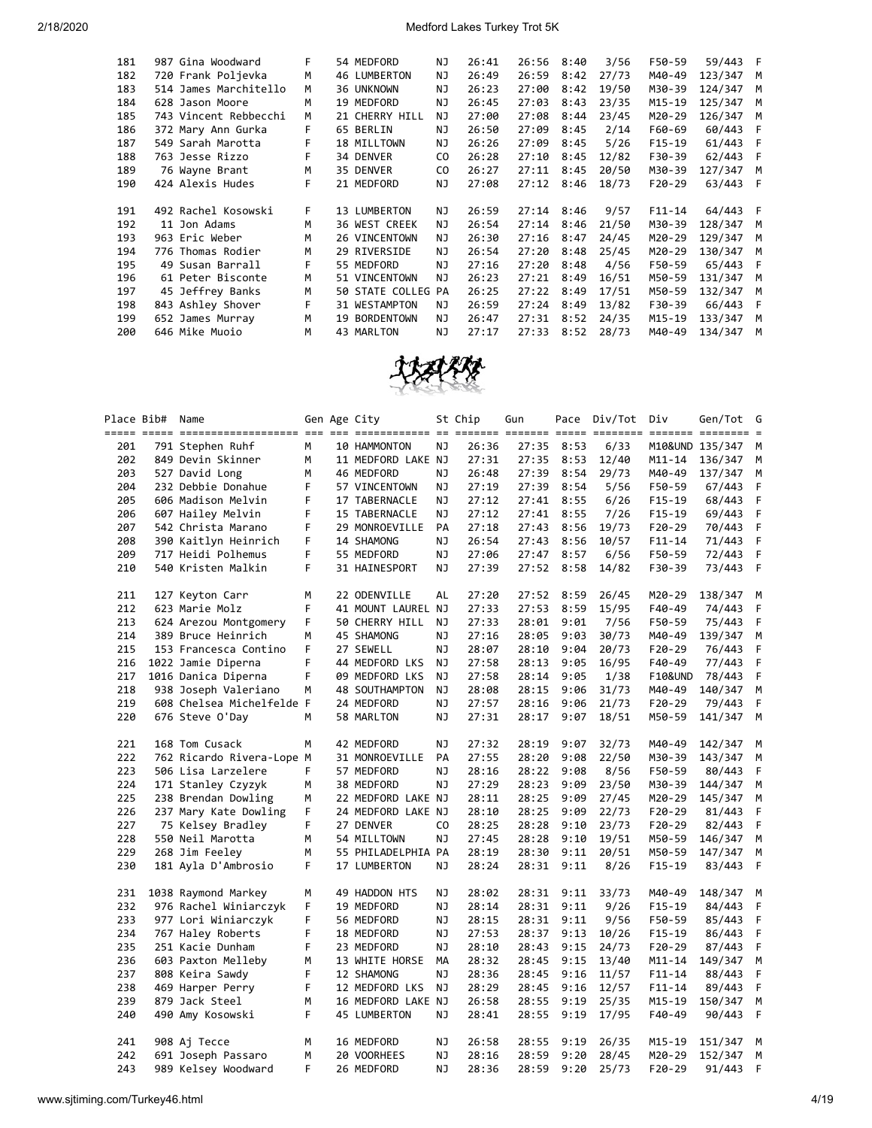| 181 | 987 Gina Woodward     | F  | 54 MEDFORD         | NJ  | 26:41 | 26:56        | 8:40 | 3/56  | F50-59     | 59/443 F |     |
|-----|-----------------------|----|--------------------|-----|-------|--------------|------|-------|------------|----------|-----|
| 182 | 720 Frank Poljevka    | M  | 46 LUMBERTON       | NJ  | 26:49 | 26:59        | 8:42 | 27/73 | M40-49     | 123/347  | M   |
| 183 | 514 James Marchitello | M  | 36 UNKNOWN         | ΝJ  | 26:23 | 27:00        | 8:42 | 19/50 | M30-39     | 124/347  | M   |
| 184 | 628 Jason Moore       | м  | 19 MEDFORD         | NJ  | 26:45 | 27:03        | 8:43 | 23/35 | M15-19     | 125/347  | м   |
| 185 | 743 Vincent Rebbecchi | M  | 21 CHERRY HILL     | NJ  | 27:00 | 27:08        | 8:44 | 23/45 | M20-29     | 126/347  | M   |
| 186 | 372 Mary Ann Gurka    | F. | 65 BERLIN          | ΝJ  | 26:50 | 27:09        | 8:45 | 2/14  | F60-69     | 60/443   | F   |
| 187 | 549 Sarah Marotta     | F  | 18 MILLTOWN        | NJ. | 26:26 | 27:09        | 8:45 | 5/26  | $F15-19$   | 61/443   | - F |
| 188 | 763 Jesse Rizzo       | F  | 34 DENVER          | CO. | 26:28 | 27:10        | 8:45 | 12/82 | F30-39     | 62/443   | F   |
| 189 | 76 Wayne Brant        | M  | 35 DENVER          | CO. | 26:27 | 27:11        | 8:45 | 20/50 | M30-39     | 127/347  | M   |
| 190 | 424 Alexis Hudes      | F  | 21 MEDFORD         | NJ  | 27:08 | 27:12        | 8:46 | 18/73 | $F20-29$   | 63/443   | - F |
|     |                       |    |                    |     |       |              |      |       |            |          |     |
|     |                       |    |                    |     |       |              |      |       |            |          |     |
| 191 | 492 Rachel Kosowski   | F. | 13 LUMBERTON       | NJ  | 26:59 | $27:14$ 8:46 |      | 9/57  | $F11 - 14$ | 64/443 F |     |
| 192 | 11 Jon Adams          | M  | 36 WEST CREEK      | NJ  | 26:54 | 27:14        | 8:46 | 21/50 | M30-39     | 128/347  | M   |
| 193 | 963 Eric Weber        | M  | 26 VINCENTOWN      | ΝJ  | 26:30 | 27:16        | 8:47 | 24/45 | M20-29     | 129/347  | M   |
| 194 | 776 Thomas Rodier     | M  | 29 RIVERSIDE       | NJ  | 26:54 | 27:20        | 8:48 | 25/45 | M20-29     | 130/347  | M   |
| 195 | 49 Susan Barrall      | F  | 55 MEDFORD         | NJ  | 27:16 | 27:20        | 8:48 | 4/56  | F50-59     | 65/443   | F   |
| 196 | 61 Peter Bisconte     | M  | 51 VINCENTOWN      | NJ  | 26:23 | 27:21        | 8:49 | 16/51 | M50-59     | 131/347  | м   |
| 197 | 45 Jeffrey Banks      | M  | 50 STATE COLLEG PA |     | 26:25 | 27:22        | 8:49 | 17/51 | M50-59     | 132/347  | M   |
| 198 | 843 Ashley Shover     | F  | 31 WESTAMPTON      | ΝJ  | 26:59 | 27:24        | 8:49 | 13/82 | F30-39     | 66/443   | F   |
| 199 | 652 James Murray      | M  | 19 BORDENTOWN      | NJ. | 26:47 | 27:31        | 8:52 | 24/35 | M15-19     | 133/347  | M   |
| 200 | 646 Mike Muoio        | M  | 43 MARLTON         | ΝJ  | 27:17 | 27:33        | 8:52 | 28/73 | M40-49     | 134/347  | M   |



|     | Place Bib# Name |                           |   | Gen Age City       |                | St Chip | Gun   |      | Pace Div/Tot | Div                | Gen/Tot<br>$=$ $=$ $=$ $=$ $=$ | G |
|-----|-----------------|---------------------------|---|--------------------|----------------|---------|-------|------|--------------|--------------------|--------------------------------|---|
| 201 |                 | 791 Stephen Ruhf          | M | 10 HAMMONTON       | ΝJ             | 26:36   | 27:35 | 8:53 | 6/33         |                    | M10&UND 135/347                | M |
| 202 |                 | 849 Devin Skinner         | M | 11 MEDFORD LAKE NJ |                | 27:31   | 27:35 | 8:53 | 12/40        | $M11 - 14$         | 136/347                        | M |
| 203 |                 | 527 David Long            | M | 46 MEDFORD         | ΝJ             | 26:48   | 27:39 | 8:54 | 29/73        | M40-49             | 137/347                        | М |
| 204 |                 | 232 Debbie Donahue        | F | 57 VINCENTOWN      | ΝJ             | 27:19   | 27:39 | 8:54 | 5/56         | F50-59             | 67/443                         | F |
| 205 |                 | 606 Madison Melvin        | F | 17 TABERNACLE      | ΝJ             | 27:12   | 27:41 | 8:55 | 6/26         | $F15-19$           | 68/443                         | F |
| 206 |                 | 607 Hailey Melvin         | F | 15 TABERNACLE      | ΝJ             | 27:12   | 27:41 | 8:55 | 7/26         | $F15-19$           | 69/443                         | F |
| 207 |                 | 542 Christa Marano        | F | 29 MONROEVILLE     | PA             | 27:18   | 27:43 | 8:56 | 19/73        | $F20-29$           | 70/443                         | F |
| 208 |                 | 390 Kaitlyn Heinrich      | F | 14 SHAMONG         | <b>NJ</b>      | 26:54   | 27:43 | 8:56 | 10/57        | $F11 - 14$         | 71/443                         | F |
| 209 |                 | 717 Heidi Polhemus        | F | 55 MEDFORD         | <b>NJ</b>      | 27:06   | 27:47 | 8:57 | 6/56         | F50-59             | 72/443                         | F |
| 210 |                 | 540 Kristen Malkin        | F | 31 HAINESPORT      | NJ             | 27:39   | 27:52 | 8:58 | 14/82        | F30-39             | 73/443                         | F |
| 211 |                 | 127 Keyton Carr           | м | 22 ODENVILLE       | AL             | 27:20   | 27:52 | 8:59 | 26/45        | M20-29             | 138/347                        | М |
| 212 |                 | 623 Marie Molz            | F | 41 MOUNT LAUREL NJ |                | 27:33   | 27:53 | 8:59 | 15/95        | $F40-49$           | 74/443                         | F |
| 213 |                 | 624 Arezou Montgomery     | F | 50 CHERRY HILL     | ΝJ             | 27:33   | 28:01 | 9:01 | 7/56         | F50-59             | 75/443                         | F |
| 214 |                 | 389 Bruce Heinrich        | м | 45 SHAMONG         | ΝJ             | 27:16   | 28:05 | 9:03 | 30/73        | M40-49             | 139/347                        | М |
| 215 |                 | 153 Francesca Contino     | F | 27 SEWELL          | <b>NJ</b>      | 28:07   | 28:10 | 9:04 | 20/73        | $F20-29$           | 76/443                         | F |
| 216 |                 | 1022 Jamie Diperna        | F | 44 MEDFORD LKS     | ΝJ             | 27:58   | 28:13 | 9:05 | 16/95        | F40-49             | 77/443                         | F |
| 217 |                 | 1016 Danica Diperna       | F | 09 MEDFORD LKS     | ΝJ             | 27:58   | 28:14 | 9:05 | 1/38         | <b>F10&amp;UND</b> | 78/443                         | F |
| 218 |                 | 938 Joseph Valeriano      | M | 48 SOUTHAMPTON     | ΝJ             | 28:08   | 28:15 | 9:06 | 31/73        | M40-49             | 140/347                        | M |
| 219 |                 | 608 Chelsea Michelfelde F |   | 24 MEDFORD         | NJ             | 27:57   | 28:16 | 9:06 | 21/73        | $F20-29$           | 79/443                         | F |
| 220 |                 | 676 Steve O'Day           | м | 58 MARLTON         | ΝJ             | 27:31   | 28:17 | 9:07 | 18/51        | M50-59             | 141/347                        | M |
| 221 |                 | 168 Tom Cusack            | м | 42 MEDFORD         | ΝJ             | 27:32   | 28:19 | 9:07 | 32/73        | M40-49             | 142/347                        | M |
| 222 |                 | 762 Ricardo Rivera-Lope M |   | 31 MONROEVILLE     | PA             | 27:55   | 28:20 | 9:08 | 22/50        | M30-39             | 143/347                        | М |
| 223 |                 | 506 Lisa Larzelere        | F | 57 MEDFORD         | NJ             | 28:16   | 28:22 | 9:08 | 8/56         | F50-59             | 80/443                         | F |
| 224 |                 | 171 Stanley Czyzyk        | м | 38 MEDFORD         | ΝJ             | 27:29   | 28:23 | 9:09 | 23/50        | M30-39             | 144/347                        | М |
| 225 |                 | 238 Brendan Dowling       | м | 22 MEDFORD LAKE NJ |                | 28:11   | 28:25 | 9:09 | 27/45        | M20-29             | 145/347                        | М |
| 226 |                 | 237 Mary Kate Dowling     | F | 24 MEDFORD LAKE NJ |                | 28:10   | 28:25 | 9:09 | 22/73        | $F20-29$           | 81/443                         | F |
| 227 |                 | 75 Kelsey Bradley         | F | 27 DENVER          | C <sub>0</sub> | 28:25   | 28:28 | 9:10 | 23/73        | F20-29             | 82/443                         | F |
| 228 |                 | 550 Neil Marotta          | М | 54 MILLTOWN        | <b>NJ</b>      | 27:45   | 28:28 | 9:10 | 19/51        | M50-59             | 146/347                        | М |
| 229 |                 | 268 Jim Feeley            | м | 55 PHILADELPHIA PA |                | 28:19   | 28:30 | 9:11 | 20/51        | M50-59             | 147/347                        | М |
| 230 |                 | 181 Ayla D'Ambrosio       | F | 17 LUMBERTON       | ΝJ             | 28:24   | 28:31 | 9:11 | 8/26         | $F15-19$           | 83/443                         | F |
| 231 |                 | 1038 Raymond Markey       | М | 49 HADDON HTS      | ΝJ             | 28:02   | 28:31 | 9:11 | 33/73        | M40-49             | 148/347                        | М |
| 232 |                 | 976 Rachel Winiarczyk     | F | 19 MEDFORD         | ΝJ             | 28:14   | 28:31 | 9:11 | 9/26         | $F15-19$           | 84/443                         | F |
| 233 |                 | 977 Lori Winiarczyk       | F | 56 MEDFORD         | ΝJ             | 28:15   | 28:31 | 9:11 | 9/56         | F50-59             | 85/443                         | F |
| 234 |                 | 767 Haley Roberts         | F | 18 MEDFORD         | ΝJ             | 27:53   | 28:37 | 9:13 | 10/26        | $F15-19$           | 86/443                         | F |
| 235 |                 | 251 Kacie Dunham          | F | 23 MEDFORD         | ΝJ             | 28:10   | 28:43 | 9:15 | 24/73        | $F20-29$           | 87/443                         | F |
| 236 |                 | 603 Paxton Melleby        | M | 13 WHITE HORSE     | МA             | 28:32   | 28:45 | 9:15 | 13/40        | M11-14             | 149/347                        | М |
| 237 |                 | 808 Keira Sawdy           | F | 12 SHAMONG         | ΝJ             | 28:36   | 28:45 | 9:16 | 11/57        | $F11 - 14$         | 88/443                         | F |
| 238 |                 | 469 Harper Perry          | F | 12 MEDFORD LKS     | ΝJ             | 28:29   | 28:45 | 9:16 | 12/57        | $F11 - 14$         | 89/443                         | F |
| 239 |                 | 879 Jack Steel            | М | 16 MEDFORD LAKE NJ |                | 26:58   | 28:55 | 9:19 | 25/35        | M15-19             | 150/347                        | M |
| 240 |                 | 490 Amy Kosowski          | F | 45 LUMBERTON       | ΝJ             | 28:41   | 28:55 | 9:19 | 17/95        | F40-49             | 90/443                         | F |
| 241 |                 | 908 Aj Tecce              | м | 16 MEDFORD         | ΝJ             | 26:58   | 28:55 | 9:19 | 26/35        | M15-19             | 151/347                        | M |
| 242 |                 | 691 Joseph Passaro        | M | 20 VOORHEES        | ΝJ             | 28:16   | 28:59 | 9:20 | 28/45        | M20-29             | 152/347                        | M |
| 243 |                 | 989 Kelsey Woodward       | F | 26 MEDFORD         | ΝJ             | 28:36   | 28:59 | 9:20 | 25/73        | $F20-29$           | 91/443                         | F |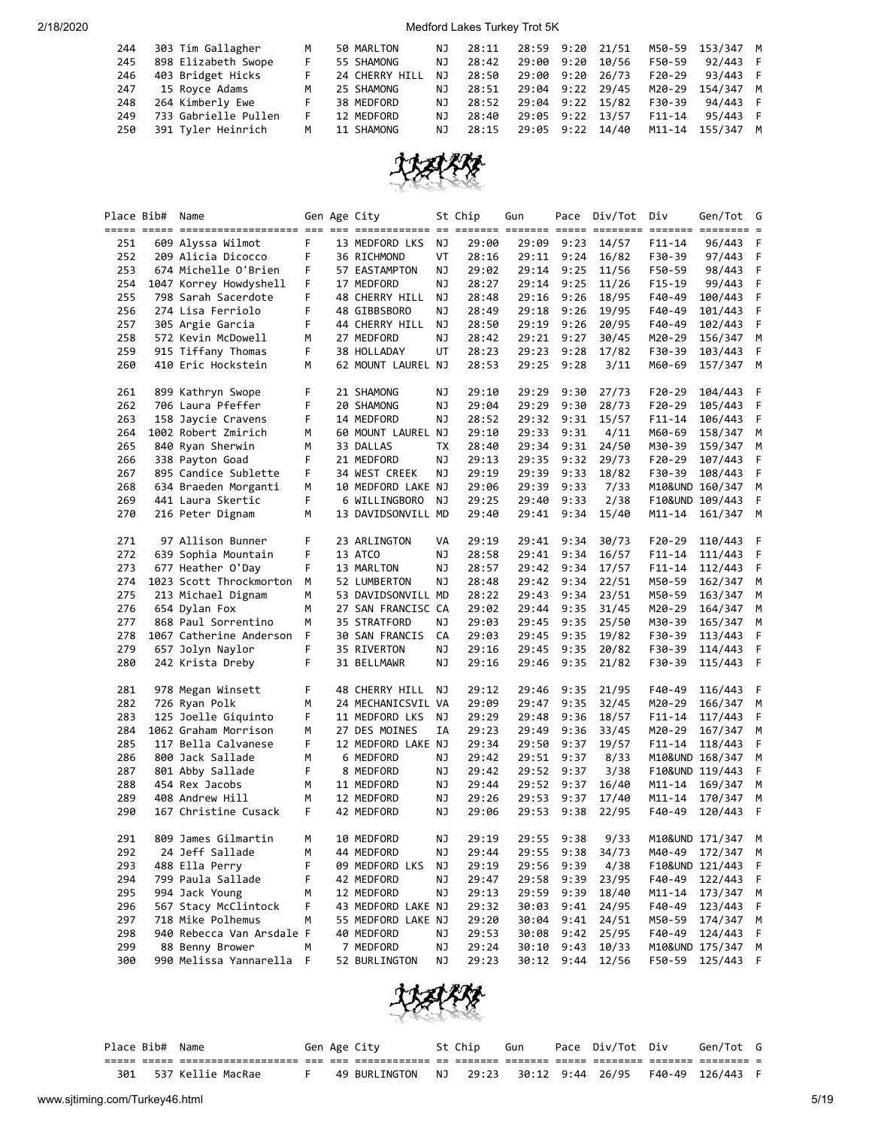| 244 | 303 Tim Gallagher    | M  | 50 MARLTON     | NJ. | 28:11 | 28:59 9:20 | 21/51            |            | M50-59 153/347 M |  |
|-----|----------------------|----|----------------|-----|-------|------------|------------------|------------|------------------|--|
| 245 | 898 Elizabeth Swope  | F  | 55 SHAMONG     | NJ  | 28:42 | 29:00 9:20 | 10/56            | F50-59     | 92/443 F         |  |
| 246 | 403 Bridget Hicks    | F. | 24 CHERRY HILL | NJ. | 28:50 | 29:00 9:20 | 26/73            | $F20-29$   | 93/443 F         |  |
| 247 | 15 Royce Adams       | M  | 25 SHAMONG     | NJ. | 28:51 | 29:04 9:22 | 29/45            | M20-29     | 154/347 M        |  |
| 248 | 264 Kimberly Ewe     |    | 38 MEDFORD     | NJ. | 28:52 |            | 29:04 9:22 15/82 | F30-39     | 94/443 F         |  |
| 249 | 733 Gabrielle Pullen | F  | 12 MEDFORD     | NJ  | 28:40 | 29:05 9:22 | 13/57            | $F11 - 14$ | 95/443 F         |  |
| 250 | 391 Tyler Heinrich   | M  | 11 SHAMONG     | NJ. | 28:15 | 29:05 9:22 | 14/40            | M11-14     | 155/347 M        |  |



|            | Place Bib# | Name                                |        | Gen Age City                    |    | St Chip        | Gun   |              | Pace Div/Tot   | Div        | Gen/Tot         | G      |
|------------|------------|-------------------------------------|--------|---------------------------------|----|----------------|-------|--------------|----------------|------------|-----------------|--------|
|            |            |                                     |        |                                 |    |                |       |              |                |            |                 |        |
| 251        |            | 609 Alyssa Wilmot                   | F      | 13 MEDFORD LKS                  | ΝJ | 29:00          | 29:09 | 9:23         | 14/57          | F11-14     | 96/443          | F      |
| 252        |            | 209 Alicia Dicocco                  | F      | 36 RICHMOND                     | VT | 28:16          | 29:11 | 9:24         | 16/82          | F30-39     | 97/443          | F      |
| 253        |            | 674 Michelle O'Brien                | F      | 57 EASTAMPTON                   | ΝJ | 29:02          | 29:14 | 9:25         | 11/56          | F50-59     | 98/443          | F      |
| 254        |            | 1047 Korrey Howdyshell              | F      | 17 MEDFORD                      | ΝJ | 28:27          | 29:14 | 9:25         | 11/26          | $F15-19$   | 99/443          | F      |
| 255        |            | 798 Sarah Sacerdote                 | F      | 48 CHERRY HILL                  | ΝJ | 28:48          | 29:16 | 9:26         | 18/95          | F40-49     | 100/443         | F      |
| 256        |            | 274 Lisa Ferriolo                   | F      | 48 GIBBSBORO                    | ΝJ | 28:49          | 29:18 | 9:26         | 19/95          | F40-49     | 101/443         | F      |
| 257        |            | 305 Argie Garcia                    | F      | 44 CHERRY HILL                  | ΝJ | 28:50          | 29:19 | 9:26         | 20/95          | F40-49     | 102/443         | F      |
| 258        |            | 572 Kevin McDowell                  | м      | 27 MEDFORD                      | ΝJ | 28:42          | 29:21 | 9:27         | 30/45          | M20-29     | 156/347         | М      |
| 259        |            | 915 Tiffany Thomas                  | F      | 38 HOLLADAY                     | UT | 28:23          | 29:23 | 9:28         | 17/82          | F30-39     | 103/443         | F      |
| 260        |            | 410 Eric Hockstein                  | М      | 62 MOUNT LAUREL NJ              |    | 28:53          | 29:25 | 9:28         | 3/11           | M60-69     | 157/347 M       |        |
|            |            |                                     |        |                                 |    |                |       |              |                |            |                 |        |
| 261        |            | 899 Kathryn Swope                   | F      | 21 SHAMONG                      | ΝJ | 29:10          | 29:29 | 9:30         | 27/73          | F20-29     | 104/443         | F      |
| 262        |            | 706 Laura Pfeffer                   | F      | 20 SHAMONG                      | ΝJ | 29:04          | 29:29 | 9:30         | 28/73          | $F20-29$   | 105/443         | F      |
| 263        |            | 158 Jaycie Cravens                  | F      | 14 MEDFORD                      | ΝJ | 28:52          | 29:32 | 9:31         | 15/57          | $F11 - 14$ | 106/443         | F      |
| 264        |            | 1002 Robert Zmirich                 | м      | 60 MOUNT LAUREL NJ              |    | 29:10          | 29:33 | 9:31         | 4/11           | M60-69     | 158/347         | М      |
| 265        |            | 840 Ryan Sherwin                    | M      | 33 DALLAS                       | ТX | 28:40          | 29:34 | 9:31         | 24/50          | M30-39     | 159/347         | М      |
| 266        |            | 338 Payton Goad                     | F      | 21 MEDFORD                      | ΝJ | 29:13          | 29:35 | 9:32         | 29/73          | F20-29     | 107/443         | F      |
| 267        |            | 895 Candice Sublette                | F      | 34 WEST CREEK                   | ΝJ | 29:19          | 29:39 | 9:33         | 18/82          | F30-39     | 108/443         | F      |
| 268        |            | 634 Braeden Morganti                | М      | 10 MEDFORD LAKE NJ              |    | 29:06          | 29:39 | 9:33         | 7/33           |            | M10&UND 160/347 | М      |
| 269        |            | 441 Laura Skertic                   | F      | 6 WILLINGBORO                   | ΝJ | 29:25          | 29:40 | 9:33         | 2/38           |            | F10&UND 109/443 | F      |
| 270        |            | 216 Peter Dignam                    | м      | 13 DAVIDSONVILL MD              |    | 29:40          | 29:41 | 9:34         | 15/40          | $M11 - 14$ | 161/347         | М      |
|            |            |                                     |        |                                 |    |                |       |              |                |            |                 |        |
| 271        |            | 97 Allison Bunner                   | F      | 23 ARLINGTON                    | VA | 29:19          | 29:41 | 9:34         | 30/73          | $F20-29$   | 110/443         | F      |
| 272        |            | 639 Sophia Mountain                 | F      | 13 ATCO                         | ΝJ | 28:58          | 29:41 | 9:34         | 16/57          | $F11 - 14$ | 111/443         | F      |
| 273        |            | 677 Heather O'Day                   | F      | 13 MARLTON                      | ΝJ | 28:57          | 29:42 | 9:34         | 17/57          | $F11 - 14$ | 112/443         | F      |
| 274        |            | 1023 Scott Throckmorton             | М      | 52 LUMBERTON                    | ΝJ | 28:48          | 29:42 | 9:34         | 22/51          | M50-59     | 162/347         | М      |
| 275        |            |                                     | М      | 53 DAVIDSONVILL MD              |    | 28:22          | 29:43 | 9:34         | 23/51          | M50-59     | 163/347         | М      |
|            |            | 213 Michael Dignam<br>654 Dylan Fox |        |                                 |    |                |       |              |                | M20-29     |                 |        |
| 276<br>277 |            | 868 Paul Sorrentino                 | м<br>м | 27 SAN FRANCISC CA              |    | 29:02          | 29:44 | 9:35         | 31/45          |            | 164/347         | М      |
|            |            |                                     |        | 35 STRATFORD                    | ΝJ | 29:03          | 29:45 | 9:35         | 25/50          | M30-39     | 165/347         | M      |
| 278        |            | 1067 Catherine Anderson             | F      | 30 SAN FRANCIS                  | CA | 29:03          | 29:45 | 9:35         | 19/82          | F30-39     | 113/443         | F      |
| 279        |            | 657 Jolyn Naylor                    | F      | 35 RIVERTON                     | ΝJ | 29:16          | 29:45 | 9:35         | 20/82          | F30-39     | 114/443         | F      |
| 280        |            | 242 Krista Dreby                    | F      | 31 BELLMAWR                     | ΝJ | 29:16          | 29:46 | 9:35         | 21/82          | F30-39     | 115/443         | F      |
| 281        |            | 978 Megan Winsett                   | F      | 48 CHERRY HILL                  | ΝJ | 29:12          | 29:46 | 9:35         | 21/95          | F40-49     | 116/443         | F      |
| 282        |            | 726 Ryan Polk                       | M      |                                 |    | 29:09          | 29:47 | 9:35         | 32/45          | M20-29     |                 | М      |
| 283        |            | 125 Joelle Giquinto                 | F      | 24 MECHANICSVIL VA              | ΝJ | 29:29          |       |              |                |            | 166/347         | F      |
| 284        |            | 1062 Graham Morrison                | м      | 11 MEDFORD LKS<br>27 DES MOINES | IΑ |                | 29:48 | 9:36         | 18/57<br>33/45 | $F11 - 14$ | 117/443         |        |
| 285        |            | 117 Bella Calvanese                 | F      | 12 MEDFORD LAKE NJ              |    | 29:23<br>29:34 | 29:49 | 9:36<br>9:37 | 19/57          | M20-29     | 167/347         | М<br>F |
|            |            |                                     |        |                                 |    |                | 29:50 |              |                | F11-14     | 118/443         |        |
| 286        |            | 800 Jack Sallade                    | м      | 6 MEDFORD                       | ΝJ | 29:42          | 29:51 | 9:37         | 8/33           |            | M10&UND 168/347 | М      |
| 287        |            | 801 Abby Sallade                    | F      | 8 MEDFORD                       | ΝJ | 29:42          | 29:52 | 9:37         | 3/38           |            | F10&UND 119/443 | F      |
| 288        |            | 454 Rex Jacobs                      | м      | 11 MEDFORD                      | ΝJ | 29:44          | 29:52 | 9:37         | 16/40          | M11-14     | 169/347         | М      |
| 289        |            | 408 Andrew Hill                     | м      | 12 MEDFORD                      | ΝJ | 29:26          | 29:53 | 9:37         | 17/40          | M11-14     | 170/347         | М      |
| 290        |            | 167 Christine Cusack                | F      | 42 MEDFORD                      | ΝJ | 29:06          | 29:53 | 9:38         | 22/95          | F40-49     | 120/443         | F      |
| 291        |            | 809 James Gilmartin                 | м      | 10 MEDFORD                      | ΝJ | 29:19          |       | 29:55 9:38   | 9/33           |            | M10&UND 171/347 | M      |
|            |            |                                     |        |                                 |    |                |       |              |                | M40-49     |                 |        |
| 292        |            | 24 Jeff Sallade                     | М      | 44 MEDFORD                      | ΝJ | 29:44          | 29:55 | 9:38         | 34/73          |            | 172/347         | M      |
| 293<br>294 |            | 488 Ella Perry<br>799 Paula Sallade | F      | 09 MEDFORD LKS                  | ΝJ | 29:19<br>29:47 | 29:56 | 9:39         | 4/38           |            | F10&UND 121/443 | F      |
|            |            |                                     | F      | 42 MEDFORD                      | ΝJ |                | 29:58 | 9:39         | 23/95          | F40-49     | 122/443         | F      |
| 295        |            | 994 Jack Young                      | М      | 12 MEDFORD                      | ΝJ | 29:13          | 29:59 | 9:39         | 18/40          | $M11 - 14$ | 173/347         | M      |
| 296        |            | 567 Stacy McClintock                | F      | 43 MEDFORD LAKE NJ              |    | 29:32          | 30:03 | 9:41         | 24/95          | F40-49     | 123/443         | F      |
| 297        |            | 718 Mike Polhemus                   | м      | 55 MEDFORD LAKE NJ              |    | 29:20          | 30:04 | 9:41         | 24/51          | M50-59     | 174/347         | M      |
| 298        |            | 940 Rebecca Van Arsdale F           |        | 40 MEDFORD                      | ΝJ | 29:53          | 30:08 | 9:42         | 25/95          | F40-49     | 124/443         | F      |
| 299        |            | 88 Benny Brower                     | м      | 7 MEDFORD                       | ΝJ | 29:24          | 30:10 | 9:43         | 10/33          |            | M10&UND 175/347 | M      |
| 300        |            | 990 Melissa Yannarella F            |        | 52 BURLINGTON                   | ΝJ | 29:23          |       | 30:12 9:44   | 12/56          | F50-59     | 125/443 F       |        |



| Place Bib# | Name              |  | Gen Age City  |    | St Chip | Gun | Pace Div/Tot Div | Gen/Tot        |  |
|------------|-------------------|--|---------------|----|---------|-----|------------------|----------------|--|
|            |                   |  |               |    |         |     |                  |                |  |
| 301        | 537 Kellie MacRae |  | 49 BURLINGTON | NJ | 29:23   |     | 30:12 9:44 26/95 | F40-49 126/443 |  |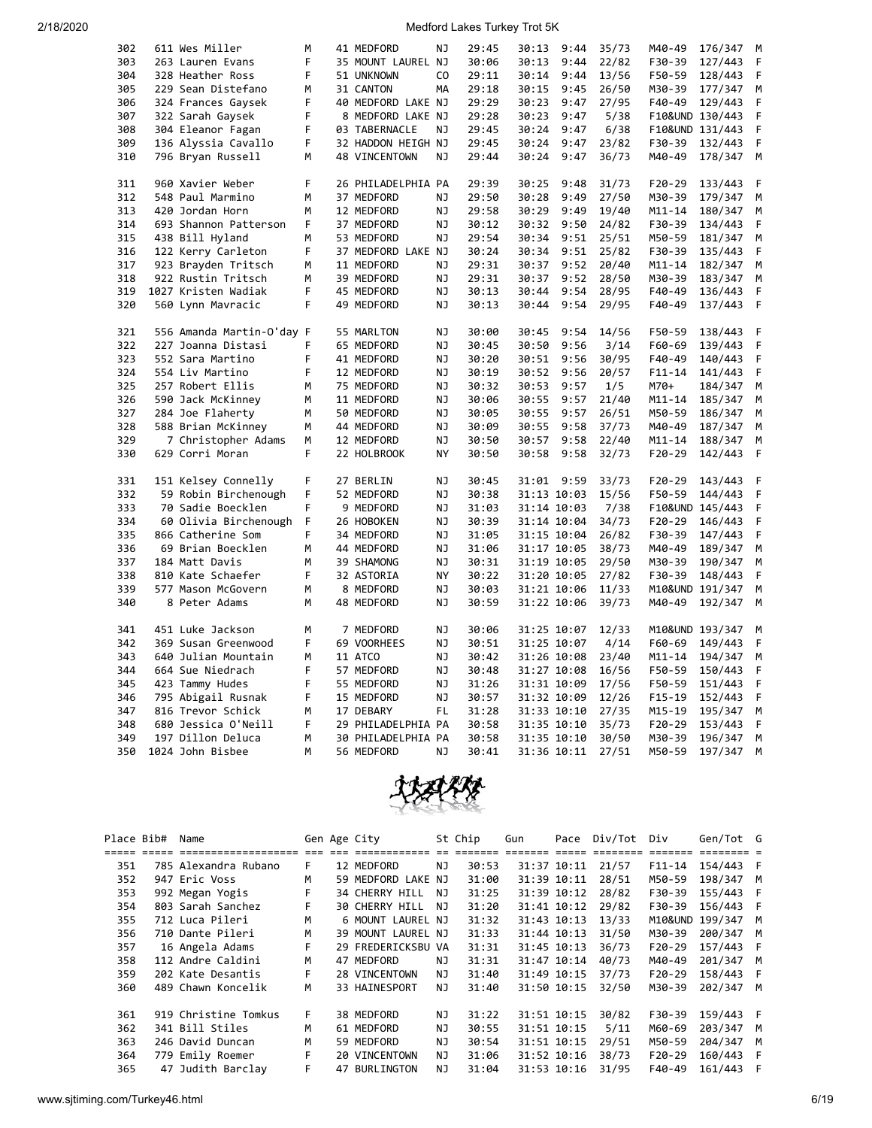| 302 | 611 Wes Miller            | M | 41 MEDFORD         | NJ             | 29:45 | 30:13       | 9:44 | 35/73 | M40-49          | 176/347         | M |
|-----|---------------------------|---|--------------------|----------------|-------|-------------|------|-------|-----------------|-----------------|---|
| 303 | 263 Lauren Evans          | F | 35 MOUNT LAUREL NJ |                | 30:06 | 30:13       | 9:44 | 22/82 | F30-39          | 127/443         | F |
| 304 | 328 Heather Ross          | F | 51 UNKNOWN         | C <sub>O</sub> | 29:11 | 30:14       | 9:44 | 13/56 | F50-59          | 128/443         | F |
| 305 | 229 Sean Distefano        | М | 31 CANTON          | MA             | 29:18 | 30:15       | 9:45 | 26/50 | M30-39          | 177/347         | М |
| 306 | 324 Frances Gaysek        | F | 40 MEDFORD LAKE NJ |                | 29:29 | 30:23       | 9:47 | 27/95 | F40-49          | 129/443         | F |
| 307 | 322 Sarah Gaysek          | F | 8 MEDFORD LAKE NJ  |                | 29:28 | 30:23       | 9:47 | 5/38  |                 | F10&UND 130/443 | F |
| 308 | 304 Eleanor Fagan         | F | 03 TABERNACLE      | ΝJ             | 29:45 | 30:24       | 9:47 | 6/38  |                 | F10&UND 131/443 | F |
| 309 | 136 Alyssia Cavallo       | F | 32 HADDON HEIGH NJ |                | 29:45 | 30:24       | 9:47 | 23/82 | F30-39          | 132/443         | F |
| 310 | 796 Bryan Russell         | М | 48 VINCENTOWN      | NJ             | 29:44 | 30:24       | 9:47 | 36/73 | M40-49          | 178/347         | M |
|     |                           |   |                    |                |       |             |      |       |                 |                 |   |
| 311 | 960 Xavier Weber          | F | 26 PHILADELPHIA PA |                | 29:39 | 30:25       | 9:48 | 31/73 | F20-29          | 133/443         | F |
| 312 | 548 Paul Marmino          | M | 37 MEDFORD         | NJ             | 29:50 | 30:28       | 9:49 | 27/50 | M30-39          | 179/347         | M |
| 313 | 420 Jordan Horn           | м | 12 MEDFORD         | ΝJ             | 29:58 | 30:29       | 9:49 | 19/40 | M11-14          | 180/347         | M |
| 314 | 693 Shannon Patterson     | F | 37 MEDFORD         | NJ             | 30:12 | 30:32       | 9:50 | 24/82 | F30-39          | 134/443         | F |
| 315 | 438 Bill Hyland           | M | 53 MEDFORD         | NJ             | 29:54 | 30:34       | 9:51 | 25/51 | M50-59          | 181/347         | М |
| 316 | 122 Kerry Carleton        | F | 37 MEDFORD LAKE NJ |                | 30:24 | 30:34       | 9:51 | 25/82 | F30-39          | 135/443         | F |
|     |                           |   |                    |                |       |             |      |       |                 |                 |   |
| 317 | 923 Brayden Tritsch       | M | 11 MEDFORD         | NJ             | 29:31 | 30:37       | 9:52 | 20/40 | $M11 - 14$      | 182/347         | M |
| 318 | 922 Rustin Tritsch        | M | 39 MEDFORD         | NJ             | 29:31 | 30:37       | 9:52 | 28/50 | M30-39          | 183/347         | M |
| 319 | 1027 Kristen Wadiak       | F | 45 MEDFORD         | NJ             | 30:13 | 30:44       | 9:54 | 28/95 | F40-49          | 136/443         | F |
| 320 | 560 Lynn Mavracic         | F | 49 MEDFORD         | NJ             | 30:13 | 30:44       | 9:54 | 29/95 | F40-49          | 137/443         | F |
| 321 | 556 Amanda Martin-O'day F |   | 55 MARLTON         | NJ             | 30:00 | 30:45       | 9:54 | 14/56 | F50-59          | 138/443         | F |
| 322 | 227 Joanna Distasi        | F | 65 MEDFORD         | NJ             | 30:45 | 30:50       | 9:56 | 3/14  | F60-69          | 139/443         | F |
| 323 | 552 Sara Martino          | F | 41 MEDFORD         | ΝJ             | 30:20 | 30:51       | 9:56 | 30/95 | F40-49          | 140/443         | F |
| 324 | 554 Liv Martino           | F |                    | ΝJ             | 30:19 |             | 9:56 |       |                 |                 | F |
|     |                           |   | 12 MEDFORD         |                |       | 30:52       |      | 20/57 | $F11 - 14$      | 141/443         |   |
| 325 | 257 Robert Ellis          | М | 75 MEDFORD         | ΝJ             | 30:32 | 30:53       | 9:57 | 1/5   | M70+            | 184/347         | М |
| 326 | 590 Jack McKinney         | M | 11 MEDFORD         | ΝJ             | 30:06 | 30:55       | 9:57 | 21/40 | M11-14          | 185/347         | M |
| 327 | 284 Joe Flaherty          | M | 50 MEDFORD         | NJ             | 30:05 | 30:55       | 9:57 | 26/51 | M50-59          | 186/347         | M |
| 328 | 588 Brian McKinney        | M | 44 MEDFORD         | NJ             | 30:09 | 30:55       | 9:58 | 37/73 | M40-49          | 187/347         | M |
| 329 | 7 Christopher Adams       | М | 12 MEDFORD         | ΝJ             | 30:50 | 30:57       | 9:58 | 22/40 | M11-14          | 188/347         | M |
| 330 | 629 Corri Moran           | F | 22 HOLBROOK        | NY             | 30:50 | 30:58       | 9:58 | 32/73 | F20-29          | 142/443         | F |
| 331 | 151 Kelsey Connelly       | F | 27 BERLIN          | ΝJ             | 30:45 | 31:01       | 9:59 | 33/73 | F20-29          | 143/443         | F |
| 332 | 59 Robin Birchenough      | F | 52 MEDFORD         | NJ             | 30:38 | 31:13 10:03 |      | 15/56 | F50-59          | 144/443         | F |
| 333 | 70 Sadie Boecklen         | F | 9 MEDFORD          | ΝJ             | 31:03 | 31:14 10:03 |      | 7/38  |                 | F10&UND 145/443 | F |
|     |                           | F |                    |                |       |             |      |       |                 |                 | F |
| 334 | 60 Olivia Birchenough     |   | 26 HOBOKEN         | ΝJ             | 30:39 | 31:14 10:04 |      | 34/73 | F20-29          | 146/443         |   |
| 335 | 866 Catherine Som         | F | 34 MEDFORD         | ΝJ             | 31:05 | 31:15 10:04 |      | 26/82 | F30-39          | 147/443         | F |
| 336 | 69 Brian Boecklen         | М | 44 MEDFORD         | NJ             | 31:06 | 31:17 10:05 |      | 38/73 | M40-49          | 189/347         | M |
| 337 | 184 Matt Davis            | M | 39 SHAMONG         | NJ             | 30:31 | 31:19 10:05 |      | 29/50 | M30-39          | 190/347         | M |
| 338 | 810 Kate Schaefer         | F | 32 ASTORIA         | NY             | 30:22 | 31:20 10:05 |      | 27/82 | F30-39          | 148/443         | F |
| 339 | 577 Mason McGovern        | М | 8 MEDFORD          | ΝJ             | 30:03 | 31:21 10:06 |      | 11/33 |                 | M10&UND 191/347 | M |
| 340 | 8 Peter Adams             | M | 48 MEDFORD         | NJ             | 30:59 | 31:22 10:06 |      | 39/73 | M40-49          | 192/347         | M |
| 341 | 451 Luke Jackson          | M | 7 MEDFORD          | ΝJ             | 30:06 | 31:25 10:07 |      | 12/33 | M10&UND 193/347 |                 | M |
| 342 | 369 Susan Greenwood       | F | 69 VOORHEES        | ΝJ             | 30:51 | 31:25 10:07 |      | 4/14  | F60-69          | 149/443         | F |
| 343 |                           |   |                    | ΝJ             | 30:42 |             |      |       |                 |                 |   |
|     | 640 Julian Mountain       | М | 11 ATCO            |                |       | 31:26 10:08 |      | 23/40 | M11-14          | 194/347         | М |
| 344 | 664 Sue Niedrach          | F | 57 MEDFORD         | NJ             | 30:48 | 31:27 10:08 |      | 16/56 | F50-59          | 150/443         | F |
| 345 | 423 Tammy Hudes           | F | 55 MEDFORD         | ΝJ             | 31:26 | 31:31 10:09 |      | 17/56 | F50-59          | 151/443         | F |
| 346 | 795 Abigail Rusnak        | F | 15 MEDFORD         | ΝJ             | 30:57 | 31:32 10:09 |      | 12/26 | F15-19          | 152/443         | F |
| 347 | 816 Trevor Schick         | М | 17 DEBARY          | FL             | 31:28 | 31:33 10:10 |      | 27/35 | M15-19          | 195/347         | M |
| 348 | 680 Jessica O'Neill       | F | 29 PHILADELPHIA PA |                | 30:58 | 31:35 10:10 |      | 35/73 | F20-29          | 153/443         | F |
| 349 | 197 Dillon Deluca         | M | 30 PHILADELPHIA PA |                | 30:58 | 31:35 10:10 |      | 30/50 | M30-39          | 196/347         | M |
| 350 | 1024 John Bisbee          | M | 56 MEDFORD         | NJ             | 30:41 | 31:36 10:11 |      | 27/51 | M50-59          | 197/347         | M |



| Place Bib# | Name                 |      | Gen Age City          |     | St Chip | Gun | Pace        | Div/Tot | Div        | Gen/Tot G       |          |
|------------|----------------------|------|-----------------------|-----|---------|-----|-------------|---------|------------|-----------------|----------|
|            | ==================   | $==$ | =====                 |     |         |     |             |         |            |                 |          |
| 351        | 785 Alexandra Rubano | F.   | 12 MEDFORD            | NJ  | 30:53   |     | 31:37 10:11 | 21/57   | $F11 - 14$ | 154/443         | E        |
| 352        | 947 Eric Voss        | м    | 59 MEDFORD LAKE NJ    |     | 31:00   |     | 31:39 10:11 | 28/51   | M50-59     | 198/347         | M        |
| 353        | 992 Megan Yogis      |      | 34 CHERRY HILL        | NJ  | 31:25   |     | 31:39 10:12 | 28/82   | F30-39     | 155/443         |          |
| 354        | 803 Sarah Sanchez    |      | <b>30 CHERRY HILL</b> | NJ  | 31:20   |     | 31:41 10:12 | 29/82   | F30-39     | 156/443         |          |
| 355        | 712 Luca Pileri      | м    | 6 MOUNT LAUREL NJ     |     | 31:32   |     | 31:43 10:13 | 13/33   |            | M10&UND 199/347 | M        |
| 356        | 710 Dante Pileri     | м    | 39 MOUNT LAUREL NJ    |     | 31:33   |     | 31:44 10:13 | 31/50   | M30-39     | 200/347 M       |          |
| 357        | 16 Angela Adams      |      | 29 FREDERICKSBU VA    |     | 31:31   |     | 31:45 10:13 | 36/73   | $F20-29$   | 157/443 F       |          |
| 358        | 112 Andre Caldini    | м    | 47 MEDFORD            | ΝJ  | 31:31   |     | 31:47 10:14 | 40/73   | M40-49     | 201/347 M       |          |
| 359        | 202 Kate Desantis    | F    | 28 VINCENTOWN         | NJ. | 31:40   |     | 31:49 10:15 | 37/73   | $F20-29$   | 158/443 F       |          |
| 360        | 489 Chawn Koncelik   | М    | 33 HAINESPORT         | NJ. | 31:40   |     | 31:50 10:15 | 32/50   | M30-39     | 202/347 M       |          |
|            |                      |      |                       |     |         |     |             |         |            |                 |          |
| 361        | 919 Christine Tomkus | F.   | 38 MEDFORD            | NJ  | 31:22   |     | 31:51 10:15 | 30/82   | F30-39     | 159/443 F       |          |
| 362        | 341 Bill Stiles      | м    | 61 MEDFORD            | NJ  | 30:55   |     | 31:51 10:15 | 5/11    | M60-69     | 203/347         | <b>M</b> |
| 363        | 246 David Duncan     | м    | 59 MEDFORD            | ΝJ  | 30:54   |     | 31:51 10:15 | 29/51   | M50-59     | 204/347         | M        |
| 364        | 779 Emily Roemer     | F.   | 20 VINCENTOWN         | NJ. | 31:06   |     | 31:52 10:16 | 38/73   | $F20-29$   | 160/443         | F        |
| 365        | 47 Judith Barclay    | F    | 47 BURLINGTON         | ΝJ  | 31:04   |     | 31:53 10:16 | 31/95   | F40-49     | 161/443         |          |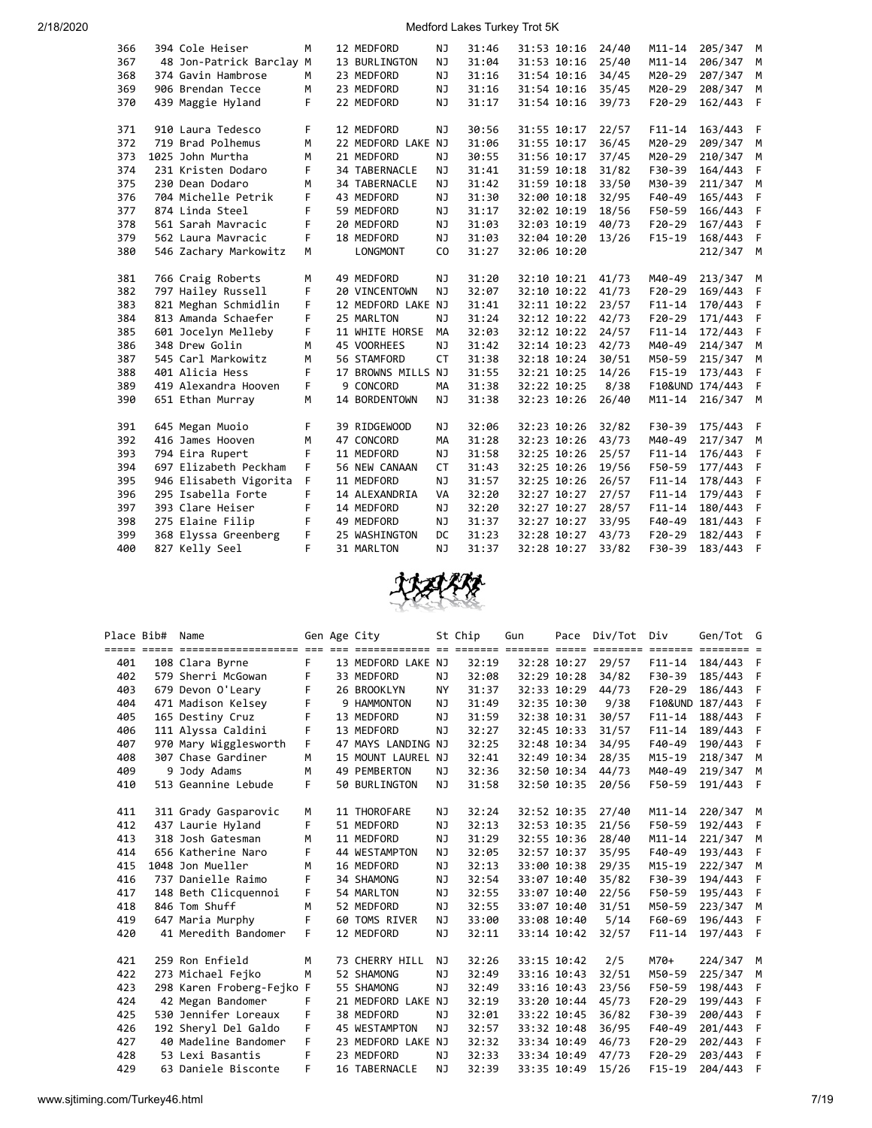| 366 | 394 Cole Heiser          | м  | 12 MEDFORD           | ΝJ             | 31:46 | 31:53 10:16 | 24/40 | $M11 - 14$ | 205/347 M       |   |
|-----|--------------------------|----|----------------------|----------------|-------|-------------|-------|------------|-----------------|---|
| 367 | 48 Jon-Patrick Barclay M |    | 13 BURLINGTON        | NJ             | 31:04 | 31:53 10:16 | 25/40 | $M11 - 14$ | 206/347         | M |
| 368 | 374 Gavin Hambrose       | М  | 23 MEDFORD           | NJ             | 31:16 | 31:54 10:16 | 34/45 | M20-29     | 207/347         | M |
| 369 | 906 Brendan Tecce        | М  | 23 MEDFORD           | ΝJ             | 31:16 | 31:54 10:16 | 35/45 | M20-29     | 208/347         | M |
| 370 | 439 Maggie Hyland        | F  | 22 MEDFORD           | NJ             | 31:17 | 31:54 10:16 | 39/73 | $F20-29$   | 162/443         | F |
|     |                          |    |                      |                |       |             |       |            |                 |   |
| 371 | 910 Laura Tedesco        | F. | 12 MEDFORD           | NJ             | 30:56 | 31:55 10:17 | 22/57 | $F11 - 14$ | 163/443         | F |
| 372 | 719 Brad Polhemus        | M  | 22 MEDFORD LAKE NJ   |                | 31:06 | 31:55 10:17 | 36/45 | M20-29     | 209/347         | M |
| 373 | 1025 John Murtha         | M  | 21 MEDFORD           | NJ             | 30:55 | 31:56 10:17 | 37/45 | M20-29     | 210/347         | M |
| 374 | 231 Kristen Dodaro       | F  | <b>34 TABERNACLE</b> | NJ             | 31:41 | 31:59 10:18 | 31/82 | F30-39     | 164/443         | F |
| 375 | 230 Dean Dodaro          | м  | 34 TABERNACLE        | NJ             | 31:42 | 31:59 10:18 | 33/50 | M30-39     | 211/347         | M |
| 376 | 704 Michelle Petrik      | F  | 43 MEDFORD           | NJ             | 31:30 | 32:00 10:18 | 32/95 | F40-49     | 165/443         | F |
| 377 | 874 Linda Steel          | F  | 59 MEDFORD           | NJ             | 31:17 | 32:02 10:19 | 18/56 | F50-59     | 166/443         | F |
| 378 | 561 Sarah Mavracic       | F  | 20 MEDFORD           | <b>NJ</b>      | 31:03 | 32:03 10:19 | 40/73 | $F20-29$   | 167/443         | F |
| 379 | 562 Laura Mavracic       | F  | 18 MEDFORD           | NJ             | 31:03 | 32:04 10:20 | 13/26 | $F15-19$   | 168/443         | F |
| 380 | 546 Zachary Markowitz    | M  | <b>LONGMONT</b>      | C <sub>0</sub> | 31:27 | 32:06 10:20 |       |            | 212/347         | M |
|     |                          |    |                      |                |       |             |       |            |                 |   |
| 381 | 766 Craig Roberts        | M  | 49 MEDFORD           | NJ             | 31:20 | 32:10 10:21 | 41/73 | M40-49     | 213/347         | M |
| 382 | 797 Hailey Russell       | F. | 20 VINCENTOWN        | NJ             | 32:07 | 32:10 10:22 | 41/73 | $F20-29$   | 169/443         | F |
| 383 | 821 Meghan Schmidlin     | F. | 12 MEDFORD LAKE NJ   |                | 31:41 | 32:11 10:22 | 23/57 | $F11 - 14$ | 170/443         | F |
| 384 | 813 Amanda Schaefer      | F. | 25 MARLTON           | <b>NJ</b>      | 31:24 | 32:12 10:22 | 42/73 | $F20-29$   | 171/443         | F |
| 385 | 601 Jocelyn Melleby      | F. | 11 WHITE HORSE       | МA             | 32:03 | 32:12 10:22 | 24/57 | $F11 - 14$ | 172/443         | F |
| 386 | 348 Drew Golin           | М  | 45 VOORHEES          | <b>NJ</b>      | 31:42 | 32:14 10:23 | 42/73 | M40-49     | 214/347         | M |
| 387 | 545 Carl Markowitz       | М  | 56 STAMFORD          | CT             | 31:38 | 32:18 10:24 | 30/51 | M50-59     | 215/347         | M |
| 388 | 401 Alicia Hess          | F  | 17 BROWNS MILLS NJ   |                | 31:55 | 32:21 10:25 | 14/26 | $F15-19$   | 173/443         | F |
| 389 | 419 Alexandra Hooven     | F  | 9 CONCORD            | MA             | 31:38 | 32:22 10:25 | 8/38  |            | F10&UND 174/443 | F |
| 390 | 651 Ethan Murray         | м  | 14 BORDENTOWN        | NJ.            | 31:38 | 32:23 10:26 | 26/40 | $M11 - 14$ | 216/347         | M |
|     |                          |    |                      |                |       |             |       |            |                 |   |
| 391 | 645 Megan Muoio          | F  | 39 RIDGEWOOD         | NJ             | 32:06 | 32:23 10:26 | 32/82 | F30-39     | 175/443         | F |
| 392 | 416 James Hooven         | М  | 47 CONCORD           | <b>MA</b>      | 31:28 | 32:23 10:26 | 43/73 | M40-49     | 217/347         | M |
| 393 | 794 Eira Rupert          | F  | 11 MEDFORD           | NJ             | 31:58 | 32:25 10:26 | 25/57 | $F11 - 14$ | 176/443         | F |
| 394 | 697 Elizabeth Peckham    | F  | 56 NEW CANAAN        | <b>CT</b>      | 31:43 | 32:25 10:26 | 19/56 | F50-59     | 177/443         | F |
| 395 | 946 Elisabeth Vigorita   | F. | 11 MEDFORD           | NJ             | 31:57 | 32:25 10:26 | 26/57 | $F11 - 14$ | 178/443         | F |
| 396 | 295 Isabella Forte       | F  | 14 ALEXANDRIA        | VA             | 32:20 | 32:27 10:27 | 27/57 | $F11 - 14$ | 179/443         | F |
| 397 | 393 Clare Heiser         | F  | 14 MEDFORD           | NJ             | 32:20 | 32:27 10:27 | 28/57 | $F11 - 14$ | 180/443         | F |
| 398 | 275 Elaine Filip         | F  | 49 MEDFORD           | NJ             | 31:37 | 32:27 10:27 | 33/95 | F40-49     | 181/443         | F |
| 399 | 368 Elyssa Greenberg     | F  | 25 WASHINGTON        | DC             | 31:23 | 32:28 10:27 | 43/73 | $F20-29$   | 182/443         | F |
| 400 | 827 Kelly Seel           | F  | 31 MARLTON           | NJ             | 31:37 | 32:28 10:27 | 33/82 | F30-39     | 183/443         | F |



| Place Bib# | Name                      |    | Gen Age City       |           | St Chip | Gun         | Pace        | Div/Tot | Div        | Gen/Tot G       |              |
|------------|---------------------------|----|--------------------|-----------|---------|-------------|-------------|---------|------------|-----------------|--------------|
|            |                           |    |                    |           |         |             |             |         |            |                 |              |
| 401        | 108 Clara Byrne           | F  | 13 MEDFORD LAKE NJ |           | 32:19   |             | 32:28 10:27 | 29/57   | $F11 - 14$ | 184/443 F       |              |
| 402        | 579 Sherri McGowan        | F  | 33 MEDFORD         | NJ.       | 32:08   | 32:29 10:28 |             | 34/82   | F30-39     | 185/443         | - F          |
| 403        | 679 Devon O'Leary         | F  | 26 BROOKLYN        | <b>NY</b> | 31:37   |             | 32:33 10:29 | 44/73   | $F20-29$   | 186/443         | F            |
| 404        | 471 Madison Kelsey        | F  | 9 HAMMONTON        | <b>NJ</b> | 31:49   |             | 32:35 10:30 | 9/38    |            | F10&UND 187/443 | F            |
| 405        | 165 Destiny Cruz          | F  | 13 MEDFORD         | NJ.       | 31:59   |             | 32:38 10:31 | 30/57   | $F11 - 14$ | 188/443         | - F          |
| 406        | 111 Alyssa Caldini        | F  | 13 MEDFORD         | NJ        | 32:27   |             | 32:45 10:33 | 31/57   | $F11 - 14$ | 189/443         | F            |
| 407        | 970 Mary Wigglesworth     | F. | 47 MAYS LANDING NJ |           | 32:25   |             | 32:48 10:34 | 34/95   | F40-49     | 190/443         | F            |
| 408        | 307 Chase Gardiner        | M  | 15 MOUNT LAUREL NJ |           | 32:41   |             | 32:49 10:34 | 28/35   | M15-19     | 218/347         | M            |
| 409        | 9 Jody Adams              | M  | 49 PEMBERTON       | NJ.       | 32:36   |             | 32:50 10:34 | 44/73   | M40-49     | 219/347         | M            |
| 410        | 513 Geannine Lebude       | F  | 50 BURLINGTON      | <b>NJ</b> | 31:58   | 32:50 10:35 |             | 20/56   | F50-59     | 191/443         | F            |
|            |                           |    |                    |           |         |             |             |         |            |                 |              |
| 411        | 311 Grady Gasparovic      | M  | 11 THOROFARE       | NJ.       | 32:24   | 32:52 10:35 |             | 27/40   | $M11 - 14$ | 220/347 M       |              |
| 412        | 437 Laurie Hyland         | F  | 51 MEDFORD         | NJ        | 32:13   | 32:53 10:35 |             | 21/56   | F50-59     | 192/443         | - F          |
| 413        | 318 Josh Gatesman         | м  | 11 MEDFORD         | NJ        | 31:29   |             | 32:55 10:36 | 28/40   | $M11 - 14$ | 221/347         | M            |
| 414        | 656 Katherine Naro        | F  | 44 WESTAMPTON      | NJ.       | 32:05   |             | 32:57 10:37 | 35/95   | F40-49     | 193/443         | F            |
| 415        | 1048 Jon Mueller          | M  | 16 MEDFORD         | NJ        | 32:13   |             | 33:00 10:38 | 29/35   | $M15 - 19$ | 222/347 M       |              |
| 416        | 737 Danielle Raimo        | F  | 34 SHAMONG         | NJ        | 32:54   |             | 33:07 10:40 | 35/82   | F30-39     | 194/443         | - F          |
| 417        | 148 Beth Clicquennoi      | F  | 54 MARLTON         | NJ        | 32:55   |             | 33:07 10:40 | 22/56   | F50-59     | 195/443         | F            |
| 418        | 846 Tom Shuff             | M  | 52 MEDFORD         | NJ        | 32:55   |             | 33:07 10:40 | 31/51   | M50-59     | 223/347         | M            |
| 419        | 647 Maria Murphy          | F  | 60 TOMS RIVER      | NJ        | 33:00   |             | 33:08 10:40 | 5/14    | F60-69     | 196/443         | F            |
| 420        | 41 Meredith Bandomer      | F  | 12 MEDFORD         | NJ        | 32:11   |             | 33:14 10:42 | 32/57   | $F11 - 14$ | 197/443 F       |              |
|            |                           |    |                    |           |         |             |             |         |            |                 |              |
| 421        | 259 Ron Enfield           | м  | 73 CHERRY HILL     | NJ        | 32:26   | 33:15 10:42 |             | 2/5     | M70+       | 224/347 M       |              |
| 422        | 273 Michael Fejko         | M  | 52 SHAMONG         | NJ        | 32:49   | 33:16 10:43 |             | 32/51   | M50-59     | 225/347         | M            |
| 423        | 298 Karen Froberg-Fejko F |    | 55 SHAMONG         | NJ        | 32:49   |             | 33:16 10:43 | 23/56   | F50-59     | 198/443         | F            |
| 424        | 42 Megan Bandomer         | F  | 21 MEDFORD LAKE NJ |           | 32:19   |             | 33:20 10:44 | 45/73   | $F20-29$   | 199/443         | F            |
| 425        | 530 Jennifer Loreaux      | F  | 38 MEDFORD         | NJ        | 32:01   |             | 33:22 10:45 | 36/82   | F30-39     | 200/443         | F            |
| 426        | 192 Sheryl Del Galdo      | F  | 45 WESTAMPTON      | NJ        | 32:57   |             | 33:32 10:48 | 36/95   | F40-49     | 201/443         | F            |
| 427        | 40 Madeline Bandomer      | F  | 23 MEDFORD LAKE NJ |           | 32:32   |             | 33:34 10:49 | 46/73   | $F20-29$   | 202/443         | $\mathsf{F}$ |
| 428        | 53 Lexi Basantis          | F  | 23 MEDFORD         | NJ        | 32:33   | 33:34 10:49 |             | 47/73   | $F20-29$   | 203/443         | F            |
| 429        | 63 Daniele Bisconte       | F  | 16 TABERNACLE      | NJ        | 32:39   | 33:35 10:49 |             | 15/26   | $F15-19$   | 204/443         | F            |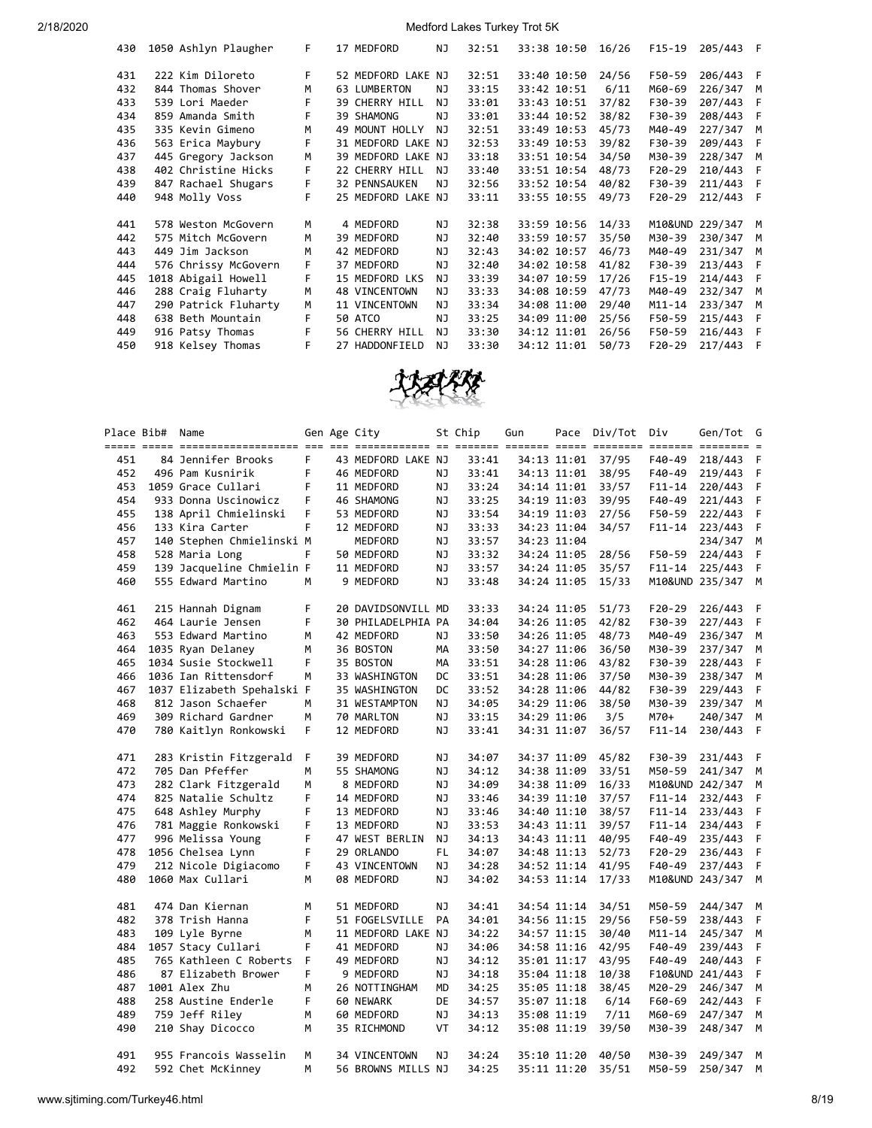| 430 | 1050 Ashlyn Plaugher | F. |    | 17 MEDFORD            | NJ | 32:51 | 33:38 10:50 | 16/26 | $F15-19$   | 205/443         | F  |
|-----|----------------------|----|----|-----------------------|----|-------|-------------|-------|------------|-----------------|----|
| 431 | 222 Kim Diloreto     | F  |    | 52 MEDFORD LAKE       | NJ | 32:51 | 33:40 10:50 | 24/56 | F50-59     | 206/443         | F  |
| 432 | 844 Thomas Shover    | м  |    | 63 LUMBERTON          | ΝJ | 33:15 | 33:42 10:51 | 6/11  | M60-69     | 226/347         | M  |
| 433 | 539 Lori Maeder      | F  |    | <b>39 CHERRY HILL</b> | NJ | 33:01 | 33:43 10:51 | 37/82 | F30-39     | 207/443         | F  |
| 434 | 859 Amanda Smith     | F  |    | 39 SHAMONG            | NJ | 33:01 | 33:44 10:52 | 38/82 | F30-39     | 208/443         | F  |
| 435 | 335 Kevin Gimeno     | м  | 49 | MOUNT HOLLY           | NJ | 32:51 | 33:49 10:53 | 45/73 | M40-49     | 227/347         | M  |
| 436 | 563 Erica Maybury    | F  |    | 31 MEDFORD LAKE       | NJ | 32:53 | 33:49 10:53 | 39/82 | F30-39     | 209/443         | F  |
| 437 | 445 Gregory Jackson  | M  |    | 39 MEDFORD LAKE NJ    |    | 33:18 | 33:51 10:54 | 34/50 | M30-39     | 228/347         | M  |
| 438 | 402 Christine Hicks  | F  |    | 22 CHERRY HILL        | NJ | 33:40 | 33:51 10:54 | 48/73 | $F20-29$   | 210/443         | F  |
| 439 | 847 Rachael Shugars  | F. |    | <b>32 PENNSAUKEN</b>  | NJ | 32:56 | 33:52 10:54 | 40/82 | F30-39     | 211/443         | F  |
| 440 | 948 Molly Voss       | F  |    | 25 MEDFORD LAKE NJ    |    | 33:11 | 33:55 10:55 | 49/73 | $F20-29$   | 212/443         | -F |
| 441 | 578 Weston McGovern  | M  |    | 4 MEDFORD             | NJ | 32:38 | 33:59 10:56 | 14/33 |            | M10&UND 229/347 | M  |
| 442 | 575 Mitch McGovern   | м  |    | 39 MEDFORD            | NJ | 32:40 | 33:59 10:57 | 35/50 | M30-39     | 230/347         | м  |
| 443 | 449 Jim Jackson      | M  |    | 42 MEDFORD            | NJ | 32:43 | 34:02 10:57 | 46/73 | M40-49     | 231/347         | м  |
| 444 | 576 Chrissy McGovern | F. |    | 37 MEDFORD            | NJ | 32:40 | 34:02 10:58 | 41/82 | F30-39     | 213/443         | F  |
| 445 | 1018 Abigail Howell  | F  |    | 15 MEDFORD LKS        | NJ | 33:39 | 34:07 10:59 | 17/26 | $F15-19$   | 214/443         | F  |
| 446 | 288 Craig Fluharty   | M  |    | <b>48 VINCENTOWN</b>  | NJ | 33:33 | 34:08 10:59 | 47/73 | M40-49     | 232/347         | M  |
| 447 | 290 Patrick Fluharty | M  |    | 11 VINCENTOWN         | ΝJ | 33:34 | 34:08 11:00 | 29/40 | $M11 - 14$ | 233/347         | м  |
| 448 | 638 Beth Mountain    | F  |    | 50 ATCO               | NJ | 33:25 | 34:09 11:00 | 25/56 | F50-59     | 215/443         | F  |
| 449 | 916 Patsy Thomas     | F  |    | 56 CHERRY HILL        | NJ | 33:30 | 34:12 11:01 | 26/56 | F50-59     | 216/443         | F  |
| 450 | 918 Kelsey Thomas    | F  |    | 27 HADDONFIELD        | NJ | 33:30 | 34:12 11:01 | 50/73 | $F20-29$   | 217/443         | F  |



|            | Place Bib# | Name                                              |    | Gen Age City       |           | St Chip        | Gun |                            | Pace Div/Tot   | Div        | Gen/Tot G           |   |
|------------|------------|---------------------------------------------------|----|--------------------|-----------|----------------|-----|----------------------------|----------------|------------|---------------------|---|
|            |            | <u> 22222 22222 222222222222222222222 222 222</u> | F. |                    |           |                |     |                            |                | F40-49     | $=$ $=$ $=$ $=$ $=$ | F |
| 451<br>452 |            | 84 Jennifer Brooks<br>496 Pam Kusnirik            | F  | 43 MEDFORD LAKE NJ | ΝJ        | 33:41<br>33:41 |     | 34:13 11:01                | 37/95<br>38/95 | F40-49     | 218/443<br>219/443  | F |
| 453        |            | 1059 Grace Cullari                                | F  | 46 MEDFORD         | NJ        | 33:24          |     | 34:13 11:01                | 33/57          | $F11 - 14$ |                     | F |
| 454        |            |                                                   | F  | 11 MEDFORD         |           | 33:25          |     | 34:14 11:01                | 39/95          |            | 220/443             | F |
| 455        |            | 933 Donna Uscinowicz                              | F  | 46 SHAMONG         | ΝJ        | 33:54          |     | 34:19 11:03                | 27/56          | F40-49     | 221/443             | F |
|            |            | 138 April Chmielinski                             | F  | 53 MEDFORD         | ΝJ        |                |     | 34:19 11:03                |                | F50-59     | 222/443             | F |
| 456<br>457 |            | 133 Kira Carter<br>140 Stephen Chmielinski M      |    | 12 MEDFORD         | NJ        | 33:33<br>33:57 |     | 34:23 11:04<br>34:23 11:04 | 34/57          | F11-14     | 223/443             | M |
|            |            |                                                   | F  | MEDFORD            | ΝJ        |                |     |                            |                |            | 234/347             | F |
| 458        |            | 528 Maria Long                                    |    | 50 MEDFORD         | ΝJ        | 33:32          |     | 34:24 11:05                | 28/56          | F50-59     | 224/443             |   |
| 459        |            | 139 Jacqueline Chmielin F                         |    | 11 MEDFORD         | ΝJ        | 33:57          |     | 34:24 11:05                | 35/57          |            | F11-14 225/443      | F |
| 460        |            | 555 Edward Martino                                | M  | 9 MEDFORD          | NJ.       | 33:48          |     | 34:24 11:05                | 15/33          |            | M10&UND 235/347     | M |
| 461        |            | 215 Hannah Dignam                                 | F  | 20 DAVIDSONVILL MD |           | 33:33          |     | 34:24 11:05                | 51/73          | F20-29     | 226/443             | F |
| 462        |            | 464 Laurie Jensen                                 | F  | 30 PHILADELPHIA PA |           | 34:04          |     | 34:26 11:05                | 42/82          | F30-39     | 227/443             | F |
| 463        |            | 553 Edward Martino                                | М  | 42 MEDFORD         | ΝJ        | 33:50          |     | 34:26 11:05                | 48/73          | M40-49     | 236/347             | М |
| 464        |            | 1035 Ryan Delaney                                 | M  | 36 BOSTON          | MA        | 33:50          |     | 34:27 11:06                | 36/50          | M30-39     | 237/347             | M |
| 465        |            | 1034 Susie Stockwell                              | F  | 35 BOSTON          | MА        | 33:51          |     | 34:28 11:06                | 43/82          | F30-39     | 228/443             | F |
| 466        |            | 1036 Ian Rittensdorf                              | M  | 33 WASHINGTON      | DC        | 33:51          |     | 34:28 11:06                | 37/50          | M30-39     | 238/347             | М |
| 467        |            | 1037 Elizabeth Spehalski F                        |    | 35 WASHINGTON      | DC        | 33:52          |     | 34:28 11:06                | 44/82          | F30-39     | 229/443             | F |
| 468        |            | 812 Jason Schaefer                                | м  | 31 WESTAMPTON      | ΝJ        | 34:05          |     | 34:29 11:06                | 38/50          | M30-39     | 239/347             | М |
| 469        |            | 309 Richard Gardner                               | М  | 70 MARLTON         | NJ        | 33:15          |     | 34:29 11:06                | 3/5            | M70+       | 240/347             | М |
| 470        |            | 780 Kaitlyn Ronkowski                             | F  | 12 MEDFORD         | NJ        | 33:41          |     | 34:31 11:07                | 36/57          | $F11 - 14$ | 230/443             | F |
|            |            |                                                   |    |                    |           |                |     |                            |                |            |                     |   |
| 471        |            | 283 Kristin Fitzgerald                            | F  | 39 MEDFORD         | ΝJ        | 34:07          |     | 34:37 11:09                | 45/82          | F30-39     | 231/443             | F |
| 472        |            | 705 Dan Pfeffer                                   | M  | 55 SHAMONG         | ΝJ        | 34:12          |     | 34:38 11:09                | 33/51          | M50-59     | 241/347             | M |
| 473        |            | 282 Clark Fitzgerald                              | M  | 8 MEDFORD          | ΝJ        | 34:09          |     | 34:38 11:09                | 16/33          |            | M10&UND 242/347     | M |
| 474        |            | 825 Natalie Schultz                               | F  | 14 MEDFORD         | ΝJ        | 33:46          |     | 34:39 11:10                | 37/57          | F11-14     | 232/443             | F |
| 475        |            | 648 Ashley Murphy                                 | F  | 13 MEDFORD         | ΝJ        | 33:46          |     | 34:40 11:10                | 38/57          |            | F11-14 233/443      | F |
| 476        |            | 781 Maggie Ronkowski                              | F  | 13 MEDFORD         | ΝJ        | 33:53          |     | 34:43 11:11                | 39/57          | F11-14     | 234/443             | F |
| 477        |            | 996 Melissa Young                                 | F  | 47 WEST BERLIN     | NJ        | 34:13          |     | 34:43 11:11                | 40/95          | F40-49     | 235/443             | F |
| 478        |            | 1056 Chelsea Lynn                                 | F  | 29 ORLANDO         | FL        | 34:07          |     | 34:48 11:13                | 52/73          | $F20-29$   | 236/443             | F |
| 479        |            | 212 Nicole Digiacomo                              | F  | 43 VINCENTOWN      | NJ        | 34:28          |     | 34:52 11:14                | 41/95          | F40-49     | 237/443             | F |
| 480        |            | 1060 Max Cullari                                  | M  | 08 MEDFORD         | NJ.       | 34:02          |     | 34:53 11:14                | 17/33          |            | M10&UND 243/347 M   |   |
| 481        |            | 474 Dan Kiernan                                   | М  | 51 MEDFORD         | <b>NJ</b> | 34:41          |     | 34:54 11:14                | 34/51          | M50-59     | 244/347             | М |
| 482        |            | 378 Trish Hanna                                   | F  | 51 FOGELSVILLE     | PA        | 34:01          |     | 34:56 11:15                | 29/56          | F50-59     | 238/443             | F |
| 483        |            | 109 Lyle Byrne                                    | M  | 11 MEDFORD LAKE NJ |           | 34:22          |     | 34:57 11:15                | 30/40          | M11-14     | 245/347             | M |
| 484        |            | 1057 Stacy Cullari                                | F  | 41 MEDFORD         | ΝJ        | 34:06          |     | 34:58 11:16                | 42/95          | F40-49     | 239/443             | F |
| 485        |            | 765 Kathleen C Roberts                            | F  | 49 MEDFORD         | <b>NJ</b> | 34:12          |     | 35:01 11:17                | 43/95          | F40-49     | 240/443             | F |
| 486        |            | 87 Elizabeth Brower                               | F  | 9 MEDFORD          | NJ        | 34:18          |     | 35:04 11:18                | 10/38          |            | F10&UND 241/443     | F |
| 487        |            | 1001 Alex Zhu                                     | M  | 26 NOTTINGHAM      | MD        | 34:25          |     | 35:05 11:18                | 38/45          | M20-29     | 246/347             | M |
| 488        |            | 258 Austine Enderle                               | F  | 60 NEWARK          | DE        | 34:57          |     | 35:07 11:18                | 6/14           | F60-69     | 242/443             | F |
| 489        |            | 759 Jeff Riley                                    | м  | 60 MEDFORD         | ΝJ        | 34:13          |     | 35:08 11:19                | 7/11           | M60-69     | 247/347             | M |
| 490        |            | 210 Shay Dicocco                                  | М  | 35 RICHMOND        | VT        | 34:12          |     | 35:08 11:19                | 39/50          | M30-39     | 248/347             | М |
|            |            |                                                   |    |                    |           |                |     |                            |                |            |                     |   |
| 491        |            | 955 Francois Wasselin                             | M  | 34 VINCENTOWN      | ΝJ        | 34:24          |     | 35:10 11:20                | 40/50          | M30-39     | 249/347             | M |
| 492        |            | 592 Chet McKinney                                 | M  | 56 BROWNS MILLS NJ |           | 34:25          |     | 35:11 11:20                | 35/51          | M50-59     | 250/347             | M |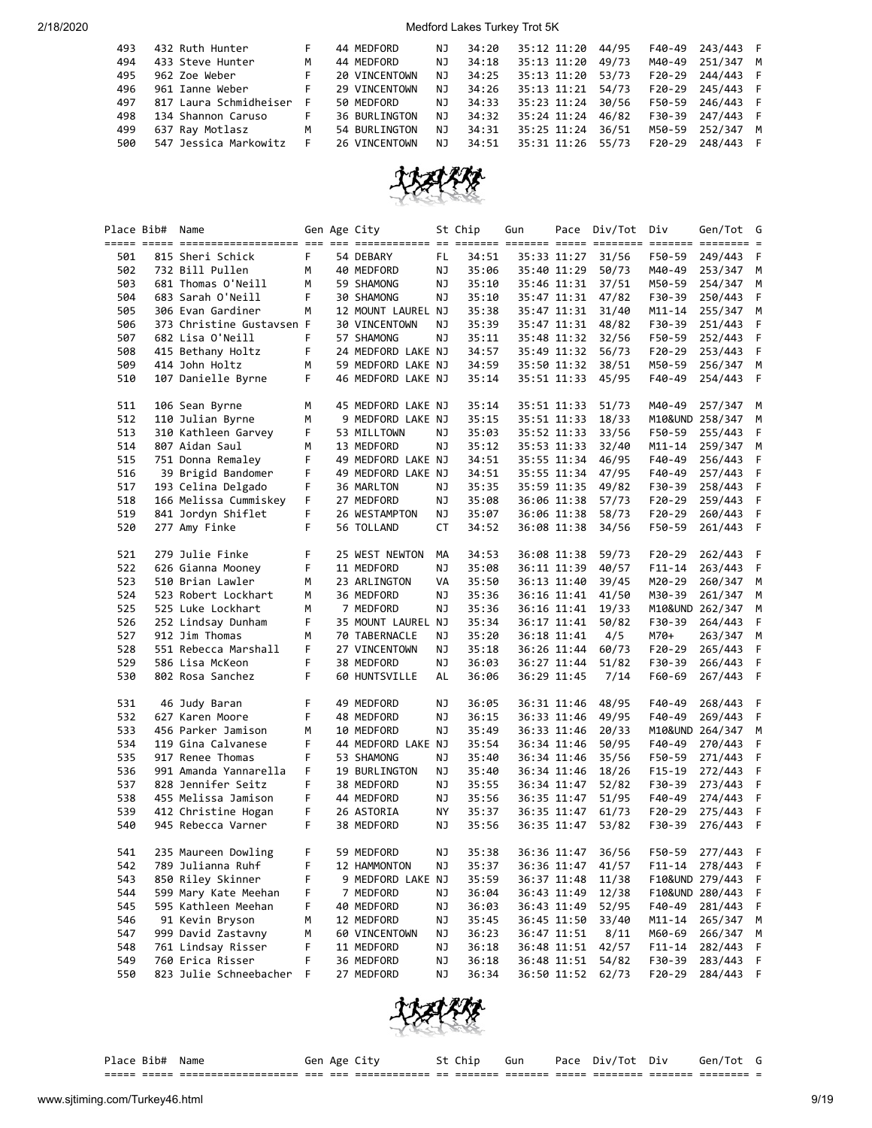| 493 | 432 Ruth Hunter        | F  | 44 MEDFORD           | NJ  | 34:20 | 35:12 11:20 | 44/95 | F40-49   | 243/443 F |  |
|-----|------------------------|----|----------------------|-----|-------|-------------|-------|----------|-----------|--|
| 494 | 433 Steve Hunter       | м  | 44 MEDFORD           | NJ  | 34:18 | 35:13 11:20 | 49/73 | M40-49   | 251/347 M |  |
| 495 | 962 Zoe Weber          | F. | 20 VINCENTOWN        | NJ  | 34:25 | 35:13 11:20 | 53/73 | $F20-29$ | 244/443 F |  |
| 496 | 961 Ianne Weber        | F. | 29 VINCENTOWN        | NJ  | 34:26 | 35:13 11:21 | 54/73 | $F20-29$ | 245/443 F |  |
| 497 | 817 Laura Schmidheiser | F  | 50 MEDFORD           | NJ. | 34:33 | 35:23 11:24 | 30/56 | F50-59   | 246/443 F |  |
| 498 | 134 Shannon Caruso     | t. | <b>36 BURLINGTON</b> | N J | 34:32 | 35:24 11:24 | 46/82 | F30-39   | 247/443 F |  |
| 499 | 637 Ray Motlasz        | M  | 54 BURLINGTON        | NJ  | 34:31 | 35:25 11:24 | 36/51 | M50-59   | 252/347 M |  |
| 500 | 547 Jessica Markowitz  | F  | 26 VINCENTOWN        | NJ  | 34:51 | 35:31 11:26 | 55/73 | $F20-29$ | 248/443 F |  |



|     | Place Bib# Name |                           |    | Gen Age City         |     | St Chip | Gun |             | Pace Div/Tot | Div        | Gen/Tot G       |     |
|-----|-----------------|---------------------------|----|----------------------|-----|---------|-----|-------------|--------------|------------|-----------------|-----|
| 501 |                 | 815 Sheri Schick          | F. | 54 DEBARY            | FL. | 34:51   |     | 35:33 11:27 | 31/56        | F50-59     | 249/443         | F   |
| 502 |                 | 732 Bill Pullen           | м  | 40 MEDFORD           | ΝJ  | 35:06   |     | 35:40 11:29 | 50/73        | M40-49     | 253/347         | М   |
| 503 |                 | 681 Thomas O'Neill        | м  | 59 SHAMONG           | ΝJ  | 35:10   |     | 35:46 11:31 | 37/51        | M50-59     | 254/347         | М   |
| 504 |                 | 683 Sarah O'Neill         | F  | 30 SHAMONG           | ΝJ  | 35:10   |     | 35:47 11:31 | 47/82        | F30-39     | 250/443         | F   |
| 505 |                 | 306 Evan Gardiner         | м  | 12 MOUNT LAUREL NJ   |     | 35:38   |     | 35:47 11:31 | 31/40        | M11-14     | 255/347         | М   |
| 506 |                 | 373 Christine Gustavsen F |    | <b>30 VINCENTOWN</b> | ΝJ  | 35:39   |     | 35:47 11:31 | 48/82        | F30-39     | 251/443         | F   |
| 507 |                 | 682 Lisa O'Neill          | F  | 57 SHAMONG           | ΝJ  | 35:11   |     | 35:48 11:32 | 32/56        | F50-59     | 252/443         | F   |
| 508 |                 | 415 Bethany Holtz         | F  | 24 MEDFORD LAKE NJ   |     | 34:57   |     | 35:49 11:32 | 56/73        | F20-29     | 253/443         | F   |
| 509 |                 | 414 John Holtz            | м  | 59 MEDFORD LAKE NJ   |     | 34:59   |     | 35:50 11:32 | 38/51        | M50-59     | 256/347         | М   |
| 510 |                 | 107 Danielle Byrne        | F  | 46 MEDFORD LAKE NJ   |     | 35:14   |     | 35:51 11:33 | 45/95        | F40-49     | 254/443         | F   |
| 511 |                 | 106 Sean Byrne            | м  | 45 MEDFORD LAKE NJ   |     | 35:14   |     | 35:51 11:33 | 51/73        | M40-49     | 257/347         | M   |
| 512 |                 | 110 Julian Byrne          | м  | 9 MEDFORD LAKE NJ    |     | 35:15   |     | 35:51 11:33 | 18/33        |            | M10&UND 258/347 | М   |
| 513 |                 | 310 Kathleen Garvey       | F  | 53 MILLTOWN          | ΝJ  | 35:03   |     | 35:52 11:33 | 33/56        | F50-59     | 255/443         | F   |
| 514 |                 | 807 Aidan Saul            | м  | 13 MEDFORD           | ΝJ  | 35:12   |     | 35:53 11:33 | 32/40        | M11-14     | 259/347         | М   |
| 515 |                 | 751 Donna Remaley         | F  | 49 MEDFORD LAKE NJ   |     | 34:51   |     | 35:55 11:34 | 46/95        | F40-49     | 256/443         | F   |
| 516 |                 | 39 Brigid Bandomer        | F  | 49 MEDFORD LAKE NJ   |     | 34:51   |     | 35:55 11:34 | 47/95        | F40-49     | 257/443         | F   |
| 517 |                 | 193 Celina Delgado        | F  | 36 MARLTON           | ΝJ  | 35:35   |     | 35:59 11:35 | 49/82        | F30-39     | 258/443         | F   |
| 518 |                 | 166 Melissa Cummiskey     | F  | 27 MEDFORD           | ΝJ  | 35:08   |     | 36:06 11:38 | 57/73        | F20-29     | 259/443         | F   |
| 519 |                 | 841 Jordyn Shiflet        | F  | 26 WESTAMPTON        | ΝJ  | 35:07   |     | 36:06 11:38 | 58/73        | $F20-29$   | 260/443         | F   |
| 520 |                 | 277 Amy Finke             | F  | 56 TOLLAND           | СT  | 34:52   |     | 36:08 11:38 | 34/56        | F50-59     | 261/443         | F   |
| 521 |                 | 279 Julie Finke           | F  | 25 WEST NEWTON       | МA  | 34:53   |     | 36:08 11:38 | 59/73        | F20-29     | 262/443         | F   |
| 522 |                 | 626 Gianna Mooney         | F  | 11 MEDFORD           | ΝJ  | 35:08   |     | 36:11 11:39 | 40/57        | $F11 - 14$ | 263/443         | F   |
| 523 |                 | 510 Brian Lawler          | м  | 23 ARLINGTON         | VA  | 35:50   |     | 36:13 11:40 | 39/45        | M20-29     | 260/347         | М   |
| 524 |                 | 523 Robert Lockhart       | м  | 36 MEDFORD           | ΝJ  | 35:36   |     | 36:16 11:41 | 41/50        | M30-39     | 261/347         | М   |
| 525 |                 | 525 Luke Lockhart         | м  | 7 MEDFORD            | ΝJ  | 35:36   |     | 36:16 11:41 | 19/33        |            | M10&UND 262/347 | М   |
| 526 |                 | 252 Lindsay Dunham        | F  | 35 MOUNT LAUREL NJ   |     | 35:34   |     | 36:17 11:41 | 50/82        | F30-39     | 264/443         | F   |
| 527 |                 | 912 Jim Thomas            | м  | 70 TABERNACLE        | ΝJ  | 35:20   |     | 36:18 11:41 | 4/5          | M70+       | 263/347         | М   |
| 528 |                 | 551 Rebecca Marshall      | F  | 27 VINCENTOWN        | ΝJ  | 35:18   |     | 36:26 11:44 | 60/73        | $F20-29$   | 265/443         | F   |
| 529 |                 | 586 Lisa McKeon           | F  | 38 MEDFORD           | ΝJ  | 36:03   |     | 36:27 11:44 | 51/82        | F30-39     | 266/443         | F   |
| 530 |                 | 802 Rosa Sanchez          | F  | 60 HUNTSVILLE        | AL  | 36:06   |     | 36:29 11:45 | 7/14         | F60-69     | 267/443         | F   |
| 531 |                 | 46 Judy Baran             | F  | 49 MEDFORD           | ΝJ  | 36:05   |     | 36:31 11:46 | 48/95        | F40-49     | 268/443         | F   |
| 532 |                 | 627 Karen Moore           | F  | 48 MEDFORD           | ΝJ  | 36:15   |     | 36:33 11:46 | 49/95        | F40-49     | 269/443         | F   |
| 533 |                 | 456 Parker Jamison        | M  | 10 MEDFORD           | ΝJ  | 35:49   |     | 36:33 11:46 | 20/33        |            | M10&UND 264/347 | М   |
| 534 |                 | 119 Gina Calvanese        | F  | 44 MEDFORD LAKE NJ   |     | 35:54   |     | 36:34 11:46 | 50/95        | F40-49     | 270/443         | F   |
| 535 |                 | 917 Renee Thomas          | F  | 53 SHAMONG           | ΝJ  | 35:40   |     | 36:34 11:46 | 35/56        | F50-59     | 271/443         | F   |
| 536 |                 | 991 Amanda Yannarella     | F  | 19 BURLINGTON        | ΝJ  | 35:40   |     | 36:34 11:46 | 18/26        | $F15-19$   | 272/443         | F   |
| 537 |                 | 828 Jennifer Seitz        | F  | 38 MEDFORD           | ΝJ  | 35:55   |     | 36:34 11:47 | 52/82        | F30-39     | 273/443         | F   |
| 538 |                 | 455 Melissa Jamison       | F  | 44 MEDFORD           | ΝJ  | 35:56   |     | 36:35 11:47 | 51/95        | F40-49     | 274/443         | F   |
| 539 |                 | 412 Christine Hogan       | F  | 26 ASTORIA           | ΝY  | 35:37   |     | 36:35 11:47 | 61/73        | F20-29     | 275/443         | F   |
| 540 |                 | 945 Rebecca Varner        | F  | 38 MEDFORD           | ΝJ  | 35:56   |     | 36:35 11:47 | 53/82        | F30-39     | 276/443         | - F |
| 541 |                 | 235 Maureen Dowling       | F  | 59 MEDFORD           | NJ  | 35:38   |     | 36:36 11:47 | 36/56        | F50-59     | 277/443         | - F |
| 542 |                 | 789 Julianna Ruhf         | F  | 12 HAMMONTON         | ΝJ  | 35:37   |     | 36:36 11:47 | 41/57        | F11-14     | 278/443         | F   |
| 543 |                 | 850 Riley Skinner         | F  | 9 MEDFORD LAKE NJ    |     | 35:59   |     | 36:37 11:48 | 11/38        |            | F10&UND 279/443 | F   |
| 544 |                 | 599 Mary Kate Meehan      | F  | 7 MEDFORD            | ΝJ  | 36:04   |     | 36:43 11:49 | 12/38        |            | F10&UND 280/443 | F   |
| 545 |                 | 595 Kathleen Meehan       | F  | 40 MEDFORD           | ΝJ  | 36:03   |     | 36:43 11:49 | 52/95        | F40-49     | 281/443         | F   |
| 546 |                 | 91 Kevin Bryson           | м  | 12 MEDFORD           | ΝJ  | 35:45   |     | 36:45 11:50 | 33/40        | $M11 - 14$ | 265/347         | M   |
| 547 |                 | 999 David Zastavny        | м  | 60 VINCENTOWN        | ΝJ  | 36:23   |     | 36:47 11:51 | 8/11         | M60-69     | 266/347         | M   |
| 548 |                 | 761 Lindsay Risser        | F  | 11 MEDFORD           | ΝJ  | 36:18   |     | 36:48 11:51 | 42/57        | $F11 - 14$ | 282/443         | F   |
| 549 |                 | 760 Erica Risser          | F  | 36 MEDFORD           | ΝJ  | 36:18   |     | 36:48 11:51 | 54/82        | F30-39     | 283/443         | F   |
| 550 |                 | 823 Julie Schneebacher    | F  | 27 MEDFORD           | ΝJ  | 36:34   |     | 36:50 11:52 | 62/73        | F20-29     | 284/443 F       |     |



| Place          | Bib#<br>Name<br>___                                        | Gen             | Age<br>__                       |     | .nır                 | Gun<br>___ | Pace             | Div/<br>ിറ†            | Div                  | Tot<br>Gen/            |  |
|----------------|------------------------------------------------------------|-----------------|---------------------------------|-----|----------------------|------------|------------------|------------------------|----------------------|------------------------|--|
| _____<br>----- | _____________________<br>_______________________<br>______ | ___<br>____ ___ | _____________<br>______________ | --- | ________<br>________ | --------   | ______<br>______ | _________<br>_________ | ________<br>________ | ---------<br>_________ |  |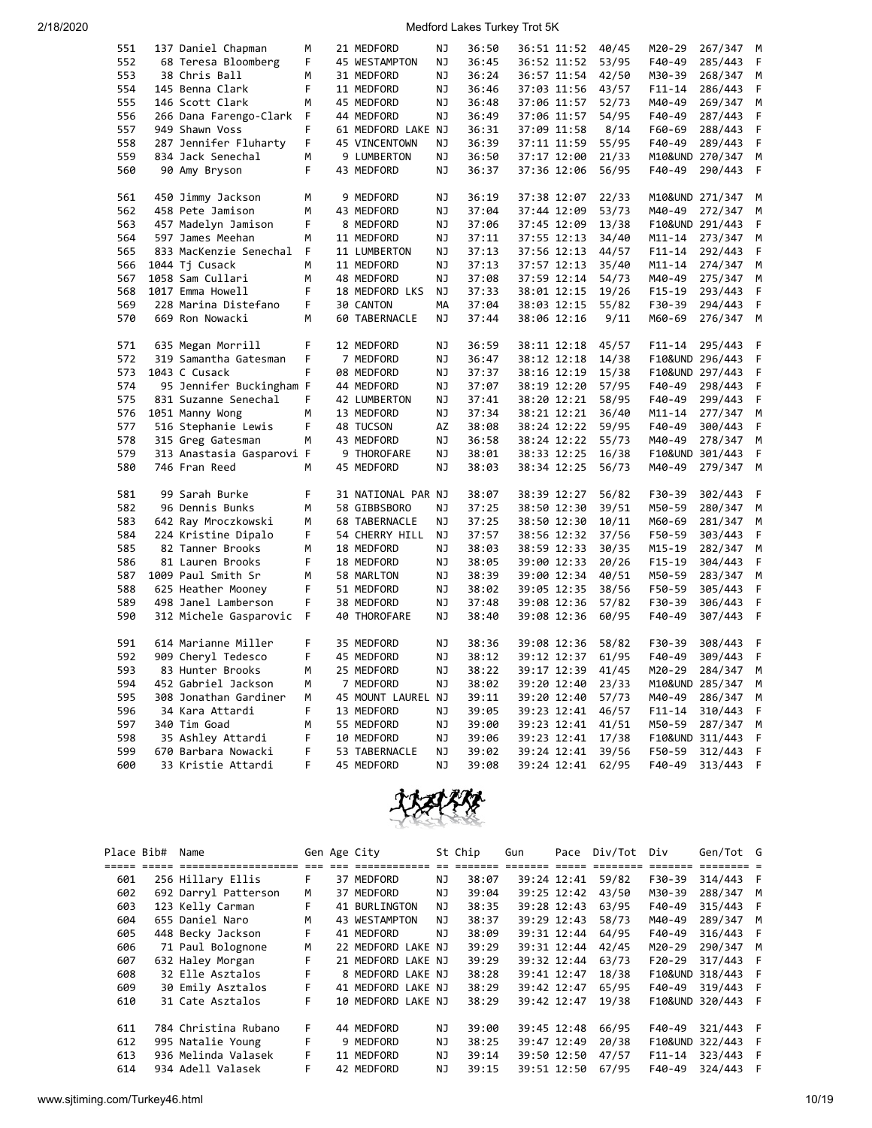| 551 | 137 Daniel Chapman        | M | 21 MEDFORD         | ΝJ        | 36:50 | 36:51 11:52 | 40/45 | M20-29          | 267/347         | м |
|-----|---------------------------|---|--------------------|-----------|-------|-------------|-------|-----------------|-----------------|---|
| 552 | 68 Teresa Bloomberg       | F | 45 WESTAMPTON      | <b>NJ</b> | 36:45 | 36:52 11:52 | 53/95 | F40-49          | 285/443         | F |
| 553 | 38 Chris Ball             | M | 31 MEDFORD         | NJ        | 36:24 | 36:57 11:54 | 42/50 | M30-39          | 268/347         | M |
| 554 | 145 Benna Clark           | F | 11 MEDFORD         | NJ        | 36:46 | 37:03 11:56 | 43/57 | F11-14          | 286/443         | F |
| 555 | 146 Scott Clark           | M | 45 MEDFORD         | NJ        | 36:48 | 37:06 11:57 | 52/73 | M40-49          | 269/347         | M |
| 556 | 266 Dana Farengo-Clark    | F | 44 MEDFORD         | <b>NJ</b> | 36:49 | 37:06 11:57 | 54/95 | F40-49          | 287/443         | F |
| 557 | 949 Shawn Voss            | F | 61 MEDFORD LAKE NJ |           | 36:31 | 37:09 11:58 | 8/14  | F60-69          | 288/443         | F |
| 558 | 287 Jennifer Fluharty     | F | 45 VINCENTOWN      | NJ        | 36:39 | 37:11 11:59 | 55/95 | F40-49          | 289/443         | F |
| 559 | 834 Jack Senechal         | м | 9 LUMBERTON        | NJ        | 36:50 | 37:17 12:00 | 21/33 | M10&UND 270/347 |                 | M |
| 560 | 90 Amy Bryson             | F | 43 MEDFORD         | NJ        | 36:37 | 37:36 12:06 | 56/95 | F40-49          | 290/443         | F |
|     |                           |   |                    |           |       |             |       |                 |                 |   |
| 561 | 450 Jimmy Jackson         | м | 9 MEDFORD          | NJ        | 36:19 | 37:38 12:07 | 22/33 | M10&UND 271/347 |                 | м |
| 562 | 458 Pete Jamison          | M | 43 MEDFORD         | NJ        | 37:04 | 37:44 12:09 | 53/73 | M40-49          | 272/347         | M |
| 563 | 457 Madelyn Jamison       | F | 8 MEDFORD          | NJ        | 37:06 | 37:45 12:09 | 13/38 | F10&UND 291/443 |                 | F |
| 564 | 597 James Meehan          | M | 11 MEDFORD         | <b>NJ</b> | 37:11 | 37:55 12:13 | 34/40 | $M11 - 14$      | 273/347         | M |
| 565 | 833 MacKenzie Senechal    | F | 11 LUMBERTON       | ΝJ        | 37:13 | 37:56 12:13 | 44/57 | F11-14          | 292/443         | F |
| 566 | 1044 Tj Cusack            | м | 11 MEDFORD         | NJ        | 37:13 | 37:57 12:13 | 35/40 | $M11 - 14$      | 274/347         | M |
| 567 | 1058 Sam Cullari          | M | 48 MEDFORD         | NJ        | 37:08 | 37:59 12:14 | 54/73 | M40-49          | 275/347         | M |
| 568 | 1017 Emma Howell          | F | 18 MEDFORD LKS     | NJ        | 37:33 | 38:01 12:15 | 19/26 | $F15-19$        | 293/443         | F |
| 569 | 228 Marina Distefano      | F | 30 CANTON          | MА        | 37:04 | 38:03 12:15 | 55/82 | F30-39          | 294/443         | F |
| 570 | 669 Ron Nowacki           | M | 60 TABERNACLE      | ΝJ        | 37:44 | 38:06 12:16 | 9/11  | M60-69          | 276/347         | M |
|     |                           |   |                    |           |       |             |       |                 |                 |   |
| 571 | 635 Megan Morrill         | F | 12 MEDFORD         | NJ        | 36:59 | 38:11 12:18 | 45/57 | $F11 - 14$      | 295/443         | F |
| 572 | 319 Samantha Gatesman     | F | 7 MEDFORD          | NJ        | 36:47 | 38:12 12:18 | 14/38 | F10&UND 296/443 |                 | F |
| 573 | 1043 C Cusack             | F | 08 MEDFORD         | NJ        | 37:37 | 38:16 12:19 | 15/38 | F10&UND 297/443 |                 | F |
| 574 | 95 Jennifer Buckingham F  |   | 44 MEDFORD         | NJ        | 37:07 | 38:19 12:20 | 57/95 | F40-49          | 298/443         | F |
| 575 | 831 Suzanne Senechal      | F | 42 LUMBERTON       | NJ        | 37:41 | 38:20 12:21 | 58/95 | F40-49          | 299/443         | F |
| 576 | 1051 Manny Wong           | м | 13 MEDFORD         | NJ        | 37:34 | 38:21 12:21 | 36/40 | M11-14          | 277/347         | M |
| 577 | 516 Stephanie Lewis       | F | 48 TUCSON          | ΑZ        | 38:08 | 38:24 12:22 | 59/95 | F40-49          | 300/443         | F |
| 578 | 315 Greg Gatesman         | м | 43 MEDFORD         | NJ        | 36:58 | 38:24 12:22 | 55/73 | M40-49          | 278/347         | M |
| 579 | 313 Anastasia Gasparovi F |   | 9 THOROFARE        | NJ        | 38:01 | 38:33 12:25 | 16/38 |                 | F10&UND 301/443 | F |
| 580 | 746 Fran Reed             | М | 45 MEDFORD         | NJ        | 38:03 | 38:34 12:25 | 56/73 | M40-49          | 279/347         | M |
|     |                           |   |                    |           |       |             |       |                 |                 |   |
| 581 | 99 Sarah Burke            | F | 31 NATIONAL PAR NJ |           | 38:07 | 38:39 12:27 | 56/82 | F30-39          | 302/443         | F |
| 582 | 96 Dennis Bunks           | M | 58 GIBBSBORO       | <b>NJ</b> | 37:25 | 38:50 12:30 | 39/51 | M50-59          | 280/347         | M |
| 583 | 642 Ray Mroczkowski       | M | 68 TABERNACLE      | NJ        | 37:25 | 38:50 12:30 | 10/11 | M60-69          | 281/347         | M |
| 584 | 224 Kristine Dipalo       | F | 54 CHERRY HILL     | ΝJ        | 37:57 | 38:56 12:32 | 37/56 | F50-59          | 303/443         | F |
| 585 | 82 Tanner Brooks          | M | 18 MEDFORD         | NJ        | 38:03 | 38:59 12:33 | 30/35 | M15-19          | 282/347         | M |
| 586 | 81 Lauren Brooks          | F | 18 MEDFORD         | NJ        | 38:05 | 39:00 12:33 | 20/26 | F15-19          | 304/443         | F |
| 587 | 1009 Paul Smith Sr        | м | 58 MARLTON         | NJ        | 38:39 | 39:00 12:34 | 40/51 | M50-59          | 283/347         | М |
| 588 | 625 Heather Mooney        | F | 51 MEDFORD         | ΝJ        | 38:02 | 39:05 12:35 | 38/56 | F50-59          | 305/443         | F |
| 589 | 498 Janel Lamberson       | F | 38 MEDFORD         | NJ        | 37:48 | 39:08 12:36 | 57/82 | F30-39          | 306/443         | F |
| 590 | 312 Michele Gasparovic    | F | 40 THOROFARE       | ΝJ        | 38:40 | 39:08 12:36 | 60/95 | F40-49          | 307/443         | F |
|     |                           |   |                    |           |       |             |       |                 |                 |   |
| 591 | 614 Marianne Miller       | F | 35 MEDFORD         | ΝJ        | 38:36 | 39:08 12:36 | 58/82 | F30-39          | 308/443         | F |
| 592 | 909 Cheryl Tedesco        | F | 45 MEDFORD         | ΝJ        | 38:12 | 39:12 12:37 | 61/95 | F40-49          | 309/443         | F |
| 593 | 83 Hunter Brooks          | M | 25 MEDFORD         | NJ        | 38:22 | 39:17 12:39 | 41/45 | M20-29          | 284/347         | M |
| 594 | 452 Gabriel Jackson       | м | 7 MEDFORD          | NJ        | 38:02 | 39:20 12:40 | 23/33 | M10&UND 285/347 |                 | M |
| 595 | 308 Jonathan Gardiner     | M | 45 MOUNT LAUREL NJ |           | 39:11 | 39:20 12:40 | 57/73 | M40-49          | 286/347         | M |
| 596 | 34 Kara Attardi           | F | 13 MEDFORD         | NJ        | 39:05 | 39:23 12:41 | 46/57 | F11-14          | 310/443         | F |
| 597 | 340 Tim Goad              | м | 55 MEDFORD         | NJ        | 39:00 | 39:23 12:41 | 41/51 | M50-59          | 287/347         | M |
| 598 | 35 Ashley Attardi         | F | 10 MEDFORD         | NJ        | 39:06 | 39:23 12:41 | 17/38 | F10&UND 311/443 |                 | F |
| 599 | 670 Barbara Nowacki       | F | 53 TABERNACLE      | NJ        | 39:02 | 39:24 12:41 | 39/56 | F50-59          | 312/443         | F |
| 600 | 33 Kristie Attardi        | F | 45 MEDFORD         | NJ        | 39:08 | 39:24 12:41 | 62/95 | F40-49          | 313/443         | F |



| Place Bib# | Name                             |    | Gen Age City        |     | St Chip | Gun |             | Pace Div/Tot   | Div        | Gen/Tot G         |   |
|------------|----------------------------------|----|---------------------|-----|---------|-----|-------------|----------------|------------|-------------------|---|
|            | ===== ===== ==================== |    | and doe concordings |     |         |     |             | esses essesses | =======    |                   |   |
| 601        | 256 Hillary Ellis                | F  | 37 MEDFORD          | NJ  | 38:07   |     | 39:24 12:41 | 59/82          | F30-39     | 314/443 F         |   |
| 602        | 692 Darryl Patterson             | м  | 37 MEDFORD          | NJ. | 39:04   |     | 39:25 12:42 | 43/50          | M30-39     | 288/347 M         |   |
| 603        | 123 Kelly Carman                 | F  | 41 BURLINGTON       | NJ. | 38:35   |     | 39:28 12:43 | 63/95          | F40-49     | 315/443 F         |   |
| 604        | 655 Daniel Naro                  | М  | 43 WESTAMPTON       | NJ  | 38:37   |     | 39:29 12:43 | 58/73          | M40-49     | 289/347 M         |   |
| 605        | 448 Becky Jackson                | F  | 41 MEDFORD          | NJ. | 38:09   |     | 39:31 12:44 | 64/95          | F40-49     | 316/443 F         |   |
| 606        | 71 Paul Bolognone                | M  | 22 MEDFORD LAKE NJ  |     | 39:29   |     | 39:31 12:44 | 42/45          | M20-29     | 290/347 M         |   |
| 607        | 632 Haley Morgan                 | F  | 21 MEDFORD LAKE NJ  |     | 39:29   |     | 39:32 12:44 | 63/73          | F20-29     | 317/443           |   |
| 608        | 32 Elle Asztalos                 | F  | 8 MEDFORD LAKE NJ   |     | 38:28   |     | 39:41 12:47 | 18/38          |            | F10&UND 318/443 F |   |
| 609        | 30 Emily Asztalos                | F. | 41 MEDFORD LAKE NJ  |     | 38:29   |     | 39:42 12:47 | 65/95          | F40-49     | 319/443           | F |
| 610        | 31 Cate Asztalos                 | F  | 10 MEDFORD LAKE NJ  |     | 38:29   |     | 39:42 12:47 | 19/38          |            | F10&UND 320/443   | F |
|            |                                  |    |                     |     |         |     |             |                |            |                   |   |
| 611        | 784 Christina Rubano             | F. | 44 MEDFORD          | ΝJ  | 39:00   |     | 39:45 12:48 | 66/95          | F40-49     | 321/443 F         |   |
| 612        | 995 Natalie Young                | F  | 9 MEDFORD           | ΝJ  | 38:25   |     | 39:47 12:49 | 20/38          |            | F10&UND 322/443 F |   |
| 613        | 936 Melinda Valasek              | F. | 11 MEDFORD          | NJ. | 39:14   |     | 39:50 12:50 | 47/57          | $F11 - 14$ | 323/443 F         |   |
| 614        | 934 Adell Valasek                |    | 42 MEDFORD          | ΝJ  | 39:15   |     | 39:51 12:50 | 67/95          | F40-49     | 324/443           |   |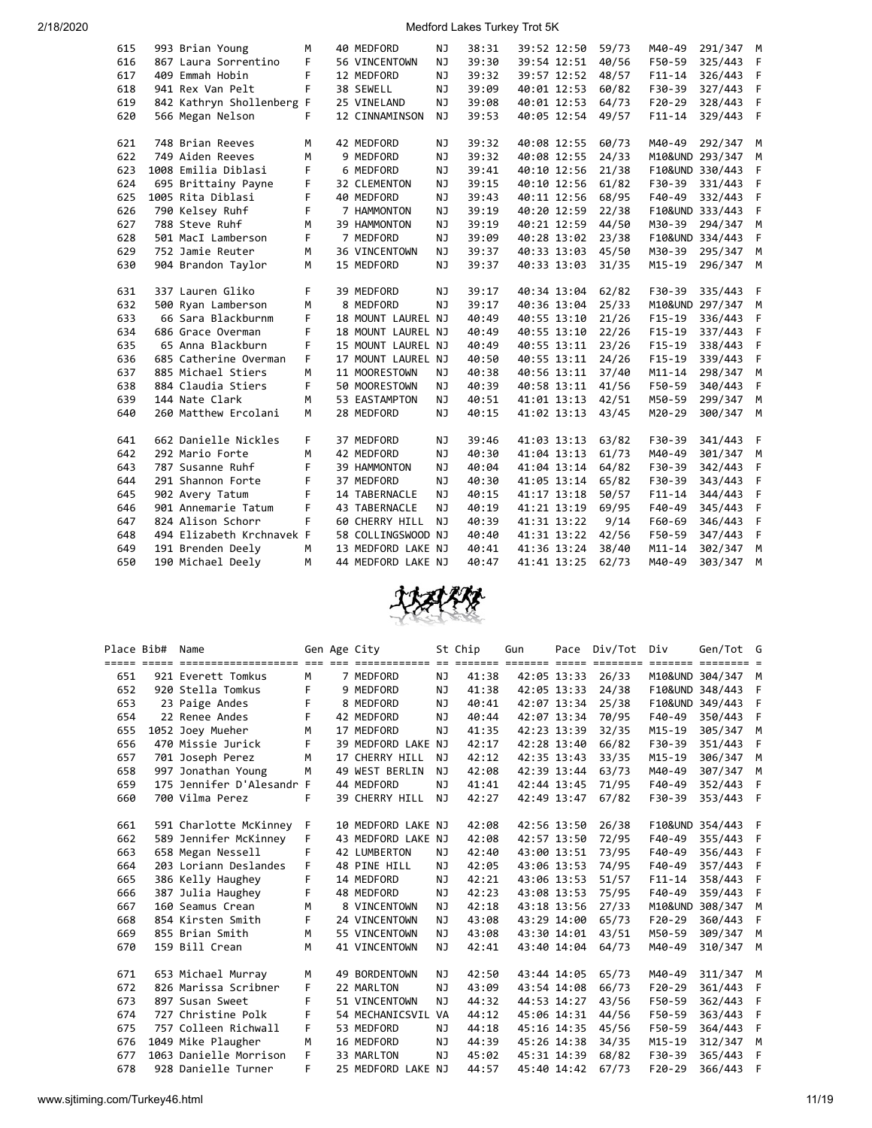| 615 | 993 Brian Young           | M  | 40 MEDFORD          | NJ        | 38:31 | 39:52 12:50 |             | 59/73 | M40-49          | 291/347         | M   |
|-----|---------------------------|----|---------------------|-----------|-------|-------------|-------------|-------|-----------------|-----------------|-----|
| 616 | 867 Laura Sorrentino      | F  | 56 VINCENTOWN       | NJ        | 39:30 | 39:54 12:51 |             | 40/56 | F50-59          | 325/443         | F   |
| 617 | 409 Emmah Hobin           | F  | 12 MEDFORD          | NJ        | 39:32 |             | 39:57 12:52 | 48/57 | $F11 - 14$      | 326/443         | F   |
| 618 | 941 Rex Van Pelt          | F  | 38 SEWELL           | NJ        | 39:09 | 40:01 12:53 |             | 60/82 | F30-39          | 327/443         | F   |
| 619 | 842 Kathryn Shollenberg F |    | 25 VINELAND         | <b>NJ</b> | 39:08 | 40:01 12:53 |             | 64/73 | $F20-29$        | 328/443         | F   |
| 620 | 566 Megan Nelson          | F  | 12 CINNAMINSON      | ΝJ        | 39:53 | 40:05 12:54 |             | 49/57 | $F11 - 14$      | 329/443         | F   |
|     |                           |    |                     |           |       |             |             |       |                 |                 |     |
| 621 | 748 Brian Reeves          | M  | 42 MEDFORD          | NJ        | 39:32 | 40:08 12:55 |             | 60/73 | M40-49          | 292/347         | M   |
| 622 | 749 Aiden Reeves          | M  | 9 MEDFORD           | NJ        | 39:32 | 40:08 12:55 |             | 24/33 | M10&UND 293/347 |                 | M   |
| 623 | 1008 Emilia Diblasi       | F  | 6 MEDFORD           | <b>NJ</b> | 39:41 | 40:10 12:56 |             | 21/38 | F10&UND 330/443 |                 | F   |
| 624 | 695 Brittainy Payne       | F  | <b>32 CLEMENTON</b> | NJ        | 39:15 | 40:10 12:56 |             | 61/82 | F30-39          | 331/443         | F   |
| 625 | 1005 Rita Diblasi         | F  | 40 MEDFORD          | NJ        | 39:43 | 40:11 12:56 |             | 68/95 | F40-49          | 332/443         | F   |
| 626 | 790 Kelsey Ruhf           | F  | 7 HAMMONTON         | <b>NJ</b> | 39:19 | 40:20 12:59 |             | 22/38 | F10&UND 333/443 |                 | F   |
| 627 | 788 Steve Ruhf            | M  | 39 HAMMONTON        | NJ        | 39:19 | 40:21 12:59 |             | 44/50 | M30-39          | 294/347         | M   |
| 628 | 501 MacI Lamberson        | F  | 7 MEDFORD           | NJ        | 39:09 | 40:28 13:02 |             | 23/38 | F10&UND 334/443 |                 | F   |
| 629 | 752 Jamie Reuter          | M  | 36 VINCENTOWN       | NJ        | 39:37 | 40:33 13:03 |             | 45/50 | M30-39          | 295/347         | M   |
| 630 | 904 Brandon Taylor        | M  | 15 MEDFORD          | <b>NJ</b> | 39:37 | 40:33 13:03 |             | 31/35 | $M15 - 19$      | 296/347         | M   |
|     |                           |    |                     |           |       |             |             |       |                 |                 |     |
| 631 | 337 Lauren Gliko          | F  | 39 MEDFORD          | NJ        | 39:17 |             | 40:34 13:04 | 62/82 | F30-39          | 335/443         | - F |
| 632 | 500 Ryan Lamberson        | M  | 8 MEDFORD           | NJ        | 39:17 | 40:36 13:04 |             | 25/33 |                 | M10&UND 297/347 | M   |
| 633 | 66 Sara Blackburnm        | F. | 18 MOUNT LAUREL NJ  |           | 40:49 | 40:55 13:10 |             | 21/26 | $F15-19$        | 336/443         | F   |
| 634 | 686 Grace Overman         | F  | 18 MOUNT LAUREL NJ  |           | 40:49 | 40:55 13:10 |             | 22/26 | $F15-19$        | 337/443         | F   |
| 635 | 65 Anna Blackburn         | F  | 15 MOUNT LAUREL NJ  |           | 40:49 | 40:55 13:11 |             | 23/26 | $F15-19$        | 338/443         | F   |
| 636 | 685 Catherine Overman     | F  | 17 MOUNT LAUREL NJ  |           | 40:50 | 40:55 13:11 |             | 24/26 | $F15-19$        | 339/443         | F   |
| 637 | 885 Michael Stiers        | M  | 11 MOORESTOWN       | NJ        | 40:38 | 40:56 13:11 |             | 37/40 | $M11 - 14$      | 298/347         | M   |
| 638 | 884 Claudia Stiers        | F  | 50 MOORESTOWN       | NJ        | 40:39 | 40:58 13:11 |             | 41/56 | F50-59          | 340/443         | F   |
| 639 | 144 Nate Clark            | M  | 53 EASTAMPTON       | NJ        | 40:51 | 41:01 13:13 |             | 42/51 | M50-59          | 299/347         | M   |
| 640 | 260 Matthew Ercolani      | M  | 28 MEDFORD          | <b>NJ</b> | 40:15 | 41:02 13:13 |             | 43/45 | M20-29          | 300/347         | M   |
|     |                           |    |                     |           |       |             |             |       |                 |                 |     |
| 641 | 662 Danielle Nickles      | F. | 37 MEDFORD          | NJ        | 39:46 | 41:03 13:13 |             | 63/82 | F30-39          | 341/443         | - F |
| 642 | 292 Mario Forte           | м  | 42 MEDFORD          | NJ        | 40:30 | 41:04 13:13 |             | 61/73 | M40-49          | 301/347         | M   |
| 643 | 787 Susanne Ruhf          | F  | 39 HAMMONTON        | NJ        | 40:04 | 41:04 13:14 |             | 64/82 | F30-39          | 342/443         | F   |
| 644 | 291 Shannon Forte         | F  | 37 MEDFORD          | NJ        | 40:30 | 41:05 13:14 |             | 65/82 | F30-39          | 343/443         | F   |
| 645 | 902 Avery Tatum           | F  | 14 TABERNACLE       | NJ        | 40:15 | 41:17 13:18 |             | 50/57 | $F11 - 14$      | 344/443         | F   |
| 646 | 901 Annemarie Tatum       | F  | 43 TABERNACLE       | NJ        | 40:19 | 41:21 13:19 |             | 69/95 | F40-49          | 345/443         | F   |
| 647 | 824 Alison Schorr         | F  | 60 CHERRY HILL      | NJ.       | 40:39 | 41:31 13:22 |             | 9/14  | F60-69          | 346/443         | F   |
| 648 | 494 Elizabeth Krchnavek F |    | 58 COLLINGSWOOD NJ  |           | 40:40 | 41:31 13:22 |             | 42/56 | F50-59          | 347/443         | F   |
| 649 | 191 Brenden Deely         | м  | 13 MEDFORD LAKE NJ  |           | 40:41 | 41:36 13:24 |             | 38/40 | $M11 - 14$      | 302/347         | M   |
| 650 | 190 Michael Deely         | M  | 44 MEDFORD LAKE NJ  |           | 40:47 | 41:41 13:25 |             | 62/73 | M40-49          | 303/347         | M   |



|     | Place Bib# | Name                      |   | Gen Age City       |     | St Chip | Gun         |             | Pace Div/Tot Div |            | Gen/Tot G               |     |
|-----|------------|---------------------------|---|--------------------|-----|---------|-------------|-------------|------------------|------------|-------------------------|-----|
|     |            |                           |   |                    |     |         |             |             |                  |            | $=$ $=$ $=$ $=$ $=$ $=$ |     |
| 651 |            | 921 Everett Tomkus        | M | 7 MEDFORD          | NJ  | 41:38   |             | 42:05 13:33 | 26/33            |            | M10&UND 304/347         | M   |
| 652 |            | 920 Stella Tomkus         | F | 9 MEDFORD          | NJ  | 41:38   | 42:05 13:33 |             | 24/38            |            | F10&UND 348/443         | F   |
| 653 |            | 23 Paige Andes            | F | 8 MEDFORD          | NJ  | 40:41   |             | 42:07 13:34 | 25/38            |            | F10&UND 349/443         | F   |
| 654 |            | 22 Renee Andes            | F | 42 MEDFORD         | NJ  | 40:44   |             | 42:07 13:34 | 70/95            | F40-49     | 350/443                 | F   |
| 655 |            | 1052 Joey Mueher          | M | 17 MEDFORD         | NJ  | 41:35   |             | 42:23 13:39 | 32/35            | $M15 - 19$ | 305/347 M               |     |
| 656 |            | 470 Missie Jurick         | F | 39 MEDFORD LAKE NJ |     | 42:17   |             | 42:28 13:40 | 66/82            | F30-39     | 351/443                 | F   |
| 657 |            | 701 Joseph Perez          | M | 17 CHERRY HILL     | NJ. | 42:12   |             | 42:35 13:43 | 33/35            | $M15 - 19$ | 306/347                 | M   |
| 658 |            | 997 Jonathan Young        | M | 49 WEST BERLIN     | NJ  | 42:08   |             | 42:39 13:44 | 63/73            | M40-49     | 307/347                 | M   |
| 659 |            | 175 Jennifer D'Alesandr F |   | 44 MEDFORD         | NJ. | 41:41   | 42:44 13:45 |             | 71/95            | F40-49     | 352/443                 | F   |
| 660 |            | 700 Vilma Perez           | F | 39 CHERRY HILL     | NJ  | 42:27   |             | 42:49 13:47 | 67/82            | F30-39     | 353/443                 | - F |
|     |            |                           |   |                    |     |         |             |             |                  |            |                         |     |
| 661 |            | 591 Charlotte McKinney    | F | 10 MEDFORD LAKE NJ |     | 42:08   | 42:56 13:50 |             | 26/38            |            | F10&UND 354/443 F       |     |
| 662 |            | 589 Jennifer McKinney     | F | 43 MEDFORD LAKE NJ |     | 42:08   | 42:57 13:50 |             | 72/95            | F40-49     | 355/443                 | F   |
| 663 |            | 658 Megan Nessell         | F | 42 LUMBERTON       | NJ  | 42:40   |             | 43:00 13:51 | 73/95            | F40-49     | 356/443                 | F   |
| 664 |            | 203 Loriann Deslandes     | F | 48 PINE HILL       | NJ. | 42:05   | 43:06 13:53 |             | 74/95            | F40-49     | 357/443                 | F   |
| 665 |            | 386 Kelly Haughey         | F | 14 MEDFORD         | NJ  | 42:21   |             | 43:06 13:53 | 51/57            | $F11 - 14$ | 358/443                 | F   |
| 666 |            | 387 Julia Haughey         | F | 48 MEDFORD         | NJ  | 42:23   |             | 43:08 13:53 | 75/95            | F40-49     | 359/443 F               |     |
| 667 |            | 160 Seamus Crean          | M | 8 VINCENTOWN       | NJ  | 42:18   |             | 43:18 13:56 | 27/33            |            | M10&UND 308/347         | M   |
| 668 |            | 854 Kirsten Smith         | F | 24 VINCENTOWN      | ΝJ  | 43:08   |             | 43:29 14:00 | 65/73            | $F20-29$   | 360/443                 | F   |
| 669 |            | 855 Brian Smith           | M | 55 VINCENTOWN      | NJ  | 43:08   |             | 43:30 14:01 | 43/51            | M50-59     | 309/347                 | M   |
| 670 |            | 159 Bill Crean            | M | 41 VINCENTOWN      | NJ. | 42:41   |             | 43:40 14:04 | 64/73            | M40-49     | 310/347                 | M   |
|     |            |                           |   |                    |     |         |             |             |                  |            |                         |     |
| 671 |            | 653 Michael Murray        | М | 49 BORDENTOWN      | ΝJ  | 42:50   |             | 43:44 14:05 | 65/73            | M40-49     | 311/347 M               |     |
| 672 |            | 826 Marissa Scribner      | F | 22 MARLTON         | NJ  | 43:09   | 43:54 14:08 |             | 66/73            | $F20-29$   | 361/443                 | F   |
| 673 |            | 897 Susan Sweet           | F | 51 VINCENTOWN      | NJ  | 44:32   |             | 44:53 14:27 | 43/56            | F50-59     | 362/443                 | F   |
| 674 |            | 727 Christine Polk        | F | 54 MECHANICSVIL    | VA  | 44:12   | 45:06 14:31 |             | 44/56            | F50-59     | 363/443                 | F   |
| 675 |            | 757 Colleen Richwall      | F | 53 MEDFORD         | NJ  | 44:18   |             | 45:16 14:35 | 45/56            | F50-59     | 364/443                 | F   |
| 676 |            | 1049 Mike Plaugher        | M | 16 MEDFORD         | NJ. | 44:39   |             | 45:26 14:38 | 34/35            | $M15 - 19$ | 312/347                 | M   |
| 677 |            | 1063 Danielle Morrison    | F | 33 MARLTON         | NJ. | 45:02   | 45:31 14:39 |             | 68/82            | F30-39     | 365/443                 | F   |
| 678 |            | 928 Danielle Turner       | F | 25 MEDFORD LAKE NJ |     | 44:57   |             | 45:40 14:42 | 67/73            | $F20-29$   | 366/443                 | F   |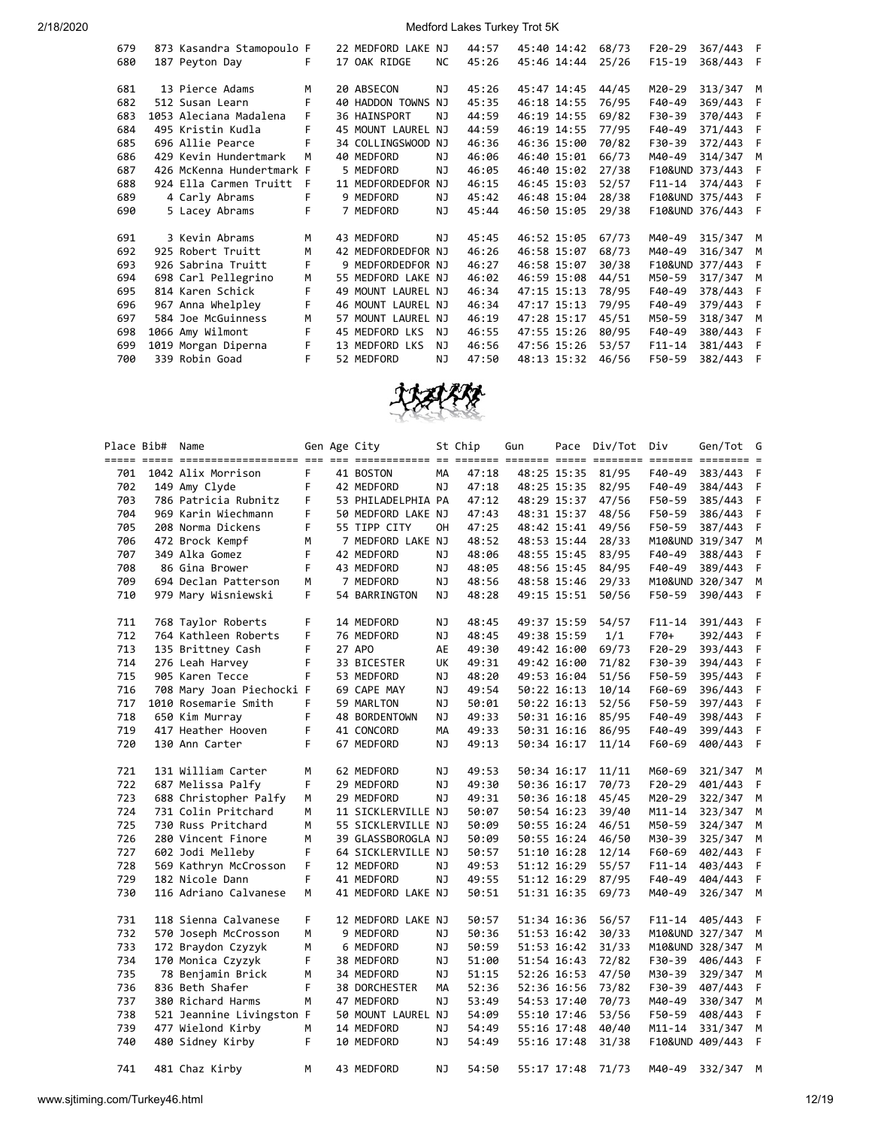|  |                                                                                                                                                                                                                                                                                                                                                                                                                                |                                                        |                                                                                                                                                                                                                                 | 44:57                                                                                                                                                                                       |  | 68/73                                                                                                                                                                                                                                                                                                                                  | $F20-29$   | 367/443 | F                                                                           |
|--|--------------------------------------------------------------------------------------------------------------------------------------------------------------------------------------------------------------------------------------------------------------------------------------------------------------------------------------------------------------------------------------------------------------------------------|--------------------------------------------------------|---------------------------------------------------------------------------------------------------------------------------------------------------------------------------------------------------------------------------------|---------------------------------------------------------------------------------------------------------------------------------------------------------------------------------------------|--|----------------------------------------------------------------------------------------------------------------------------------------------------------------------------------------------------------------------------------------------------------------------------------------------------------------------------------------|------------|---------|-----------------------------------------------------------------------------|
|  | F                                                                                                                                                                                                                                                                                                                                                                                                                              |                                                        | <b>NC</b>                                                                                                                                                                                                                       | 45:26                                                                                                                                                                                       |  | 25/26                                                                                                                                                                                                                                                                                                                                  | $F15-19$   | 368/443 | - F                                                                         |
|  | M                                                                                                                                                                                                                                                                                                                                                                                                                              |                                                        | NJ                                                                                                                                                                                                                              | 45:26                                                                                                                                                                                       |  | 44/45                                                                                                                                                                                                                                                                                                                                  | M20-29     | 313/347 | M                                                                           |
|  | F                                                                                                                                                                                                                                                                                                                                                                                                                              |                                                        |                                                                                                                                                                                                                                 | 45:35                                                                                                                                                                                       |  | 76/95                                                                                                                                                                                                                                                                                                                                  | F40-49     | 369/443 | F                                                                           |
|  | F.                                                                                                                                                                                                                                                                                                                                                                                                                             |                                                        | NJ                                                                                                                                                                                                                              | 44:59                                                                                                                                                                                       |  | 69/82                                                                                                                                                                                                                                                                                                                                  | F30-39     | 370/443 | F                                                                           |
|  | F                                                                                                                                                                                                                                                                                                                                                                                                                              |                                                        |                                                                                                                                                                                                                                 | 44:59                                                                                                                                                                                       |  | 77/95                                                                                                                                                                                                                                                                                                                                  | F40-49     | 371/443 | F                                                                           |
|  | F                                                                                                                                                                                                                                                                                                                                                                                                                              |                                                        |                                                                                                                                                                                                                                 | 46:36                                                                                                                                                                                       |  | 70/82                                                                                                                                                                                                                                                                                                                                  | F30-39     | 372/443 | F                                                                           |
|  | M                                                                                                                                                                                                                                                                                                                                                                                                                              |                                                        | NJ                                                                                                                                                                                                                              | 46:06                                                                                                                                                                                       |  | 66/73                                                                                                                                                                                                                                                                                                                                  | M40-49     | 314/347 | M                                                                           |
|  |                                                                                                                                                                                                                                                                                                                                                                                                                                |                                                        | NJ                                                                                                                                                                                                                              | 46:05                                                                                                                                                                                       |  | 27/38                                                                                                                                                                                                                                                                                                                                  |            |         | F                                                                           |
|  | F                                                                                                                                                                                                                                                                                                                                                                                                                              |                                                        |                                                                                                                                                                                                                                 | 46:15                                                                                                                                                                                       |  | 52/57                                                                                                                                                                                                                                                                                                                                  | $F11 - 14$ | 374/443 | F                                                                           |
|  | F                                                                                                                                                                                                                                                                                                                                                                                                                              |                                                        | NJ                                                                                                                                                                                                                              | 45:42                                                                                                                                                                                       |  | 28/38                                                                                                                                                                                                                                                                                                                                  |            |         | F                                                                           |
|  | F                                                                                                                                                                                                                                                                                                                                                                                                                              |                                                        | NJ                                                                                                                                                                                                                              | 45:44                                                                                                                                                                                       |  | 29/38                                                                                                                                                                                                                                                                                                                                  |            |         | F                                                                           |
|  | M                                                                                                                                                                                                                                                                                                                                                                                                                              |                                                        | NJ                                                                                                                                                                                                                              | 45:45                                                                                                                                                                                       |  | 67/73                                                                                                                                                                                                                                                                                                                                  | M40-49     | 315/347 | м                                                                           |
|  | M                                                                                                                                                                                                                                                                                                                                                                                                                              |                                                        |                                                                                                                                                                                                                                 | 46:26                                                                                                                                                                                       |  | 68/73                                                                                                                                                                                                                                                                                                                                  | M40-49     | 316/347 | м                                                                           |
|  | F                                                                                                                                                                                                                                                                                                                                                                                                                              |                                                        |                                                                                                                                                                                                                                 | 46:27                                                                                                                                                                                       |  | 30/38                                                                                                                                                                                                                                                                                                                                  |            |         | F                                                                           |
|  | м                                                                                                                                                                                                                                                                                                                                                                                                                              |                                                        |                                                                                                                                                                                                                                 | 46:02                                                                                                                                                                                       |  | 44/51                                                                                                                                                                                                                                                                                                                                  | M50-59     | 317/347 | М                                                                           |
|  | F                                                                                                                                                                                                                                                                                                                                                                                                                              |                                                        |                                                                                                                                                                                                                                 | 46:34                                                                                                                                                                                       |  | 78/95                                                                                                                                                                                                                                                                                                                                  | F40-49     | 378/443 | F                                                                           |
|  | F                                                                                                                                                                                                                                                                                                                                                                                                                              |                                                        |                                                                                                                                                                                                                                 | 46:34                                                                                                                                                                                       |  | 79/95                                                                                                                                                                                                                                                                                                                                  | F40-49     | 379/443 | F                                                                           |
|  | м                                                                                                                                                                                                                                                                                                                                                                                                                              | 57                                                     |                                                                                                                                                                                                                                 | 46:19                                                                                                                                                                                       |  | 45/51                                                                                                                                                                                                                                                                                                                                  | M50-59     | 318/347 | M                                                                           |
|  | F                                                                                                                                                                                                                                                                                                                                                                                                                              |                                                        | NJ                                                                                                                                                                                                                              | 46:55                                                                                                                                                                                       |  | 80/95                                                                                                                                                                                                                                                                                                                                  | F40-49     | 380/443 | F                                                                           |
|  | F                                                                                                                                                                                                                                                                                                                                                                                                                              |                                                        | ΝJ                                                                                                                                                                                                                              | 46:56                                                                                                                                                                                       |  | 53/57                                                                                                                                                                                                                                                                                                                                  | $F11 - 14$ | 381/443 | F                                                                           |
|  | F                                                                                                                                                                                                                                                                                                                                                                                                                              |                                                        | ΝJ                                                                                                                                                                                                                              | 47:50                                                                                                                                                                                       |  | 46/56                                                                                                                                                                                                                                                                                                                                  | F50-59     | 382/443 | F                                                                           |
|  | 187 Peyton Day<br>13 Pierce Adams<br>512 Susan Learn<br>1053 Aleciana Madalena<br>495 Kristin Kudla<br>696 Allie Pearce<br>429 Kevin Hundertmark<br>924 Ella Carmen Truitt<br>4 Carly Abrams<br>5 Lacey Abrams<br>3 Kevin Abrams<br>925 Robert Truitt<br>926 Sabrina Truitt<br>698 Carl Pellegrino<br>814 Karen Schick<br>967 Anna Whelpley<br>584 Joe McGuinness<br>1066 Amy Wilmont<br>1019 Morgan Diperna<br>339 Robin Goad | 873 Kasandra Stamopoulo F<br>426 McKenna Hundertmark F | 17 OAK RIDGE<br>20 ABSECON<br><b>40 HADDON TOWNS</b><br>36 HAINSPORT<br>34 COLLINGSWOOD<br>40 MEDFORD<br>5 MEDFORD<br>11 MEDFORDEDFOR<br>9 MEDFORD<br>7 MEDFORD<br>43 MEDFORD<br>45 MEDFORD LKS<br>13 MEDFORD LKS<br>52 MEDFORD | 22 MEDFORD LAKE NJ<br>NJ<br>45 MOUNT LAUREL NJ<br>NJ.<br>NJ<br>42 MEDFORDEDFOR NJ<br>9 MEDFORDEDFOR NJ<br>55 MEDFORD LAKE NJ<br>49 MOUNT LAUREL NJ<br>46 MOUNT LAUREL NJ<br>MOUNT LAUREL NJ |  | 45:40 14:42<br>45:46 14:44<br>45:47 14:45<br>46:18 14:55<br>46:19 14:55<br>46:19 14:55<br>46:36 15:00<br>46:40 15:01<br>46:40 15:02<br>46:45 15:03<br>46:48 15:04<br>46:50 15:05<br>46:52 15:05<br>46:58 15:07<br>46:58 15:07<br>46:59 15:08<br>47:15 15:13<br>47:17 15:13<br>47:28 15:17<br>47:55 15:26<br>47:56 15:26<br>48:13 15:32 |            |         | F10&UND 373/443<br>F10&UND 375/443<br>F10&UND 376/443<br>F10&UND<br>377/443 |



|     | Place Bib# | Name                      |    | Gen Age City       |           | St Chip | Gun |             | Pace Div/Tot | Div        | Gen/Tot G               |     |
|-----|------------|---------------------------|----|--------------------|-----------|---------|-----|-------------|--------------|------------|-------------------------|-----|
|     |            |                           |    |                    |           |         |     |             |              |            | $=$ $=$ $=$ $=$ $=$ $=$ |     |
| 701 |            | 1042 Alix Morrison        | F. | 41 BOSTON          | МA        | 47:18   |     | 48:25 15:35 | 81/95        | F40-49     | 383/443                 | F   |
| 702 |            | 149 Amy Clyde             | F  | 42 MEDFORD         | NJ        | 47:18   |     | 48:25 15:35 | 82/95        | F40-49     | 384/443                 | F   |
| 703 |            | 786 Patricia Rubnitz      | F  | 53 PHILADELPHIA PA |           | 47:12   |     | 48:29 15:37 | 47/56        | F50-59     | 385/443                 | F   |
| 704 |            | 969 Karin Wiechmann       | F  | 50 MEDFORD LAKE NJ |           | 47:43   |     | 48:31 15:37 | 48/56        | F50-59     | 386/443                 | F   |
| 705 |            | 208 Norma Dickens         | F  | 55 TIPP CITY       | OН        | 47:25   |     | 48:42 15:41 | 49/56        | F50-59     | 387/443                 | F.  |
| 706 |            | 472 Brock Kempf           | M  | 7 MEDFORD LAKE NJ  |           | 48:52   |     | 48:53 15:44 | 28/33        |            | M10&UND 319/347         | M   |
| 707 |            | 349 Alka Gomez            | F  | 42 MEDFORD         | NJ        | 48:06   |     | 48:55 15:45 | 83/95        | F40-49     | 388/443                 | F   |
| 708 |            | 86 Gina Brower            | F. | 43 MEDFORD         | ΝJ        | 48:05   |     | 48:56 15:45 | 84/95        | F40-49     | 389/443                 | F   |
| 709 |            | 694 Declan Patterson      | М  | 7 MEDFORD          | ΝJ        | 48:56   |     | 48:58 15:46 | 29/33        |            | M10&UND 320/347         | М   |
| 710 |            | 979 Mary Wisniewski       | F  | 54 BARRINGTON      | ΝJ        | 48:28   |     | 49:15 15:51 | 50/56        | F50-59     | 390/443                 | F   |
| 711 |            | 768 Taylor Roberts        | F  | 14 MEDFORD         | ΝJ        | 48:45   |     | 49:37 15:59 | 54/57        | $F11 - 14$ | 391/443                 | - F |
| 712 |            | 764 Kathleen Roberts      | F  | 76 MEDFORD         | <b>NJ</b> | 48:45   |     | 49:38 15:59 | 1/1          | F70+       | 392/443                 | F   |
| 713 |            | 135 Brittney Cash         | F  | 27 APO             | AE        | 49:30   |     | 49:42 16:00 | 69/73        | F20-29     | 393/443                 | F   |
| 714 |            | 276 Leah Harvey           | F  | 33 BICESTER        | UK        | 49:31   |     | 49:42 16:00 | 71/82        | F30-39     | 394/443                 | F   |
| 715 |            | 905 Karen Tecce           | F  | 53 MEDFORD         | ΝJ        | 48:20   |     | 49:53 16:04 | 51/56        | F50-59     | 395/443                 | F   |
| 716 |            | 708 Mary Joan Piechocki F |    | 69 CAPE MAY        | ΝJ        | 49:54   |     | 50:22 16:13 | 10/14        | F60-69     | 396/443                 | F   |
| 717 |            | 1010 Rosemarie Smith      | F  | 59 MARLTON         | ΝJ        | 50:01   |     | 50:22 16:13 | 52/56        | F50-59     | 397/443                 | F   |
| 718 |            | 650 Kim Murray            | F  | 48 BORDENTOWN      | ΝJ        | 49:33   |     | 50:31 16:16 | 85/95        | F40-49     | 398/443                 | F   |
| 719 |            | 417 Heather Hooven        | F  | 41 CONCORD         | MA        | 49:33   |     | 50:31 16:16 | 86/95        | F40-49     | 399/443                 | F   |
| 720 |            | 130 Ann Carter            | F  | 67 MEDFORD         | ΝJ        | 49:13   |     | 50:34 16:17 | 11/14        | F60-69     | 400/443                 | F   |
| 721 |            | 131 William Carter        | м  | 62 MEDFORD         | ΝJ        | 49:53   |     | 50:34 16:17 | 11/11        | M60-69     | 321/347                 | M   |
| 722 |            | 687 Melissa Palfy         | F  | 29 MEDFORD         | ΝJ        | 49:30   |     | 50:36 16:17 | 70/73        | F20-29     | 401/443                 | F   |
| 723 |            | 688 Christopher Palfy     | М  | 29 MEDFORD         | NJ        | 49:31   |     | 50:36 16:18 | 45/45        | M20-29     | 322/347                 | M   |
| 724 |            | 731 Colin Pritchard       | М  | 11 SICKLERVILLE NJ |           | 50:07   |     | 50:54 16:23 | 39/40        | M11-14     | 323/347                 | M   |
| 725 |            | 730 Russ Pritchard        | M  | 55 SICKLERVILLE NJ |           | 50:09   |     | 50:55 16:24 | 46/51        | M50-59     | 324/347                 | М   |
| 726 |            | 280 Vincent Finore        | M  | 39 GLASSBOROGLA NJ |           | 50:09   |     | 50:55 16:24 | 46/50        | M30-39     | 325/347                 | М   |
| 727 |            | 602 Jodi Melleby          | F  | 64 SICKLERVILLE NJ |           | 50:57   |     | 51:10 16:28 | 12/14        | F60-69     | 402/443                 | F   |
| 728 |            | 569 Kathryn McCrosson     | F  | 12 MEDFORD         | ΝJ        | 49:53   |     | 51:12 16:29 | 55/57        | F11-14     | 403/443                 | F   |
| 729 |            | 182 Nicole Dann           | F  | 41 MEDFORD         | ΝJ        | 49:55   |     | 51:12 16:29 | 87/95        | F40-49     | 404/443                 | F   |
| 730 |            | 116 Adriano Calvanese     | м  | 41 MEDFORD LAKE NJ |           | 50:51   |     | 51:31 16:35 | 69/73        | M40-49     | 326/347 M               |     |
| 731 |            | 118 Sienna Calvanese      | F. | 12 MEDFORD LAKE NJ |           | 50:57   |     | 51:34 16:36 | 56/57        | $F11 - 14$ | 405/443                 | F   |
| 732 |            | 570 Joseph McCrosson      | М  | 9 MEDFORD          | ΝJ        | 50:36   |     | 51:53 16:42 | 30/33        |            | M10&UND 327/347         | М   |
| 733 |            | 172 Braydon Czyzyk        | M  | 6 MEDFORD          | ΝJ        | 50:59   |     | 51:53 16:42 | 31/33        |            | M10&UND 328/347         | М   |
| 734 |            | 170 Monica Czyzyk         | F  | 38 MEDFORD         | ΝJ        | 51:00   |     | 51:54 16:43 | 72/82        | F30-39     | 406/443                 | F   |
| 735 |            | 78 Benjamin Brick         | м  | 34 MEDFORD         | ΝJ        | 51:15   |     | 52:26 16:53 | 47/50        | M30-39     | 329/347                 | М   |
| 736 |            | 836 Beth Shafer           | F  | 38 DORCHESTER      | MА        | 52:36   |     | 52:36 16:56 | 73/82        | F30-39     | 407/443                 | F   |
| 737 |            | 380 Richard Harms         | M  | 47 MEDFORD         | ΝJ        | 53:49   |     | 54:53 17:40 | 70/73        | M40-49     | 330/347                 | М   |
| 738 |            | 521 Jeannine Livingston F |    | 50 MOUNT LAUREL NJ |           | 54:09   |     | 55:10 17:46 | 53/56        | F50-59     | 408/443                 | F.  |
| 739 |            | 477 Wielond Kirby         | M  | 14 MEDFORD         | ΝJ        | 54:49   |     | 55:16 17:48 | 40/40        | M11-14     | 331/347                 | M   |
| 740 |            | 480 Sidney Kirby          | F  | 10 MEDFORD         | ΝJ        | 54:49   |     | 55:16 17:48 | 31/38        |            | F10&UND 409/443         | - F |
| 741 |            | 481 Chaz Kirby            | м  | 43 MEDFORD         | NJ        | 54:50   |     | 55:17 17:48 | 71/73        | M40-49     | 332/347                 | M   |
|     |            |                           |    |                    |           |         |     |             |              |            |                         |     |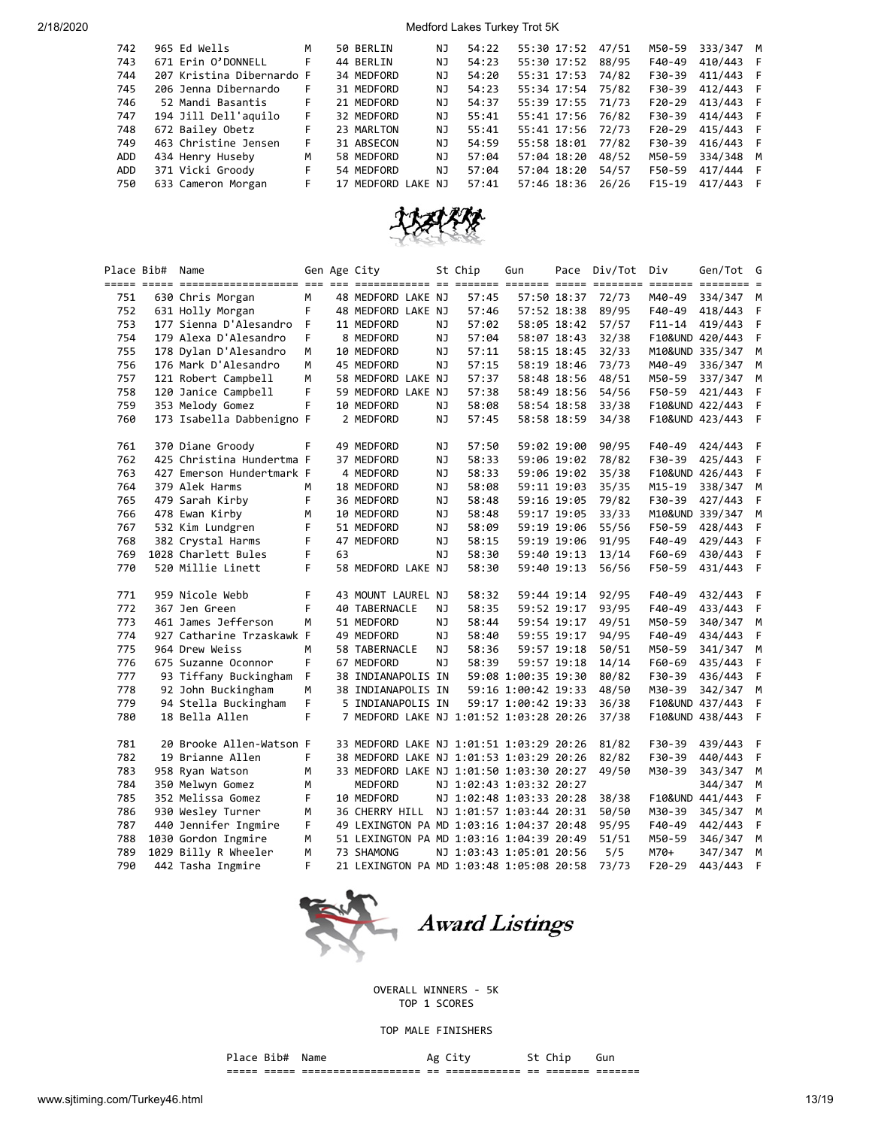| 742        | 965 Ed Wells              | M  | 50 BERLIN          | NJ | 54:22 | 55:30 17:52 | 47/51 | M50-59   | 333/347   | M |
|------------|---------------------------|----|--------------------|----|-------|-------------|-------|----------|-----------|---|
| 743        | 671 Erin O'DONNELL        | F  | 44 BERLIN          | ΝJ | 54:23 | 55:30 17:52 | 88/95 | F40-49   | 410/443   |   |
| 744        | 207 Kristina Dibernardo F |    | 34 MEDFORD         | NJ | 54:20 | 55:31 17:53 | 74/82 | F30-39   | 411/443 F |   |
| 745        | 206 Jenna Dibernardo      | F. | 31 MEDFORD         | NJ | 54:23 | 55:34 17:54 | 75/82 | F30-39   | 412/443 F |   |
| 746        | 52 Mandi Basantis         | F. | 21 MEDFORD         | NJ | 54:37 | 55:39 17:55 | 71/73 | $F20-29$ | 413/443 F |   |
| 747        | 194 Jill Dell'aquilo      | F. | 32 MEDFORD         | NJ | 55:41 | 55:41 17:56 | 76/82 | F30-39   | 414/443 F |   |
| 748        | 672 Bailey Obetz          | F. | 23 MARLTON         | NJ | 55:41 | 55:41 17:56 | 72/73 | $F20-29$ | 415/443 F |   |
| 749        | 463 Christine Jensen      | F. | 31 ABSECON         | NJ | 54:59 | 55:58 18:01 | 77/82 | F30-39   | 416/443 F |   |
| <b>ADD</b> | 434 Henry Huseby          | M  | 58 MEDFORD         | NJ | 57:04 | 57:04 18:20 | 48/52 | M50-59   | 334/348 M |   |
| <b>ADD</b> | 371 Vicki Groody          | F. | 54 MEDFORD         | NJ | 57:04 | 57:04 18:20 | 54/57 | F50-59   | 417/444 F |   |
| 750        | 633 Cameron Morgan        | F. | 17 MEDFORD LAKE NJ |    | 57:41 | 57:46 18:36 | 26/26 | $F15-19$ | 417/443   | F |



|     | Place Bib# Name |                                             |    |    | Gen Age City                                           |           | St Chip | Gun                      |             | Pace Div/Tot | Div                     | Gen/Tot G       |        |
|-----|-----------------|---------------------------------------------|----|----|--------------------------------------------------------|-----------|---------|--------------------------|-------------|--------------|-------------------------|-----------------|--------|
|     |                 | ===== ===== ====================            |    |    |                                                        |           |         |                          |             |              | $=$ $=$ $=$ $=$ $=$ $=$ | $= 222222222$   | $=$    |
| 751 |                 | 630 Chris Morgan                            | M  |    | 48 MEDFORD LAKE NJ                                     |           | 57:45   | 57:50 18:37              |             | 72/73        | M40-49                  | 334/347         | M      |
| 752 |                 | 631 Holly Morgan                            | F  |    | 48 MEDFORD LAKE NJ                                     |           | 57:46   |                          | 57:52 18:38 | 89/95        | F40-49                  | 418/443         | F      |
| 753 |                 | 177 Sienna D'Alesandro                      | F  |    | 11 MEDFORD                                             | ΝJ        | 57:02   |                          | 58:05 18:42 | 57/57        | F11-14                  | 419/443         | F      |
| 754 |                 | 179 Alexa D'Alesandro                       | F  |    | 8 MEDFORD                                              | NJ        | 57:04   |                          | 58:07 18:43 | 32/38        |                         | F10&UND 420/443 | F      |
| 755 |                 | 178 Dylan D'Alesandro                       | М  |    | 10 MEDFORD                                             | ΝJ        | 57:11   |                          | 58:15 18:45 | 32/33        |                         | M10&UND 335/347 | M      |
| 756 |                 | 176 Mark D'Alesandro                        | M  |    | 45 MEDFORD                                             | NJ        | 57:15   |                          | 58:19 18:46 | 73/73        | M40-49                  | 336/347         | M      |
| 757 |                 | 121 Robert Campbell                         | M  |    | 58 MEDFORD LAKE NJ                                     |           | 57:37   |                          | 58:48 18:56 | 48/51        | M50-59                  | 337/347         | M      |
| 758 |                 | 120 Janice Campbell                         | F  |    | 59 MEDFORD LAKE NJ                                     |           | 57:38   |                          | 58:49 18:56 | 54/56        | F50-59                  | 421/443         | F      |
| 759 |                 | 353 Melody Gomez                            | F  |    | 10 MEDFORD                                             | ΝJ        | 58:08   | 58:54 18:58              |             | 33/38        |                         | F10&UND 422/443 | F      |
| 760 |                 | 173 Isabella Dabbenigno F                   |    |    | 2 MEDFORD                                              | ΝJ        | 57:45   |                          | 58:58 18:59 | 34/38        |                         | F10&UND 423/443 | F      |
| 761 |                 | 370 Diane Groody                            | F  |    | 49 MEDFORD                                             | ΝJ        | 57:50   | 59:02 19:00              |             | 90/95        | F40-49                  | 424/443         | F      |
| 762 |                 | 425 Christina Hundertma F                   |    |    | 37 MEDFORD                                             | ΝJ        | 58:33   | 59:06 19:02              |             | 78/82        | F30-39                  | 425/443         | F      |
| 763 |                 | 427 Emerson Hundertmark F                   |    |    | 4 MEDFORD                                              | ΝJ        | 58:33   |                          | 59:06 19:02 | 35/38        |                         | F10&UND 426/443 | F      |
| 764 |                 | 379 Alek Harms                              | M  |    | 18 MEDFORD                                             | ΝJ        | 58:08   |                          | 59:11 19:03 | 35/35        | M15-19                  | 338/347         | M      |
| 765 |                 | 479 Sarah Kirby                             | F  |    | 36 MEDFORD                                             | ΝJ        | 58:48   |                          | 59:16 19:05 | 79/82        | F30-39                  | 427/443         | F      |
| 766 |                 | 478 Ewan Kirby                              | м  |    | 10 MEDFORD                                             | ΝJ        | 58:48   | 59:17 19:05              |             | 33/33        |                         | M10&UND 339/347 | M      |
| 767 |                 | 532 Kim Lundgren                            | F  |    | 51 MEDFORD                                             | ΝJ        | 58:09   | 59:19 19:06              |             | 55/56        | F50-59                  | 428/443         | F      |
| 768 |                 | 382 Crystal Harms                           | F  |    | 47 MEDFORD                                             | NJ        | 58:15   | 59:19 19:06              |             | 91/95        | F40-49                  | 429/443         | F      |
| 769 |                 | 1028 Charlett Bules                         | F  | 63 |                                                        | ΝJ        | 58:30   |                          | 59:40 19:13 | 13/14        | F60-69                  | 430/443         | F      |
| 770 |                 | 520 Millie Linett                           | F  |    | 58 MEDFORD LAKE NJ                                     |           | 58:30   |                          | 59:40 19:13 | 56/56        | F50-59                  | 431/443         | F      |
| 771 |                 | 959 Nicole Webb                             | F  |    | 43 MOUNT LAUREL NJ                                     |           | 58:32   |                          | 59:44 19:14 | 92/95        | F40-49                  | 432/443         | F      |
| 772 |                 | 367 Jen Green                               | F  |    | <b>40 TABERNACLE</b>                                   | ΝJ        | 58:35   |                          | 59:52 19:17 | 93/95        | F40-49                  | 433/443         | F      |
| 773 |                 | 461 James Jefferson                         | M  |    | 51 MEDFORD                                             | <b>NJ</b> | 58:44   | 59:54 19:17              |             | 49/51        | M50-59                  | 340/347         | М      |
| 774 |                 | 927 Catharine Trzaskawk F                   |    |    | 49 MEDFORD                                             | ΝJ        | 58:40   | 59:55 19:17              |             | 94/95        | F40-49                  | 434/443         | F      |
| 775 |                 | 964 Drew Weiss                              | м  |    | 58 TABERNACLE                                          | NJ        | 58:36   | 59:57 19:18              |             | 50/51        | M50-59                  | 341/347         | M      |
| 776 |                 | 675 Suzanne Oconnor                         | F  |    | 67 MEDFORD                                             | NJ        | 58:39   | 59:57 19:18              |             | 14/14        | F60-69                  | 435/443         | F      |
| 777 |                 | 93 Tiffany Buckingham                       | F. |    | 38 INDIANAPOLIS IN                                     |           |         | 59:08 1:00:35 19:30      |             | 80/82        | F30-39                  | 436/443         | F      |
| 778 |                 | 92 John Buckingham                          | М  |    | 38 INDIANAPOLIS IN                                     |           |         | 59:16 1:00:42 19:33      |             | 48/50        | M30-39                  | 342/347         | M      |
| 779 |                 | 94 Stella Buckingham                        | F  |    | 5 INDIANAPOLIS IN                                      |           |         | 59:17 1:00:42 19:33      |             | 36/38        |                         | F10&UND 437/443 | F      |
| 780 |                 | 18 Bella Allen                              | F  |    | 7 MEDFORD LAKE NJ 1:01:52 1:03:28 20:26                |           |         |                          |             | 37/38        |                         | F10&UND 438/443 | F      |
| 781 |                 | 20 Brooke Allen-Watson F                    |    |    | 33 MEDFORD LAKE NJ 1:01:51 1:03:29 20:26               |           |         |                          |             | 81/82        | F30-39                  | 439/443         | F      |
| 782 |                 | 19 Brianne Allen                            | F  |    | 38 MEDFORD LAKE NJ 1:01:53 1:03:29 20:26               |           |         |                          |             | 82/82        | F30-39                  | 440/443         | F      |
| 783 |                 | 958 Ryan Watson                             | M  |    | 33 MEDFORD LAKE NJ 1:01:50 1:03:30 20:27               |           |         |                          |             | 49/50        | M30-39                  | 343/347         | M      |
| 784 |                 | 350 Melwyn Gomez                            | M  |    | MEDFORD                                                |           |         | NJ 1:02:43 1:03:32 20:27 |             |              |                         | 344/347         | M      |
| 785 |                 | 352 Melissa Gomez                           | F  |    | 10 MEDFORD                                             |           |         | NJ 1:02:48 1:03:33 20:28 |             | 38/38        |                         | F10&UND 441/443 | F.     |
| 786 |                 | 930 Wesley Turner                           | M  |    | 36 CHERRY HILL                                         |           |         | NJ 1:01:57 1:03:44 20:31 |             | 50/50        | M30-39                  | 345/347         | M      |
| 787 |                 | 440 Jennifer Ingmire                        | F  |    | 49 LEXINGTON PA MD 1:03:16 1:04:37 20:48               |           |         |                          |             | 95/95        | F40-49                  |                 | F      |
| 788 |                 |                                             | М  |    |                                                        |           |         |                          |             |              | M50-59                  | 442/443         |        |
| 789 |                 | 1030 Gordon Ingmire<br>1029 Billy R Wheeler | M  |    | 51 LEXINGTON PA MD 1:03:16 1:04:39 20:49<br>73 SHAMONG |           |         |                          |             | 51/51<br>5/5 | M70+                    | 346/347         | М<br>M |
| 790 |                 |                                             | F  |    |                                                        |           |         | NJ 1:03:43 1:05:01 20:56 |             |              | $F20-29$                | 347/347         | F      |
|     |                 | 442 Tasha Ingmire                           |    |    | 21 LEXINGTON PA MD 1:03:48 1:05:08 20:58               |           |         |                          |             | 73/73        |                         | 443/443         |        |



OVERALL WINNERS - 5K TOP 1 SCORES

TOP MALE FINISHERS

Place Bib# Name  $\overline{A}$  Ag City St Chip Gun ===== ===== =================== == ============ == ======= =======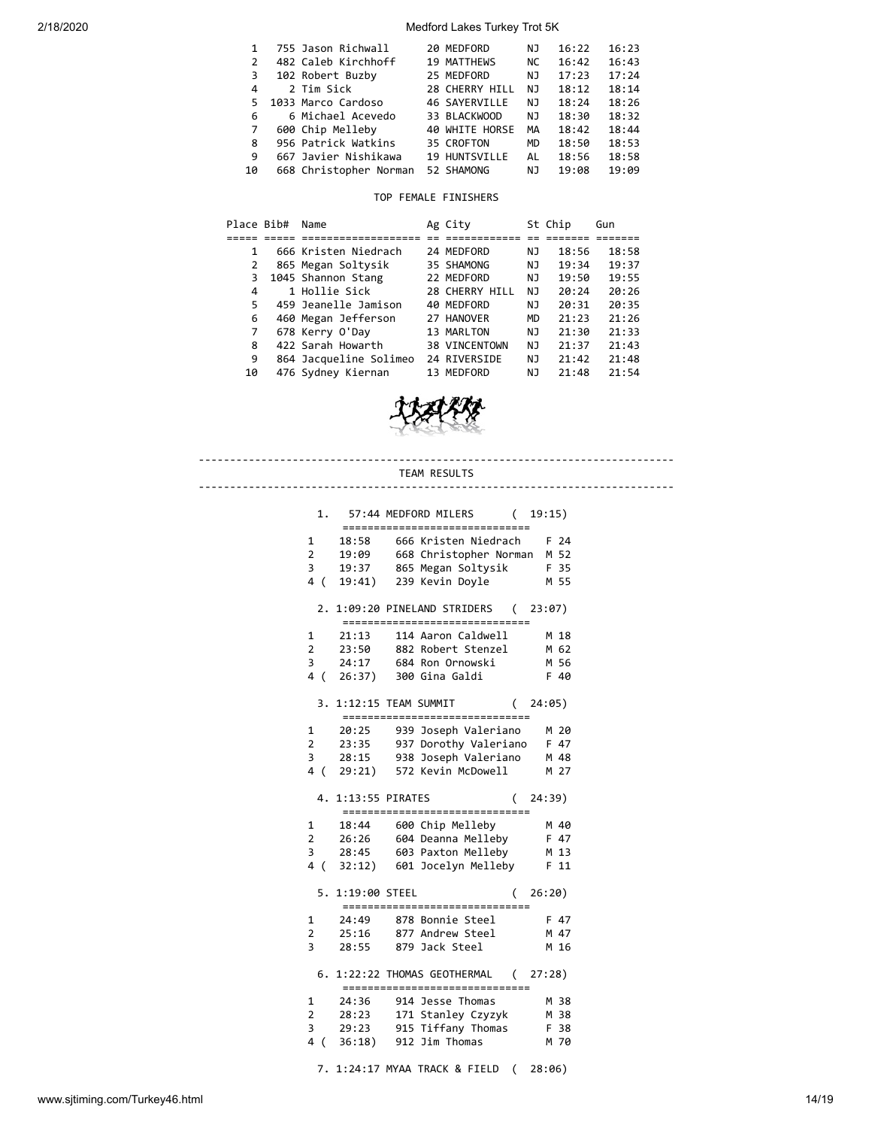| 1             | 755 Jason Richwall     | 20 MEDFORD           | NJ  | 16:22 | 16:23 |
|---------------|------------------------|----------------------|-----|-------|-------|
| $\mathcal{P}$ | 482 Caleb Kirchhoff    | <b>19 MATTHEWS</b>   | NC. | 16:42 | 16:43 |
| 3.            | 102 Robert Buzby       | 25 MEDFORD           | NJ  | 17:23 | 17:24 |
| 4             | 2 Tim Sick             | 28 CHERRY HILL       | NJ. | 18:12 | 18:14 |
| 5.            | 1033 Marco Cardoso     | <b>46 SAYERVILLE</b> | NJ. | 18:24 | 18:26 |
| 6             | 6 Michael Acevedo      | 33 BLACKWOOD         | NJ  | 18:30 | 18:32 |
| 7             | 600 Chip Melleby       | 40 WHITE HORSE       | MA  | 18:42 | 18:44 |
| 8             | 956 Patrick Watkins    | 35 CROFTON           | MD  | 18:50 | 18:53 |
| 9             | 667 Javier Nishikawa   | 19 HUNTSVILLE        | AL  | 18:56 | 18:58 |
| 10            | 668 Christopher Norman | 52 SHAMONG           | ΝJ  | 19:08 | 19:09 |

### TOP FEMALE FINISHERS

| Place Bib# | Name                   | Ag City        |           | St Chip | Gun   |
|------------|------------------------|----------------|-----------|---------|-------|
|            |                        |                |           |         |       |
| 1          | 666 Kristen Niedrach   | 24 MEDFORD     | ΝJ        | 18:56   | 18:58 |
| 2          | 865 Megan Soltysik     | 35 SHAMONG     | NJ.       | 19:34   | 19:37 |
| 3          | 1045 Shannon Stang     | 22 MEDFORD     | NJ.       | 19:50   | 19:55 |
| 4          | 1 Hollie Sick          | 28 CHERRY HILL | NJ        | 20:24   | 20:26 |
| 5          | 459 Jeanelle Jamison   | 40 MEDFORD     | NJ        | 20:31   | 20:35 |
| 6          | 460 Megan Jefferson    | 27 HANOVER     | <b>MD</b> | 21:23   | 21:26 |
| 7          | 678 Kerry O'Day        | 13 MARLTON     | ΝJ        | 21:30   | 21:33 |
| 8          | 422 Sarah Howarth      | 38 VINCENTOWN  | NJ        | 21:37   | 21:43 |
| 9          | 864 Jacqueline Solimeo | 24 RIVERSIDE   | NJ        | 21:42   | 21:48 |
| 10         | 476 Sydney Kiernan     | 13 MEDFORD     | ΝJ        | 21:48   | 21:54 |



# www.sjtiming.com/Turkey46.html 14/19 ---------------------------------------------------------------------------- TEAM RESULTS ---------------------------------------------------------------------------- 1. 57:44 MEDFORD MILERS ( 19:15) ============================== 1 18:58 666 Kristen Niedrach F 24 2 19:09 668 Christopher Norman M 52 3 19:37 865 Megan Soltysik F 35 4 ( 19:41) 239 Kevin Doyle M 55 2. 1:09:20 PINELAND STRIDERS ( 23:07) ============================== 1 21:13 114 Aaron Caldwell M 18 2 23:50 882 Robert Stenzel M 62 3 24:17 684 Ron Ornowski M 56<br>4 ( 26:37) 300 Gina Galdi F 40 3 24:17 684 Ron Ornowski<br>4 ( 26:37) 300 Gina Galdi 3. 1:12:15 TEAM SUMMIT ( 24:05) ============================== 1 20:25 939 Joseph Valeriano M 20 2 23:35 937 Dorothy Valeriano F 47 2 23:35 937 Dorothy valeriano<br>3 28:15 938 Joseph Valeriano M 48<br>2 23 12:23 Kevin McDowell M 27 4 ( 29:21) 572 Kevin McDowell 4. 1:13:55 PIRATES ( 24:39) ============================== 1 18:44 600 Chip Melleby M 40 2 26:26 604 Deanna Melleby F 47 3 28:45 603 Paxton Melleby M 13 4 ( 32:12) 601 Jocelyn Melleby F 11 5. 1:19:00 STEEL ( 26:20) ============================== 1 24:49 878 Bonnie Steel F 47 2 25:16 877 Andrew Steel M 47 3 28:55 879 Jack Steel M 16 6. 1:22:22 THOMAS GEOTHERMAL ( 27:28) ==============================  $1$   $24:36$   $914$  Jesse Thomas 2 28:23 171 Stanley Czyzyk M 38<br>3 29:23 915 Tiffany Thomas F 38  $3$   $29:23$   $915$  Tiffany Thomas 4 ( 36:18) 912 Jim Thomas M 70 7. 1:24:17 MYAA TRACK & FIELD ( 28:06)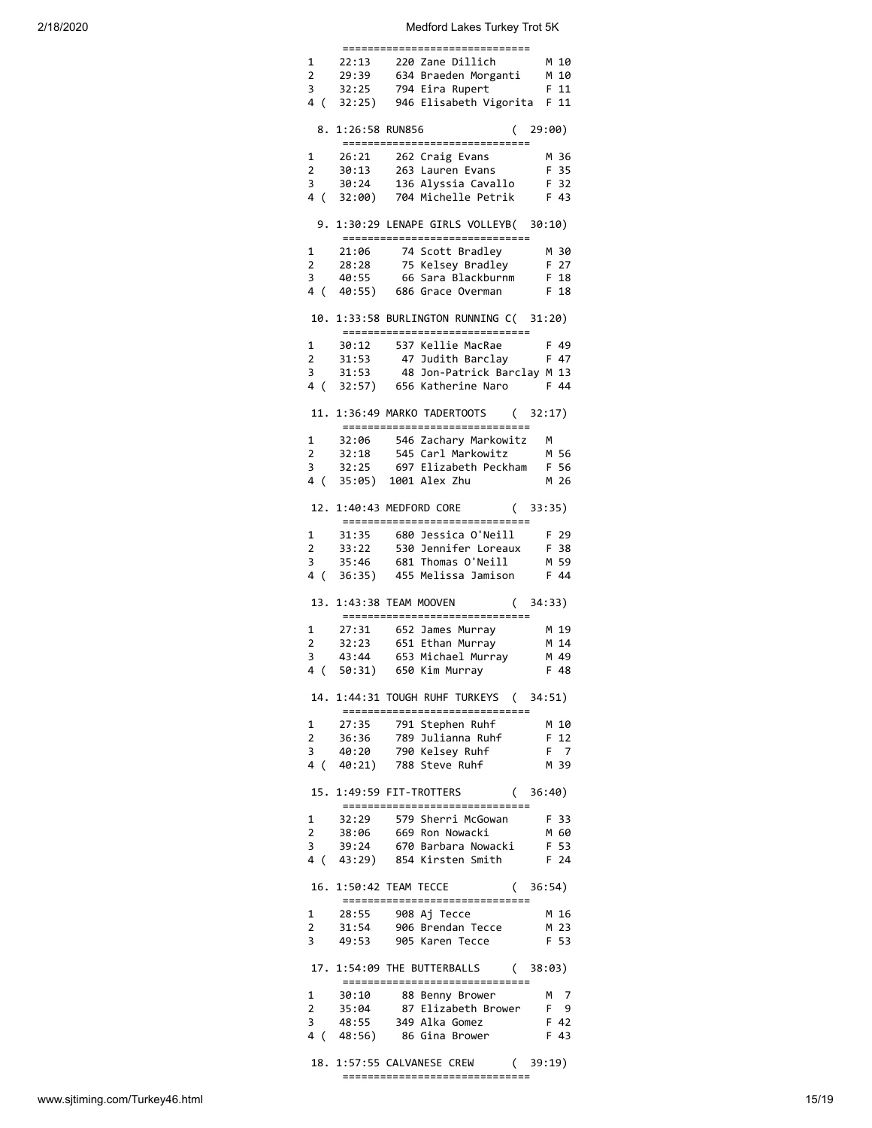|                         | =================       |                                                                                                                                         |          |
|-------------------------|-------------------------|-----------------------------------------------------------------------------------------------------------------------------------------|----------|
| $1 \quad$               |                         | 22:13 220 Zane Dillich                                                                                                                  | M 10     |
| $\overline{2}$          | 29:39                   | 634 Braeden Morganti                                                                                                                    | M 10     |
| $\overline{\mathbf{3}}$ |                         | 32:25 794 Eira Rupert                                                                                                                   | F 11     |
|                         |                         | 4 ( 32:25) 946 Elisabeth Vigorita F 11                                                                                                  |          |
|                         |                         |                                                                                                                                         |          |
|                         | 8. 1:26:58 RUN856       | (29:00)<br>-----------------------------                                                                                                |          |
| 1                       | 26:21                   | 262 Craig Evans                                                                                                                         | M 36     |
| $\overline{2}$          | 30:13                   | 263 Lauren Evans                                                                                                                        | F 35     |
| 3                       | 30:24                   | $136$ Alyssia Cavallo                                                                                                                   | F 32     |
| 4 (                     |                         | 32:00) 704 Michelle Petrik F 43                                                                                                         |          |
| 9.                      |                         | 1:30:29 LENAPE GIRLS VOLLEYB( 30:10)                                                                                                    |          |
|                         |                         | ==============================                                                                                                          |          |
| $1 \quad$               |                         | 21:06 74 Scott Bradley<br>28:28 75 Kelsey Bradley<br>40:55 66 Sara Blackburnm                                                           | M 30     |
| $\overline{2}$          |                         |                                                                                                                                         | F 27     |
| 3                       | 40:55                   |                                                                                                                                         | $F$ 18   |
|                         |                         | 4 ( 40:55) 686 Grace Overman F 18                                                                                                       |          |
| 10.                     |                         | 1:33:58 BURLINGTON RUNNING C( 31:20)<br>------------------------------                                                                  |          |
| 1                       |                         | 30:12 537 Kellie MacRae                                                                                                                 | F 49     |
| $\mathbf{2}$            |                         |                                                                                                                                         |          |
| 3                       |                         | 31:53 47 Judith Barclay F 47<br>31:53 48 Jon-Patrick Barclay M 13                                                                       |          |
|                         |                         | 4 (32:57) 656 Katherine Naro                                                                                                            | F 44     |
|                         |                         |                                                                                                                                         |          |
|                         |                         | 11. 1:36:49 MARKO TADERTOOTS (32:17)<br>-----------------------------                                                                   |          |
| 1                       |                         | 32:06 546 Zachary Markowitz                                                                                                             | <b>M</b> |
| $2^{\circ}$             |                         | 32:18 545 Carl Markowitz                                                                                                                | M 56     |
| 3                       | 32:25                   | 697 Elizabeth Peckham                                                                                                                   | F 56     |
| 4 (                     | 35:05) 1001 Alex Zhu    |                                                                                                                                         | M 26     |
|                         |                         | 12. 1:40:43 MEDFORD CORE<br>(33:35)                                                                                                     |          |
|                         |                         | -----------------------------                                                                                                           |          |
| $\mathbf{1}$            |                         | 31:35 680 Jessica O'Neill                                                                                                               | F 29     |
| $\overline{2}$          |                         | 33:22 530 Jennifer Loreaux                                                                                                              | F 38     |
| 3                       | 35:46                   | 681 Thomas O'Neill<br>36:35) 455 Melissa Jamison                                                                                        | M 59     |
| 4 (                     |                         |                                                                                                                                         | F 44     |
|                         | 13. 1:43:38 TEAM MOOVEN | (34:33)<br>------------------------------                                                                                               |          |
| 1                       |                         |                                                                                                                                         | M 19     |
| $\overline{2}$          |                         |                                                                                                                                         | M 14     |
| 3                       |                         |                                                                                                                                         | M 49     |
| 4<br>(                  |                         | 27:31 652 James Murray<br>32:23 651 Ethan Murray<br>43:44 653 Michael Murray<br>50:31) 650 Kim Murray                                   | F 48     |
|                         |                         |                                                                                                                                         |          |
|                         |                         | 14. 1:44:31 TOUGH RUHF TURKEYS (34:51)<br>===============================                                                               |          |
| $\mathbf{1}$            |                         | 27:35     791 Stephen Ruhf<br>36:36    789 Julianna Ruhf                                                                                | M 10     |
| $2^{\circ}$             |                         |                                                                                                                                         | F 12     |
|                         |                         | 3 40:20 790 Kelsey Ruhf<br>4 ( 40:21) 788 Steve Ruhf                                                                                    | F 7      |
|                         |                         |                                                                                                                                         | M 39     |
|                         |                         | 15. 1:49:59 FIT-TROTTERS (36:40)<br>-----------------------------                                                                       |          |
|                         |                         |                                                                                                                                         |          |
|                         |                         |                                                                                                                                         |          |
|                         |                         |                                                                                                                                         |          |
|                         |                         | 1 32:29 579 Sherri McGowan F 33<br>2 38:06 669 Ron Nowacki M 60<br>3 39:24 670 Barbara Nowacki F 53<br>4 (43:29) 854 Kirsten Smith F 24 |          |
|                         |                         | 16. 1:50:42 TEAM TECCE (36:54)<br>-----------------------------                                                                         |          |
| $\mathbf{1}$            |                         |                                                                                                                                         | M 16     |
| $\overline{2}$          |                         | 28:55     908 Aj Tecce<br>31:54    906 Brendan Tecce                                                                                    | M 23     |
|                         |                         | 3 49:53 905 Karen Tecce                                                                                                                 | F 53     |
|                         |                         | 17. 1:54:09 THE BUTTERBALLS (38:03)                                                                                                     |          |
|                         |                         | -----------------------------                                                                                                           |          |
|                         |                         |                                                                                                                                         |          |
|                         |                         |                                                                                                                                         |          |
|                         |                         |                                                                                                                                         |          |
|                         |                         | 1 30:10 88 Benny Brower M 7<br>2 35:04 87 Elizabeth Brower F 9<br>3 48:55 349 Alka Gomez F 42<br>4 (48:56) 86 Gina Brower F 43          |          |
|                         |                         | 18. 1:57:55 CALVANESE CREW (39:19)                                                                                                      |          |
|                         |                         | ------------------------------                                                                                                          |          |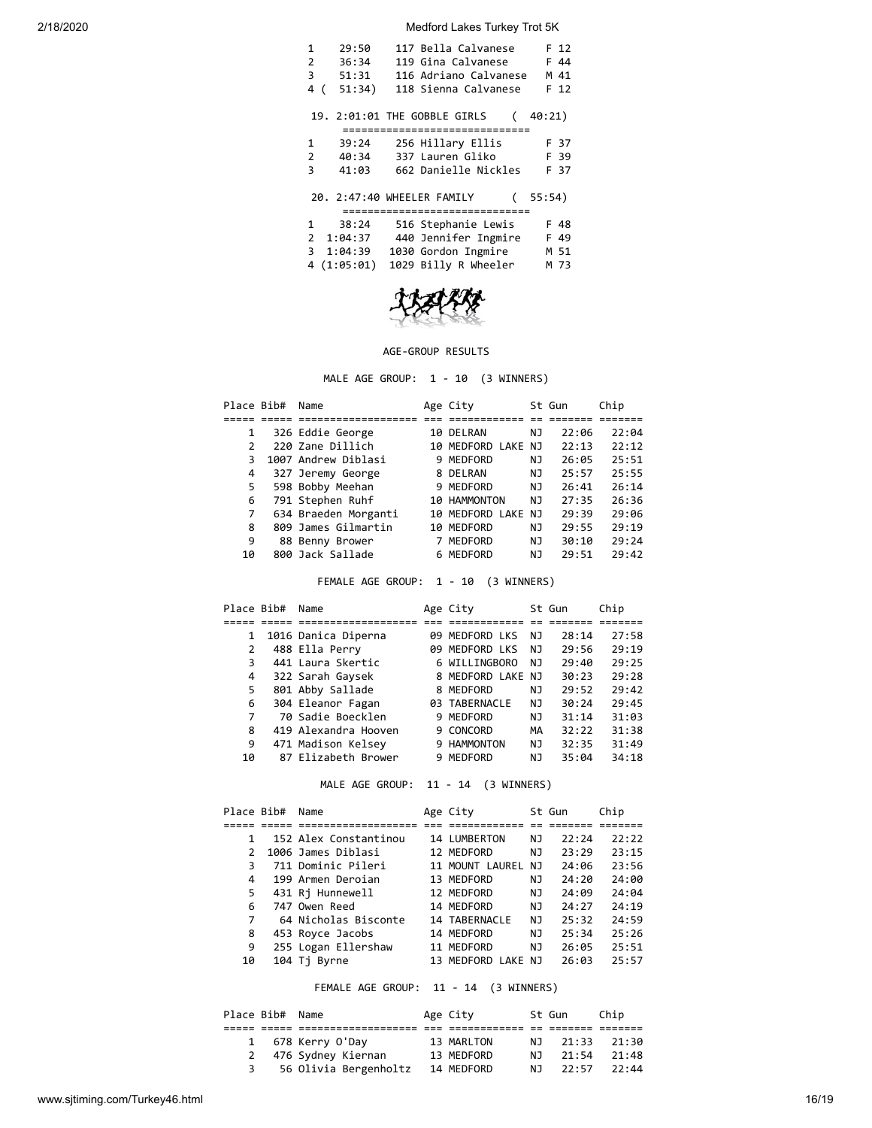| 117 Bella Calvanese<br>29:50<br>1<br>F 12<br>119 Gina Calvanese<br>2<br>36:34<br>F 44<br>3<br>51:31<br>116 Adriano Calvanese<br>M 41<br>51:34)<br>118 Sienna Calvanese<br>F 12<br>4<br>( |
|------------------------------------------------------------------------------------------------------------------------------------------------------------------------------------------|
| 19. 2:01:01 THE GOBBLE GIRLS<br>40:21)                                                                                                                                                   |
| =============================                                                                                                                                                            |
| 256 Hillary Ellis<br>1<br>39:24<br>F 37                                                                                                                                                  |
| 337 Lauren Gliko<br>2<br>40:34<br>F 39                                                                                                                                                   |
| 662 Danielle Nickles<br>41:03<br>F 37<br>З                                                                                                                                               |
| 20. 2:47:40 WHEELER FAMILY<br>55:54)<br>===============================                                                                                                                  |
| 516 Stephanie Lewis<br>38:24<br>1<br>F 48                                                                                                                                                |
| 2 1:04:37<br>440 Jennifer Ingmire<br>F 49                                                                                                                                                |
| 3 1:04:39<br>1030 Gordon Ingmire<br>M 51                                                                                                                                                 |
|                                                                                                                                                                                          |
| 4(1:05:01)<br>1029 Billy R Wheeler<br>M 73                                                                                                                                               |



## AGE-GROUP RESULTS

MALE AGE GROUP: 1 - 10 (3 WINNERS)

| Place Bib#    | Name                 | Age City           |     | St Gun | Chip  |
|---------------|----------------------|--------------------|-----|--------|-------|
|               |                      |                    |     |        |       |
| 1             | 326 Eddie George     | 10 DELRAN          | ΝJ  | 22:06  | 22:04 |
| $\mathcal{P}$ | 220 Zane Dillich     | 10 MEDFORD LAKE NJ |     | 22:13  | 22:12 |
| 3             | 1007 Andrew Diblasi  | 9 MEDFORD          | NJ. | 26:05  | 25:51 |
| 4             | 327 Jeremy George    | 8 DELRAN           | ΝJ  | 25:57  | 25:55 |
| 5             | 598 Bobby Meehan     | 9 MEDFORD          | NJ  | 26:41  | 26:14 |
| 6             | 791 Stephen Ruhf     | 10 HAMMONTON       | NJ  | 27:35  | 26:36 |
| 7             | 634 Braeden Morganti | 10 MEDFORD LAKE NJ |     | 29:39  | 29:06 |
| 8             | 809 James Gilmartin  | 10 MEDFORD         | ΝJ  | 29:55  | 29:19 |
| 9             | 88 Benny Brower      | 7 MEDFORD          | NJ  | 30:10  | 29:24 |
| 10            | 800 Jack Sallade     | 6 MEDFORD          | ΝJ  | 29:51  | 29:42 |

FEMALE AGE GROUP: 1 - 10 (3 WINNERS)

| Place Bib#   | Name                 | Age City          |     | St Gun | Chip  |
|--------------|----------------------|-------------------|-----|--------|-------|
|              |                      |                   |     |        |       |
| $\mathbf{1}$ | 1016 Danica Diperna  | 09 MEDFORD LKS    | NJ  | 28:14  | 27:58 |
| 2            | 488 Ella Perry       | 09 MEDFORD LKS    | NJ. | 29:56  | 29:19 |
| 3            | 441 Laura Skertic    | 6 WILLINGBORO     | NJ  | 29:40  | 29:25 |
| 4            | 322 Sarah Gaysek     | 8 MEDFORD LAKE NJ |     | 30:23  | 29:28 |
| 5            | 801 Abby Sallade     | 8 MEDFORD         | NJ  | 29:52  | 29:42 |
| 6            | 304 Eleanor Fagan    | 03 TABERNACLE     | NJ  | 30:24  | 29:45 |
| 7            | 70 Sadie Boecklen    | 9 MEDFORD         | NJ  | 31:14  | 31:03 |
| 8            | 419 Alexandra Hooven | 9 CONCORD         | MА  | 32:22  | 31:38 |
| 9            | 471 Madison Kelsey   | 9 HAMMONTON       | NJ  | 32:35  | 31:49 |
| 10           | 87 Elizabeth Brower  | 9 MEDFORD         | ΝJ  | 35:04  | 34:18 |

MALE AGE GROUP: 11 - 14 (3 WINNERS)

| Place Bib#    | Name                  | Age City           |     | St Gun | Chip  |
|---------------|-----------------------|--------------------|-----|--------|-------|
|               |                       |                    |     |        |       |
|               | 152 Alex Constantinou | 14 LUMBERTON       | ΝJ  | 22:24  | 22:22 |
| $\mathcal{L}$ | 1006 James Diblasi    | 12 MEDFORD         | NJ. | 23:29  | 23:15 |
| 3             | 711 Dominic Pileri    | 11 MOUNT LAUREL NJ |     | 24:06  | 23:56 |
| 4             | 199 Armen Deroian     | 13 MEDFORD         | NJ  | 24:20  | 24:00 |
| 5             | 431 Rj Hunnewell      | 12 MEDFORD         | NJ  | 24:09  | 24:04 |
| 6             | 747 Owen Reed         | 14 MEDFORD         | NJ  | 24:27  | 24:19 |
| 7             | 64 Nicholas Bisconte  | 14 TABERNACLE      | NJ  | 25:32  | 24:59 |
| 8             | 453 Royce Jacobs      | 14 MEDFORD         | NJ  | 25:34  | 25:26 |
| 9             | 255 Logan Ellershaw   | 11 MEDFORD         | NJ. | 26:05  | 25:51 |
| 10            | 104 Ti Byrne          | 13 MEDFORD LAKE NJ |     | 26:03  | 25:57 |

FEMALE AGE GROUP: 11 - 14 (3 WINNERS)

|   | Place Bib# Name |                       | Age City   |     | St Gun   | Chip  |
|---|-----------------|-----------------------|------------|-----|----------|-------|
|   |                 |                       |            |     |          |       |
|   |                 | 1 678 Kerry O'Day     | 13 MARLTON |     | NJ 21:33 | 21:30 |
|   |                 | 2 476 Sydney Kiernan  | 13 MEDFORD | NJ. | 21:54    | 21:48 |
| 3 |                 | 56 Olivia Bergenholtz | 14 MEDFORD | N J | 22:57    | 22:44 |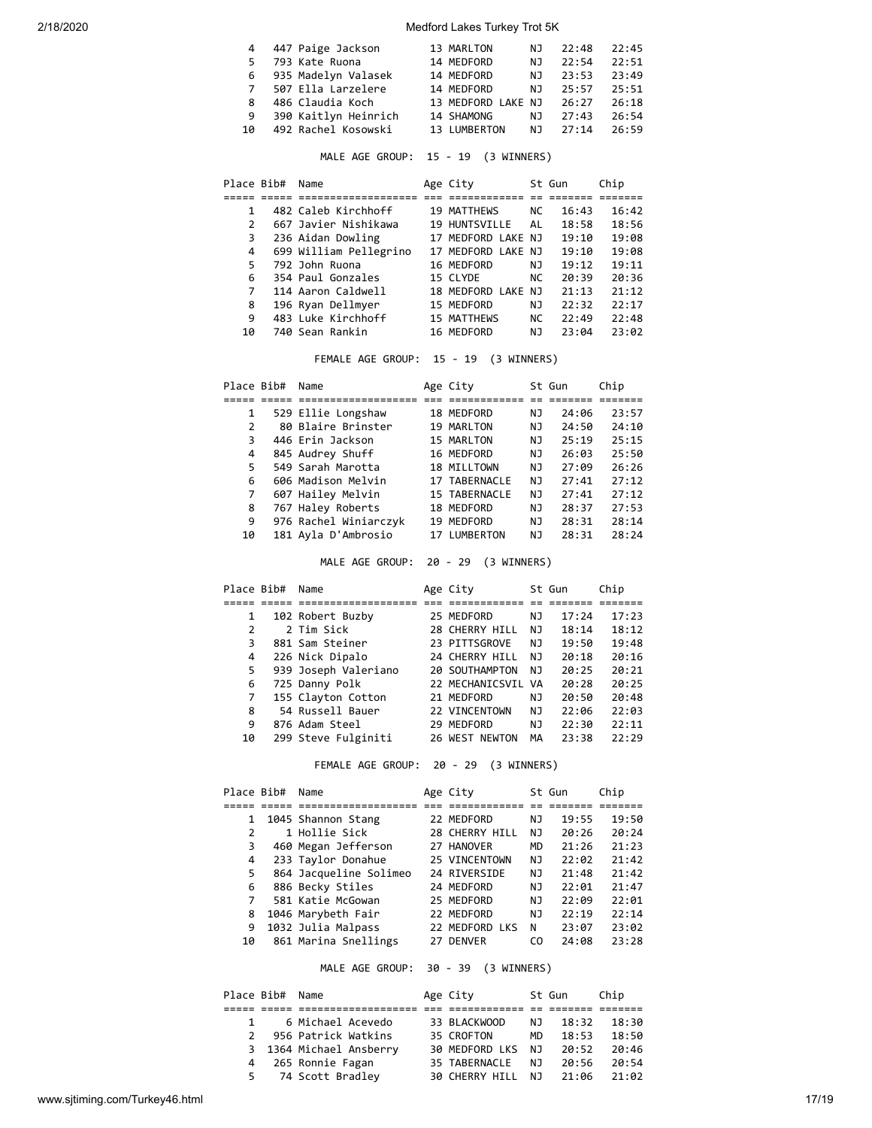|             | 4 447 Paige Jackson   | 13 MARLTON               | NJ  | 22:48 | 22:45 |
|-------------|-----------------------|--------------------------|-----|-------|-------|
| 5.          | 793 Kate Ruona        | 14 MEDFORD               | NJ. | 22:54 | 22:51 |
|             | 6 935 Madelyn Valasek | 14 MEDFORD               | N J | 23:53 | 23:49 |
| $7^{\circ}$ | 507 Ella Larzelere    | 14 MEDFORD               | N J | 25:57 | 25:51 |
| 8           | 486 Claudia Koch      | 13 MEDFORD LAKE NJ 26:27 |     |       | 26:18 |
| 9           | 390 Kaitlyn Heinrich  | 14 SHAMONG               | NJ. | 27:43 | 26:54 |
| 10          | 492 Rachel Kosowski   | 13 LUMBERTON             | N J | 27:14 | 26:59 |

MALE AGE GROUP: 15 - 19 (3 WINNERS)

| Place Bib#    | Name                   | Age City           |           | St Gun | Chip  |
|---------------|------------------------|--------------------|-----------|--------|-------|
|               |                        |                    |           |        |       |
| 1             | 482 Caleb Kirchhoff    | <b>19 MATTHEWS</b> | NC.       | 16:43  | 16:42 |
| $\mathcal{P}$ | 667 Javier Nishikawa   | 19 HUNTSVILLE      | AL        | 18:58  | 18:56 |
| 3             | 236 Aidan Dowling      | 17 MEDFORD LAKE NJ |           | 19:10  | 19:08 |
| 4             | 699 William Pellegrino | 17 MEDFORD LAKE NJ |           | 19:10  | 19:08 |
| 5             | 792 John Ruona         | 16 MEDFORD         | NJ.       | 19:12  | 19:11 |
| 6             | 354 Paul Gonzales      | 15 CLYDE           | <b>NC</b> | 20:39  | 20:36 |
| 7             | 114 Aaron Caldwell     | 18 MEDFORD LAKE NJ |           | 21:13  | 21:12 |
| 8             | 196 Ryan Dellmyer      | 15 MEDFORD         | ΝJ        | 22:32  | 22:17 |
| 9             | 483 Luke Kirchhoff     | <b>15 MATTHEWS</b> | <b>NC</b> | 22:49  | 22:48 |
| 10            | 740 Sean Rankin        | 16 MEDFORD         | NJ        | 23:04  | 23:02 |

FEMALE AGE GROUP: 15 - 19 (3 WINNERS)

| Place Bib# | Name                  | Age City      |    | St Gun | Chip  |
|------------|-----------------------|---------------|----|--------|-------|
|            |                       |               |    |        |       |
| 1          | 529 Ellie Longshaw    | 18 MEDFORD    | ΝJ | 24:06  | 23:57 |
| 2          | 80 Blaire Brinster    | 19 MARLTON    | ΝJ | 24:50  | 24:10 |
| 3          | 446 Erin Jackson      | 15 MARLTON    | ΝJ | 25:19  | 25:15 |
| 4          | 845 Audrey Shuff      | 16 MEDFORD    | ΝJ | 26:03  | 25:50 |
| 5          | 549 Sarah Marotta     | 18 MILLTOWN   | NJ | 27:09  | 26:26 |
| 6          | 606 Madison Melvin    | 17 TABERNACLE | NJ | 27:41  | 27:12 |
| 7          | 607 Hailey Melvin     | 15 TABERNACLE | NJ | 27:41  | 27:12 |
| 8          | 767 Haley Roberts     | 18 MEDFORD    | ΝJ | 28:37  | 27:53 |
| 9          | 976 Rachel Winiarczyk | 19 MEDFORD    | ΝJ | 28:31  | 28:14 |
| 10         | 181 Ayla D'Ambrosio   | 17 LUMBERTON  | NJ | 28:31  | 28:24 |

MALE AGE GROUP: 20 - 29 (3 WINNERS)

|    | Place Bib# | Name                 | Age City           |     | St Gun | Chip  |
|----|------------|----------------------|--------------------|-----|--------|-------|
|    |            |                      |                    |     |        |       |
| 1  |            | 102 Robert Buzby     | 25 MEDFORD         | ΝJ  | 17:24  | 17:23 |
| 2  |            | 2 Tim Sick           | 28 CHERRY HILL     | NJ  | 18:14  | 18:12 |
| 3  |            | 881 Sam Steiner      | 23 PITTSGROVE      | NJ. | 19:50  | 19:48 |
| 4  |            | 226 Nick Dipalo      | 24 CHERRY HILL     | NJ. | 20:18  | 20:16 |
| 5  |            | 939 Joseph Valeriano | 20 SOUTHAMPTON     | NJ  | 20:25  | 20:21 |
| 6  |            | 725 Danny Polk       | 22 MECHANICSVIL VA |     | 20:28  | 20:25 |
| 7  |            | 155 Clayton Cotton   | 21 MEDFORD         | ΝJ  | 20:50  | 20:48 |
| 8  |            | 54 Russell Bauer     | 22 VINCENTOWN      | NJ  | 22:06  | 22:03 |
| 9  |            | 876 Adam Steel       | 29 MEDFORD         | ΝJ  | 22:30  | 22:11 |
| 10 |            | 299 Steve Fulginiti  | 26 WEST NEWTON     | MА  | 23:38  | 22:29 |

FEMALE AGE GROUP: 20 - 29 (3 WINNERS)

| Place Bib#   | Name                   | Age City       |     | St Gun | Chip  |
|--------------|------------------------|----------------|-----|--------|-------|
|              |                        |                |     |        |       |
| $\mathbf{1}$ | 1045 Shannon Stang     | 22 MEDFORD     | NJ  | 19:55  | 19:50 |
| 2            | 1 Hollie Sick          | 28 CHERRY HILL | NJ  | 20:26  | 20:24 |
| 3            | 460 Megan Jefferson    | 27 HANOVER     | MD  | 21:26  | 21:23 |
| 4            | 233 Taylor Donahue     | 25 VINCENTOWN  | NJ  | 22:02  | 21:42 |
| 5            | 864 Jacqueline Solimeo | 24 RIVERSIDE   | NJ  | 21:48  | 21:42 |
| 6            | 886 Becky Stiles       | 24 MEDFORD     | NJ  | 22:01  | 21:47 |
| 7            | 581 Katie McGowan      | 25 MEDFORD     | NJ  | 22:09  | 22:01 |
| 8            | 1046 Marybeth Fair     | 22 MEDFORD     | NJ  | 22:19  | 22:14 |
| 9            | 1032 Julia Malpass     | 22 MEDFORD LKS | N   | 23:07  | 23:02 |
| 10           | 861 Marina Snellings   | 27 DENVER      | CO. | 24:08  | 23:28 |
|              |                        |                |     |        |       |

MALE AGE GROUP: 30 - 39 (3 WINNERS)

|               | Place Bib# Name |                         | Age City              |     | St Gun | Chip  |
|---------------|-----------------|-------------------------|-----------------------|-----|--------|-------|
|               |                 |                         |                       |     |        |       |
|               | $\mathbf{1}$    | 6 Michael Acevedo       | 33 BLACKWOOD          | NJ. | 18:32  | 18:30 |
| $\mathcal{P}$ |                 | 956 Patrick Watkins     | 35 CROFTON            | MD. | 18:53  | 18:50 |
|               |                 | 3 1364 Michael Ansberry | <b>30 MEDFORD LKS</b> | NJ. | 20:52  | 20:46 |
|               |                 | 4 265 Ronnie Fagan      | 35 TABERNACLE         | N J | 20:56  | 20:54 |
|               |                 | 5 74 Scott Bradley      | <b>30 CHERRY HILL</b> | NJ. | 21:06  | 21:02 |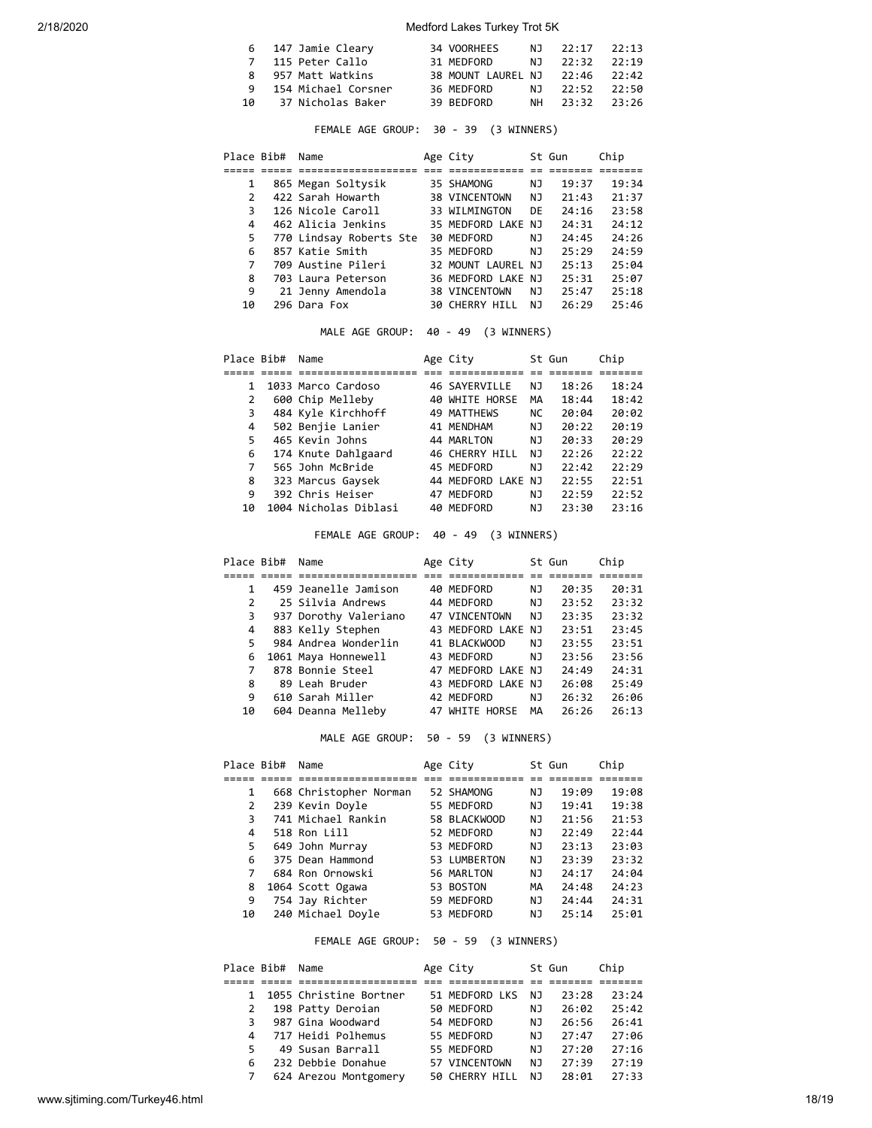|      | 6 147 Jamie Cleary    | 34 VOORHEES                    | NJ 22:17 22:13 |  |
|------|-----------------------|--------------------------------|----------------|--|
|      | 7 115 Peter Callo     | 31 MEDFORD                     | NJ 22:32 22:19 |  |
|      | 8 957 Matt Watkins    | 38 MOUNT LAUREL NJ 22:46 22:42 |                |  |
|      | 9 154 Michael Corsner | 36 MEDFORD                     | NJ 22:52 22:50 |  |
| 10 เ | 37 Nicholas Baker     | 39 BEDFORD                     | NH 23:32 23:26 |  |

## FEMALE AGE GROUP: 30 - 39 (3 WINNERS)

| Place Bib#    | Name                    | Age City              |     | St Gun | Chip  |
|---------------|-------------------------|-----------------------|-----|--------|-------|
|               |                         |                       |     |        |       |
| 1             | 865 Megan Soltysik      | 35 SHAMONG            | ΝJ  | 19:37  | 19:34 |
| $\mathcal{P}$ | 422 Sarah Howarth       | 38 VINCENTOWN         | NJ  | 21:43  | 21:37 |
| 3             | 126 Nicole Caroll       | 33 WILMINGTON         | DE  | 24:16  | 23:58 |
| 4             | 462 Alicia Jenkins      | 35 MEDFORD LAKE NJ    |     | 24:31  | 24:12 |
| 5             | 770 Lindsay Roberts Ste | 30 MEDFORD            | NJ. | 24:45  | 24:26 |
| 6             | 857 Katie Smith         | 35 MEDFORD            | NJ  | 75:29  | 24:59 |
| 7             | 709 Austine Pileri      | 32 MOUNT LAUREL NJ    |     | 25:13  | 25:04 |
| 8             | 703 Laura Peterson      | 36 MEDFORD LAKE NJ    |     | 25:31  | 25:07 |
| 9             | 21 Jenny Amendola       | <b>38 VINCENTOWN</b>  | NJ. | 25:47  | 25:18 |
| 10            | 296 Dara Fox            | <b>30 CHERRY HILL</b> | NJ  | 26:29  | 25:46 |

MALE AGE GROUP: 40 - 49 (3 WINNERS)

| Place Bib# | Name                  | Age City           |     | St Gun | Chip  |
|------------|-----------------------|--------------------|-----|--------|-------|
|            |                       |                    |     |        |       |
| 1          | 1033 Marco Cardoso    | 46 SAYERVILLE      | ΝJ  | 18:26  | 18:24 |
| 2          | 600 Chip Melleby      | 40 WHITE HORSE     | MА  | 18:44  | 18:42 |
| 3          | 484 Kyle Kirchhoff    | 49 MATTHEWS        | NC. | 20:04  | 20:02 |
| 4          | 502 Benjie Lanier     | 41 MENDHAM         | NJ  | 20:22  | 20:19 |
| 5          | 465 Kevin Johns       | 44 MARLTON         | NJ  | 20:33  | 20:29 |
| 6          | 174 Knute Dahlgaard   | 46 CHERRY HILL     | ΝJ  | 22:26  | 22:22 |
| 7          | 565 John McBride      | 45 MEDFORD         | ΝJ  | 22:42  | 22:29 |
| 8          | 323 Marcus Gaysek     | 44 MEDFORD LAKE NJ |     | 22:55  | 22:51 |
| 9          | 392 Chris Heiser      | 47 MEDFORD         | ΝJ  | 22:59  | 22:52 |
| 10         | 1004 Nicholas Diblasi | 40 MEDFORD         | ΝJ  | 23:30  | 23:16 |

FEMALE AGE GROUP: 40 - 49 (3 WINNERS)

| Place Bib# | Name                  | Age City           |     | St Gun | Chip  |
|------------|-----------------------|--------------------|-----|--------|-------|
|            |                       |                    |     |        |       |
| 1          | 459 Jeanelle Jamison  | 40 MEDFORD         | ΝJ  | 20:35  | 20:31 |
| 2          | 25 Silvia Andrews     | 44 MEDFORD         | ΝJ  | 23:52  | 23:32 |
| 3          | 937 Dorothy Valeriano | 47 VINCENTOWN      | ΝJ  | 23:35  | 23:32 |
| 4          | 883 Kelly Stephen     | 43 MEDFORD LAKE NJ |     | 23:51  | 23:45 |
| 5          | 984 Andrea Wonderlin  | 41 BLACKWOOD       | NJ. | 23:55  | 23:51 |
| 6          | 1061 Maya Honnewell   | 43 MEDFORD         | NJ  | 23:56  | 23:56 |
| 7          | 878 Bonnie Steel      | 47 MEDFORD LAKE NJ |     | 24:49  | 24:31 |
| 8          | 89 Leah Bruder        | 43 MEDFORD LAKE NJ |     | 26:08  | 25:49 |
| 9          | 610 Sarah Miller      | 42 MEDFORD         | ΝJ  | 26:32  | 26:06 |
| 10         | 604 Deanna Melleby    | 47 WHITE HORSE     | MА  | 26:26  | 26:13 |

MALE AGE GROUP: 50 - 59 (3 WINNERS)

| Place Bib#     | Name                   | Age City     |    | St Gun | Chip  |
|----------------|------------------------|--------------|----|--------|-------|
|                |                        |              |    |        |       |
| 1              | 668 Christopher Norman | 52 SHAMONG   | ΝJ | 19:09  | 19:08 |
| $\overline{2}$ | 239 Kevin Doyle        | 55 MEDFORD   | ΝJ | 19:41  | 19:38 |
| 3              | 741 Michael Rankin     | 58 BLACKWOOD | ΝJ | 21:56  | 21:53 |
| 4              | 518 Ron Lill           | 52 MEDFORD   | NJ | 22:49  | 22:44 |
| 5              | 649 John Murray        | 53 MEDFORD   | ΝJ | 23:13  | 23:03 |
| 6              | 375 Dean Hammond       | 53 LUMBERTON | ΝJ | 23:39  | 23:32 |
| 7              | 684 Ron Ornowski       | 56 MARLTON   | ΝJ | 24:17  | 24:04 |
| 8              | 1064 Scott Ogawa       | 53 BOSTON    | MА | 24:48  | 24:23 |
| 9              | 754 Jay Richter        | 59 MEDFORD   | ΝJ | 24:44  | 24:31 |
| 10             | 240 Michael Doyle      | 53 MEDFORD   | ΝJ | 25:14  | 25:01 |

FEMALE AGE GROUP: 50 - 59 (3 WINNERS)

| Place Bib# | Name                   | Age City       |    | St Gun | Chip  |
|------------|------------------------|----------------|----|--------|-------|
|            |                        |                |    |        |       |
| 1          | 1055 Christine Bortner | 51 MEDFORD LKS | NJ | 23:28  | 23:24 |
| 2          | 198 Patty Deroian      | 50 MEDFORD     | NJ | 26:02  | 25:42 |
| 3          | 987 Gina Woodward      | 54 MEDFORD     | NJ | 26:56  | 26:41 |
| Δ.         | 717 Heidi Polhemus     | 55 MEDFORD     | NJ | 27:47  | 27:06 |
| 5          | 49 Susan Barrall       | 55 MEDFORD     | NJ | 27:20  | 27:16 |
| 6          | 232 Debbie Donahue     | 57 VINCENTOWN  | NJ | 27:39  | 27:19 |
|            | 624 Arezou Montgomery  | 50 CHERRY HILL | NJ | 28:01  | 27:33 |